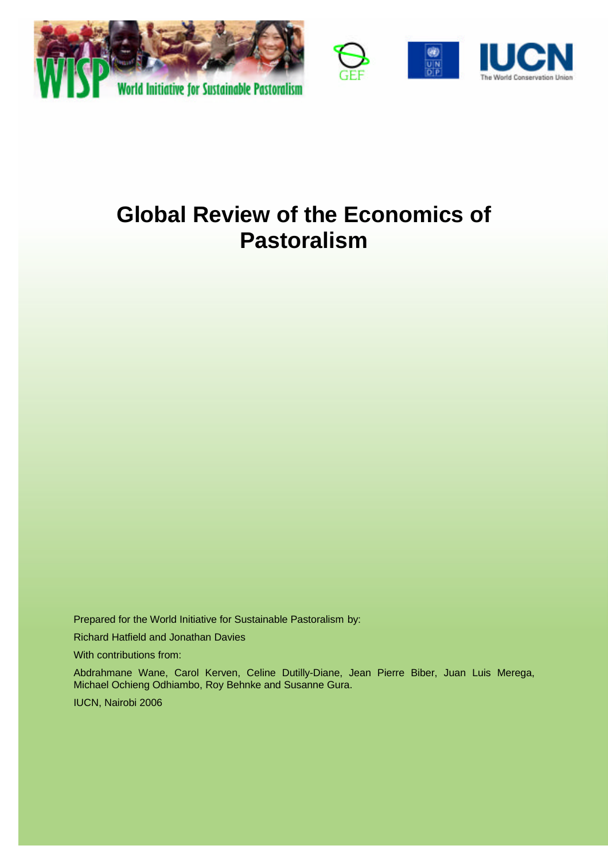

# **Global Review of the Economics of Pastoralism**

Prepared for the World Initiative for Sustainable Pastoralism by:

Richard Hatfield and Jonathan Davies

With contributions from:

Abdrahmane Wane, Carol Kerven, Celine Dutilly-Diane, Jean Pierre Biber, Juan Luis Merega, Michael Ochieng Odhiambo, Roy Behnke and Susanne Gura.

IUCN, Nairobi 2006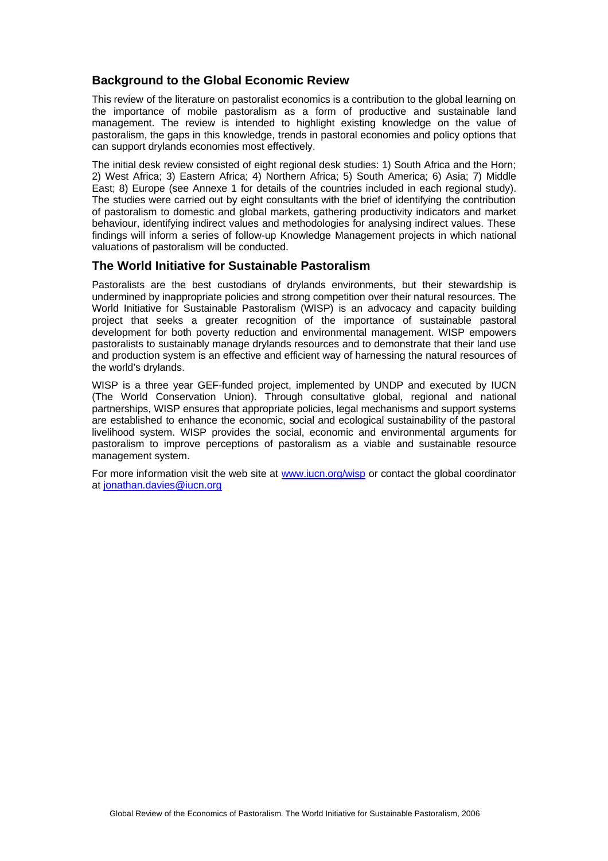# **Background to the Global Economic Review**

This review of the literature on pastoralist economics is a contribution to the global learning on the importance of mobile pastoralism as a form of productive and sustainable land management. The review is intended to highlight existing knowledge on the value of pastoralism, the gaps in this knowledge, trends in pastoral economies and policy options that can support drylands economies most effectively.

The initial desk review consisted of eight regional desk studies: 1) South Africa and the Horn; 2) West Africa; 3) Eastern Africa; 4) Northern Africa; 5) South America; 6) Asia; 7) Middle East; 8) Europe (see Annexe 1 for details of the countries included in each regional study). The studies were carried out by eight consultants with the brief of identifying the contribution of pastoralism to domestic and global markets, gathering productivity indicators and market behaviour, identifying indirect values and methodologies for analysing indirect values. These findings will inform a series of follow-up Knowledge Management projects in which national valuations of pastoralism will be conducted.

### **The World Initiative for Sustainable Pastoralism**

Pastoralists are the best custodians of drylands environments, but their stewardship is undermined by inappropriate policies and strong competition over their natural resources. The World Initiative for Sustainable Pastoralism (WISP) is an advocacy and capacity building project that seeks a greater recognition of the importance of sustainable pastoral development for both poverty reduction and environmental management. WISP empowers pastoralists to sustainably manage drylands resources and to demonstrate that their land use and production system is an effective and efficient way of harnessing the natural resources of the world's drylands.

WISP is a three year GEF-funded project, implemented by UNDP and executed by IUCN (The World Conservation Union). Through consultative global, regional and national partnerships, WISP ensures that appropriate policies, legal mechanisms and support systems are established to enhance the economic, social and ecological sustainability of the pastoral livelihood system. WISP provides the social, economic and environmental arguments for pastoralism to improve perceptions of pastoralism as a viable and sustainable resource management system.

For more information visit the web site at www.iucn.org/wisp or contact the global coordinator at jonathan.davies@iucn.org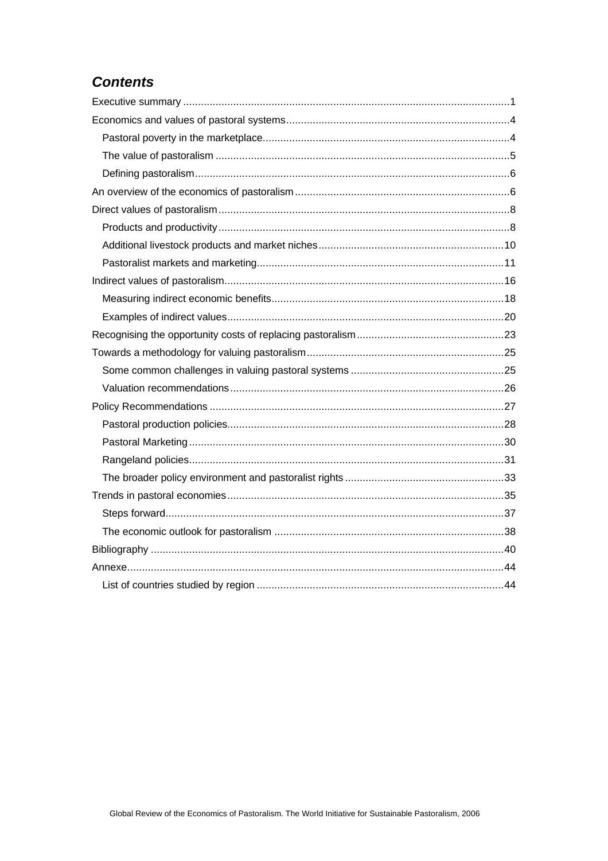# **Contents**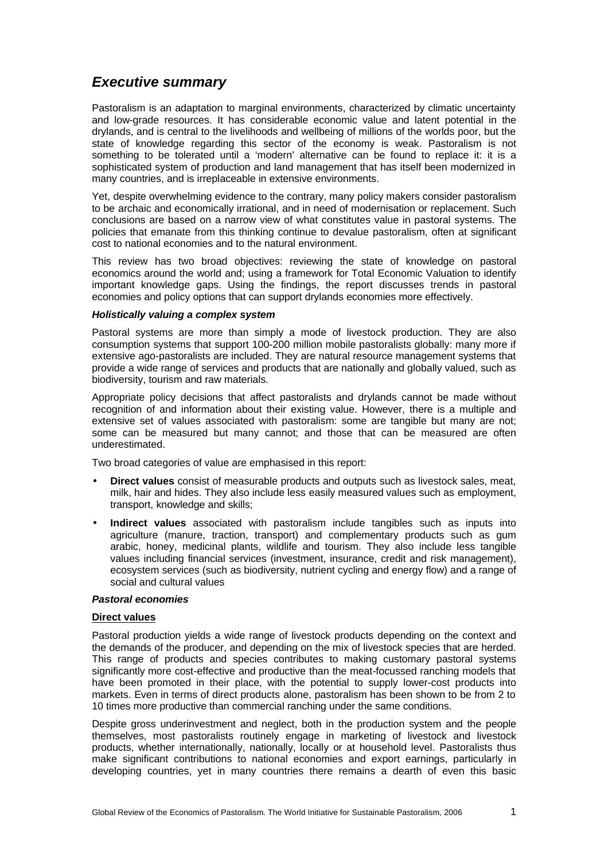# *Executive summary*

Pastoralism is an adaptation to marginal environments, characterized by climatic uncertainty and low-grade resources. It has considerable economic value and latent potential in the drylands, and is central to the livelihoods and wellbeing of millions of the worlds poor, but the state of knowledge regarding this sector of the economy is weak. Pastoralism is not something to be tolerated until a 'modern' alternative can be found to replace it: it is a sophisticated system of production and land management that has itself been modernized in many countries, and is irreplaceable in extensive environments.

Yet, despite overwhelming evidence to the contrary, many policy makers consider pastoralism to be archaic and economically irrational, and in need of modernisation or replacement. Such conclusions are based on a narrow view of what constitutes value in pastoral systems. The policies that emanate from this thinking continue to devalue pastoralism, often at significant cost to national economies and to the natural environment.

This review has two broad objectives: reviewing the state of knowledge on pastoral economics around the world and; using a framework for Total Economic Valuation to identify important knowledge gaps. Using the findings, the report discusses trends in pastoral economies and policy options that can support drylands economies more effectively.

#### *Holistically valuing a complex system*

Pastoral systems are more than simply a mode of livestock production. They are also consumption systems that support 100-200 million mobile pastoralists globally: many more if extensive ago-pastoralists are included. They are natural resource management systems that provide a wide range of services and products that are nationally and globally valued, such as biodiversity, tourism and raw materials.

Appropriate policy decisions that affect pastoralists and drylands cannot be made without recognition of and information about their existing value. However, there is a multiple and extensive set of values associated with pastoralism: some are tangible but many are not; some can be measured but many cannot; and those that can be measured are often underestimated.

Two broad categories of value are emphasised in this report:

- **Direct values** consist of measurable products and outputs such as livestock sales, meat, milk, hair and hides. They also include less easily measured values such as employment, transport, knowledge and skills;
- **Indirect values** associated with pastoralism include tangibles such as inputs into agriculture (manure, traction, transport) and complementary products such as gum arabic, honey, medicinal plants, wildlife and tourism. They also include less tangible values including financial services (investment, insurance, credit and risk management), ecosystem services (such as biodiversity, nutrient cycling and energy flow) and a range of social and cultural values

#### *Pastoral economies*

#### **Direct values**

Pastoral production yields a wide range of livestock products depending on the context and the demands of the producer, and depending on the mix of livestock species that are herded. This range of products and species contributes to making customary pastoral systems significantly more cost-effective and productive than the meat-focussed ranching models that have been promoted in their place, with the potential to supply lower-cost products into markets. Even in terms of direct products alone, pastoralism has been shown to be from 2 to 10 times more productive than commercial ranching under the same conditions.

Despite gross underinvestment and neglect, both in the production system and the people themselves, most pastoralists routinely engage in marketing of livestock and livestock products, whether internationally, nationally, locally or at household level. Pastoralists thus make significant contributions to national economies and export earnings, particularly in developing countries, yet in many countries there remains a dearth of even this basic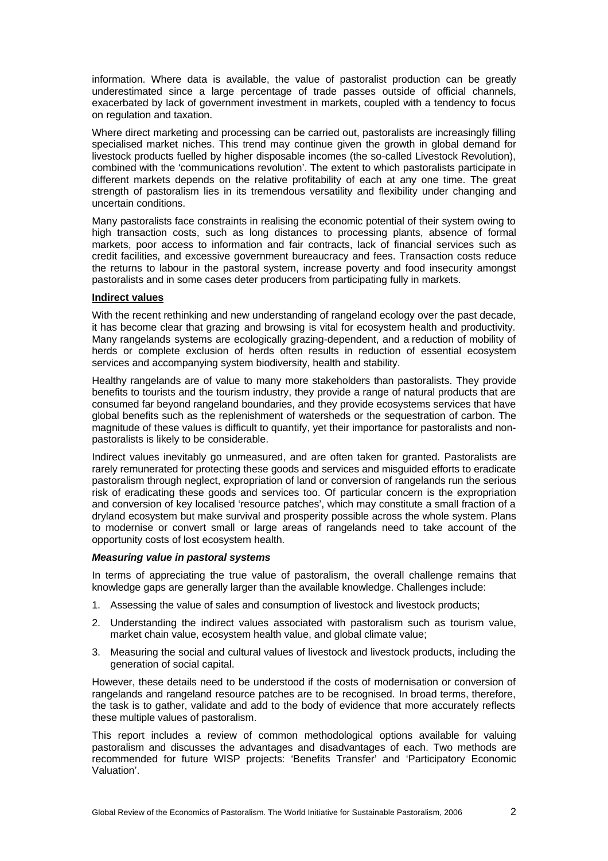information. Where data is available, the value of pastoralist production can be greatly underestimated since a large percentage of trade passes outside of official channels, exacerbated by lack of government investment in markets, coupled with a tendency to focus on regulation and taxation.

Where direct marketing and processing can be carried out, pastoralists are increasingly filling specialised market niches. This trend may continue given the growth in global demand for livestock products fuelled by higher disposable incomes (the so-called Livestock Revolution), combined with the 'communications revolution'. The extent to which pastoralists participate in different markets depends on the relative profitability of each at any one time. The great strength of pastoralism lies in its tremendous versatility and flexibility under changing and uncertain conditions.

Many pastoralists face constraints in realising the economic potential of their system owing to high transaction costs, such as long distances to processing plants, absence of formal markets, poor access to information and fair contracts, lack of financial services such as credit facilities, and excessive government bureaucracy and fees. Transaction costs reduce the returns to labour in the pastoral system, increase poverty and food insecurity amongst pastoralists and in some cases deter producers from participating fully in markets.

#### **Indirect values**

With the recent rethinking and new understanding of rangeland ecology over the past decade, it has become clear that grazing and browsing is vital for ecosystem health and productivity. Many rangelands systems are ecologically grazing-dependent, and a reduction of mobility of herds or complete exclusion of herds often results in reduction of essential ecosystem services and accompanying system biodiversity, health and stability.

Healthy rangelands are of value to many more stakeholders than pastoralists. They provide benefits to tourists and the tourism industry, they provide a range of natural products that are consumed far beyond rangeland boundaries, and they provide ecosystems services that have global benefits such as the replenishment of watersheds or the sequestration of carbon. The magnitude of these values is difficult to quantify, yet their importance for pastoralists and nonpastoralists is likely to be considerable.

Indirect values inevitably go unmeasured, and are often taken for granted. Pastoralists are rarely remunerated for protecting these goods and services and misguided efforts to eradicate pastoralism through neglect, expropriation of land or conversion of rangelands run the serious risk of eradicating these goods and services too. Of particular concern is the expropriation and conversion of key localised 'resource patches', which may constitute a small fraction of a dryland ecosystem but make survival and prosperity possible across the whole system. Plans to modernise or convert small or large areas of rangelands need to take account of the opportunity costs of lost ecosystem health.

#### *Measuring value in pastoral systems*

In terms of appreciating the true value of pastoralism, the overall challenge remains that knowledge gaps are generally larger than the available knowledge. Challenges include:

- 1. Assessing the value of sales and consumption of livestock and livestock products;
- 2. Understanding the indirect values associated with pastoralism such as tourism value, market chain value, ecosystem health value, and global climate value;
- 3. Measuring the social and cultural values of livestock and livestock products, including the generation of social capital.

However, these details need to be understood if the costs of modernisation or conversion of rangelands and rangeland resource patches are to be recognised. In broad terms, therefore, the task is to gather, validate and add to the body of evidence that more accurately reflects these multiple values of pastoralism.

This report includes a review of common methodological options available for valuing pastoralism and discusses the advantages and disadvantages of each. Two methods are recommended for future WISP projects: 'Benefits Transfer' and 'Participatory Economic Valuation'.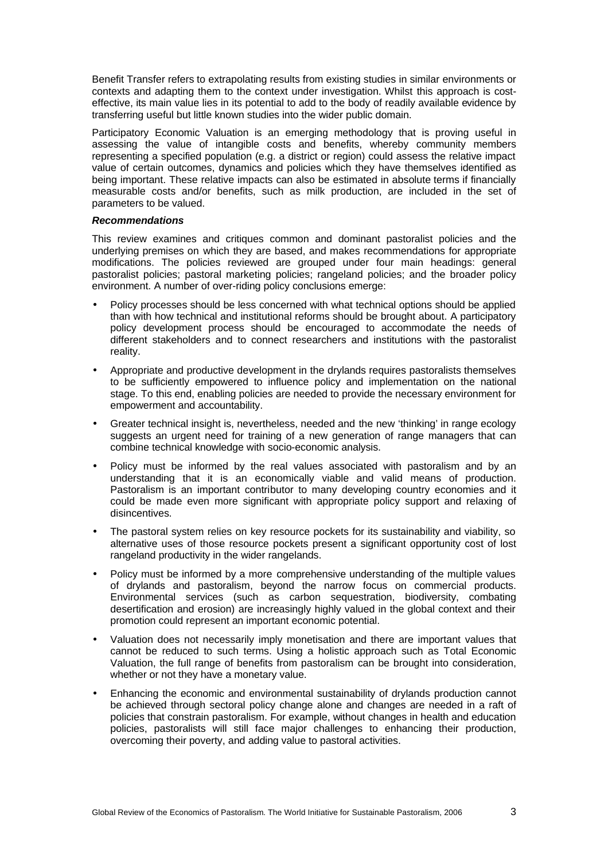Benefit Transfer refers to extrapolating results from existing studies in similar environments or contexts and adapting them to the context under investigation. Whilst this approach is costeffective, its main value lies in its potential to add to the body of readily available evidence by transferring useful but little known studies into the wider public domain.

Participatory Economic Valuation is an emerging methodology that is proving useful in assessing the value of intangible costs and benefits, whereby community members representing a specified population (e.g. a district or region) could assess the relative impact value of certain outcomes, dynamics and policies which they have themselves identified as being important. These relative impacts can also be estimated in absolute terms if financially measurable costs and/or benefits, such as milk production, are included in the set of parameters to be valued.

#### *Recommendations*

This review examines and critiques common and dominant pastoralist policies and the underlying premises on which they are based, and makes recommendations for appropriate modifications. The policies reviewed are grouped under four main headings: general pastoralist policies; pastoral marketing policies; rangeland policies; and the broader policy environment. A number of over-riding policy conclusions emerge:

- Policy processes should be less concerned with what technical options should be applied than with how technical and institutional reforms should be brought about. A participatory policy development process should be encouraged to accommodate the needs of different stakeholders and to connect researchers and institutions with the pastoralist reality.
- Appropriate and productive development in the drylands requires pastoralists themselves to be sufficiently empowered to influence policy and implementation on the national stage. To this end, enabling policies are needed to provide the necessary environment for empowerment and accountability.
- Greater technical insight is, nevertheless, needed and the new 'thinking' in range ecology suggests an urgent need for training of a new generation of range managers that can combine technical knowledge with socio-economic analysis.
- Policy must be informed by the real values associated with pastoralism and by an understanding that it is an economically viable and valid means of production. Pastoralism is an important contributor to many developing country economies and it could be made even more significant with appropriate policy support and relaxing of disincentives.
- The pastoral system relies on key resource pockets for its sustainability and viability, so alternative uses of those resource pockets present a significant opportunity cost of lost rangeland productivity in the wider rangelands.
- Policy must be informed by a more comprehensive understanding of the multiple values of drylands and pastoralism, beyond the narrow focus on commercial products. Environmental services (such as carbon sequestration, biodiversity, combating desertification and erosion) are increasingly highly valued in the global context and their promotion could represent an important economic potential.
- Valuation does not necessarily imply monetisation and there are important values that cannot be reduced to such terms. Using a holistic approach such as Total Economic Valuation, the full range of benefits from pastoralism can be brought into consideration, whether or not they have a monetary value.
- Enhancing the economic and environmental sustainability of drylands production cannot be achieved through sectoral policy change alone and changes are needed in a raft of policies that constrain pastoralism. For example, without changes in health and education policies, pastoralists will still face major challenges to enhancing their production, overcoming their poverty, and adding value to pastoral activities.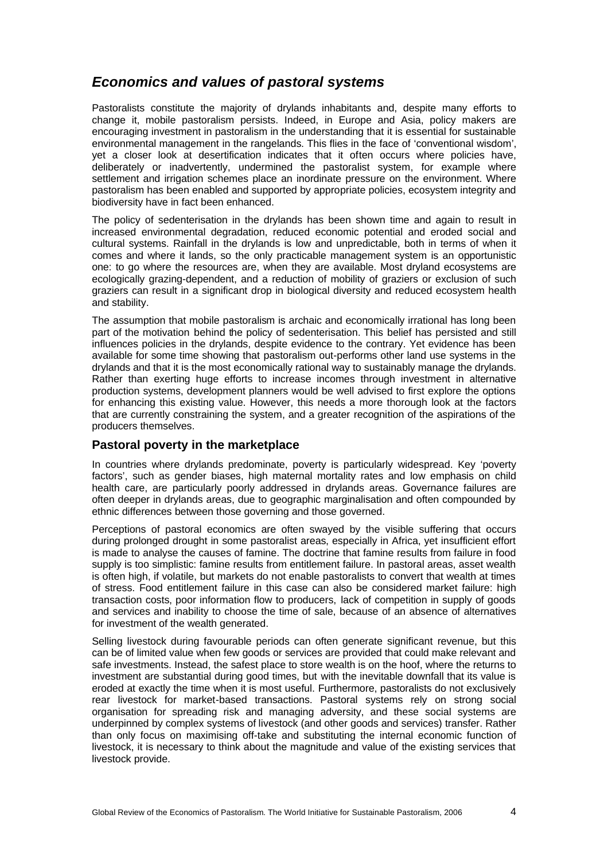# *Economics and values of pastoral systems*

Pastoralists constitute the majority of drylands inhabitants and, despite many efforts to change it, mobile pastoralism persists. Indeed, in Europe and Asia, policy makers are encouraging investment in pastoralism in the understanding that it is essential for sustainable environmental management in the rangelands. This flies in the face of 'conventional wisdom', yet a closer look at desertification indicates that it often occurs where policies have, deliberately or inadvertently, undermined the pastoralist system, for example where settlement and irrigation schemes place an inordinate pressure on the environment. Where pastoralism has been enabled and supported by appropriate policies, ecosystem integrity and biodiversity have in fact been enhanced.

The policy of sedenterisation in the drylands has been shown time and again to result in increased environmental degradation, reduced economic potential and eroded social and cultural systems. Rainfall in the drylands is low and unpredictable, both in terms of when it comes and where it lands, so the only practicable management system is an opportunistic one: to go where the resources are, when they are available. Most dryland ecosystems are ecologically grazing-dependent, and a reduction of mobility of graziers or exclusion of such graziers can result in a significant drop in biological diversity and reduced ecosystem health and stability.

The assumption that mobile pastoralism is archaic and economically irrational has long been part of the motivation behind the policy of sedenterisation. This belief has persisted and still influences policies in the drylands, despite evidence to the contrary. Yet evidence has been available for some time showing that pastoralism out-performs other land use systems in the drylands and that it is the most economically rational way to sustainably manage the drylands. Rather than exerting huge efforts to increase incomes through investment in alternative production systems, development planners would be well advised to first explore the options for enhancing this existing value. However, this needs a more thorough look at the factors that are currently constraining the system, and a greater recognition of the aspirations of the producers themselves.

## **Pastoral poverty in the marketplace**

In countries where drylands predominate, poverty is particularly widespread. Key 'poverty factors', such as gender biases, high maternal mortality rates and low emphasis on child health care, are particularly poorly addressed in drylands areas. Governance failures are often deeper in drylands areas, due to geographic marginalisation and often compounded by ethnic differences between those governing and those governed.

Perceptions of pastoral economics are often swayed by the visible suffering that occurs during prolonged drought in some pastoralist areas, especially in Africa, yet insufficient effort is made to analyse the causes of famine. The doctrine that famine results from failure in food supply is too simplistic: famine results from entitlement failure. In pastoral areas, asset wealth is often high, if volatile, but markets do not enable pastoralists to convert that wealth at times of stress. Food entitlement failure in this case can also be considered market failure: high transaction costs, poor information flow to producers, lack of competition in supply of goods and services and inability to choose the time of sale, because of an absence of alternatives for investment of the wealth generated.

Selling livestock during favourable periods can often generate significant revenue, but this can be of limited value when few goods or services are provided that could make relevant and safe investments. Instead, the safest place to store wealth is on the hoof, where the returns to investment are substantial during good times, but with the inevitable downfall that its value is eroded at exactly the time when it is most useful. Furthermore, pastoralists do not exclusively rear livestock for market-based transactions. Pastoral systems rely on strong social organisation for spreading risk and managing adversity, and these social systems are underpinned by complex systems of livestock (and other goods and services) transfer. Rather than only focus on maximising off-take and substituting the internal economic function of livestock, it is necessary to think about the magnitude and value of the existing services that livestock provide.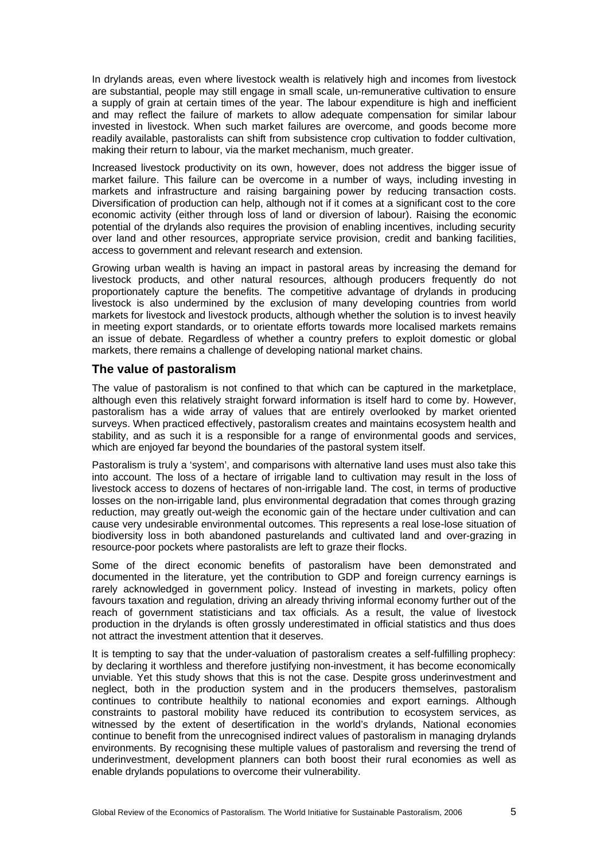In drylands areas, even where livestock wealth is relatively high and incomes from livestock are substantial, people may still engage in small scale, un-remunerative cultivation to ensure a supply of grain at certain times of the year. The labour expenditure is high and inefficient and may reflect the failure of markets to allow adequate compensation for similar labour invested in livestock. When such market failures are overcome, and goods become more readily available, pastoralists can shift from subsistence crop cultivation to fodder cultivation, making their return to labour, via the market mechanism, much greater.

Increased livestock productivity on its own, however, does not address the bigger issue of market failure. This failure can be overcome in a number of ways, including investing in markets and infrastructure and raising bargaining power by reducing transaction costs. Diversification of production can help, although not if it comes at a significant cost to the core economic activity (either through loss of land or diversion of labour). Raising the economic potential of the drylands also requires the provision of enabling incentives, including security over land and other resources, appropriate service provision, credit and banking facilities, access to government and relevant research and extension.

Growing urban wealth is having an impact in pastoral areas by increasing the demand for livestock products, and other natural resources, although producers frequently do not proportionately capture the benefits. The competitive advantage of drylands in producing livestock is also undermined by the exclusion of many developing countries from world markets for livestock and livestock products, although whether the solution is to invest heavily in meeting export standards, or to orientate efforts towards more localised markets remains an issue of debate. Regardless of whether a country prefers to exploit domestic or global markets, there remains a challenge of developing national market chains.

#### **The value of pastoralism**

The value of pastoralism is not confined to that which can be captured in the marketplace, although even this relatively straight forward information is itself hard to come by. However, pastoralism has a wide array of values that are entirely overlooked by market oriented surveys. When practiced effectively, pastoralism creates and maintains ecosystem health and stability, and as such it is a responsible for a range of environmental goods and services, which are enjoyed far beyond the boundaries of the pastoral system itself.

Pastoralism is truly a 'system', and comparisons with alternative land uses must also take this into account. The loss of a hectare of irrigable land to cultivation may result in the loss of livestock access to dozens of hectares of non-irrigable land. The cost, in terms of productive losses on the non-irrigable land, plus environmental degradation that comes through grazing reduction, may greatly out-weigh the economic gain of the hectare under cultivation and can cause very undesirable environmental outcomes. This represents a real lose-lose situation of biodiversity loss in both abandoned pasturelands and cultivated land and over-grazing in resource-poor pockets where pastoralists are left to graze their flocks.

Some of the direct economic benefits of pastoralism have been demonstrated and documented in the literature, yet the contribution to GDP and foreign currency earnings is rarely acknowledged in government policy. Instead of investing in markets, policy often favours taxation and regulation, driving an already thriving informal economy further out of the reach of government statisticians and tax officials. As a result, the value of livestock production in the drylands is often grossly underestimated in official statistics and thus does not attract the investment attention that it deserves.

It is tempting to say that the under-valuation of pastoralism creates a self-fulfilling prophecy: by declaring it worthless and therefore justifying non-investment, it has become economically unviable. Yet this study shows that this is not the case. Despite gross underinvestment and neglect, both in the production system and in the producers themselves, pastoralism continues to contribute healthily to national economies and export earnings. Although constraints to pastoral mobility have reduced its contribution to ecosystem services, as witnessed by the extent of desertification in the world's drylands, National economies continue to benefit from the unrecognised indirect values of pastoralism in managing drylands environments. By recognising these multiple values of pastoralism and reversing the trend of underinvestment, development planners can both boost their rural economies as well as enable drylands populations to overcome their vulnerability.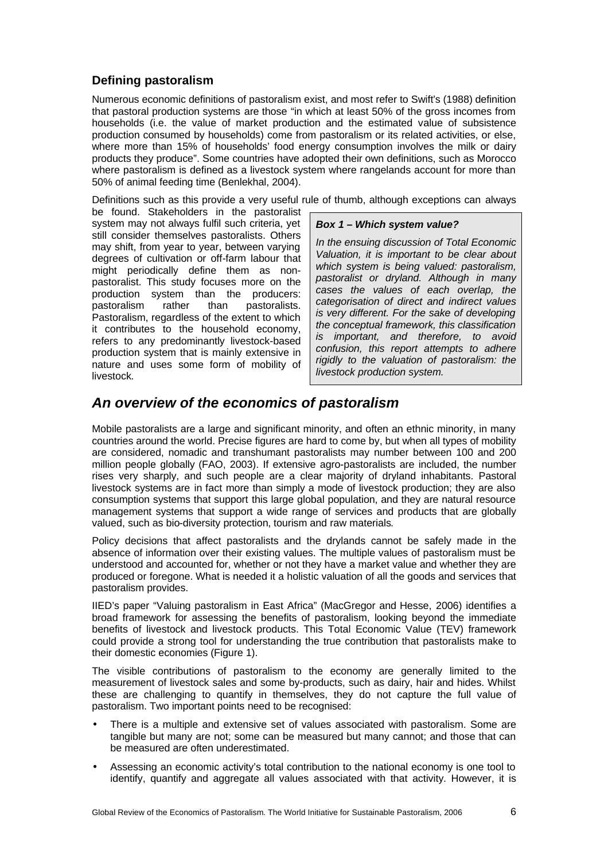# **Defining pastoralism**

Numerous economic definitions of pastoralism exist, and most refer to Swift's (1988) definition that pastoral production systems are those "in which at least 50% of the gross incomes from households (i.e. the value of market production and the estimated value of subsistence production consumed by households) come from pastoralism or its related activities, or else, where more than 15% of households' food energy consumption involves the milk or dairy products they produce". Some countries have adopted their own definitions, such as Morocco where pastoralism is defined as a livestock system where rangelands account for more than 50% of animal feeding time (Benlekhal, 2004).

Definitions such as this provide a very useful rule of thumb, although exceptions can always

be found. Stakeholders in the pastoralist system may not always fulfil such criteria, yet still consider themselves pastoralists. Others may shift, from year to year, between varying degrees of cultivation or off-farm labour that might periodically define them as nonpastoralist. This study focuses more on the production system than the producers: pastoralism rather than pastoralists. Pastoralism, regardless of the extent to which it contributes to the household economy, refers to any predominantly livestock-based production system that is mainly extensive in nature and uses some form of mobility of livestock.

### *Box 1 – Which system value?*

*In the ensuing discussion of Total Economic Valuation, it is important to be clear about which system is being valued: pastoralism, pastoralist or dryland. Although in many cases the values of each overlap, the categorisation of direct and indirect values is very different. For the sake of developing the conceptual framework, this classification is important, and therefore, to avoid confusion, this report attempts to adhere rigidly to the valuation of pastoralism: the livestock production system.*

# *An overview of the economics of pastoralism*

Mobile pastoralists are a large and significant minority, and often an ethnic minority, in many countries around the world. Precise figures are hard to come by, but when all types of mobility are considered, nomadic and transhumant pastoralists may number between 100 and 200 million people globally (FAO, 2003). If extensive agro-pastoralists are included, the number rises very sharply, and such people are a clear majority of dryland inhabitants. Pastoral livestock systems are in fact more than simply a mode of livestock production; they are also consumption systems that support this large global population, and they are natural resource management systems that support a wide range of services and products that are globally valued, such as bio-diversity protection, tourism and raw materials.

Policy decisions that affect pastoralists and the drylands cannot be safely made in the absence of information over their existing values. The multiple values of pastoralism must be understood and accounted for, whether or not they have a market value and whether they are produced or foregone. What is needed it a holistic valuation of all the goods and services that pastoralism provides.

IIED's paper "Valuing pastoralism in East Africa" (MacGregor and Hesse, 2006) identifies a broad framework for assessing the benefits of pastoralism, looking beyond the immediate benefits of livestock and livestock products. This Total Economic Value (TEV) framework could provide a strong tool for understanding the true contribution that pastoralists make to their domestic economies (Figure 1).

The visible contributions of pastoralism to the economy are generally limited to the measurement of livestock sales and some by-products, such as dairy, hair and hides. Whilst these are challenging to quantify in themselves, they do not capture the full value of pastoralism. Two important points need to be recognised:

- There is a multiple and extensive set of values associated with pastoralism. Some are tangible but many are not; some can be measured but many cannot; and those that can be measured are often underestimated.
- Assessing an economic activity's total contribution to the national economy is one tool to identify, quantify and aggregate all values associated with that activity. However, it is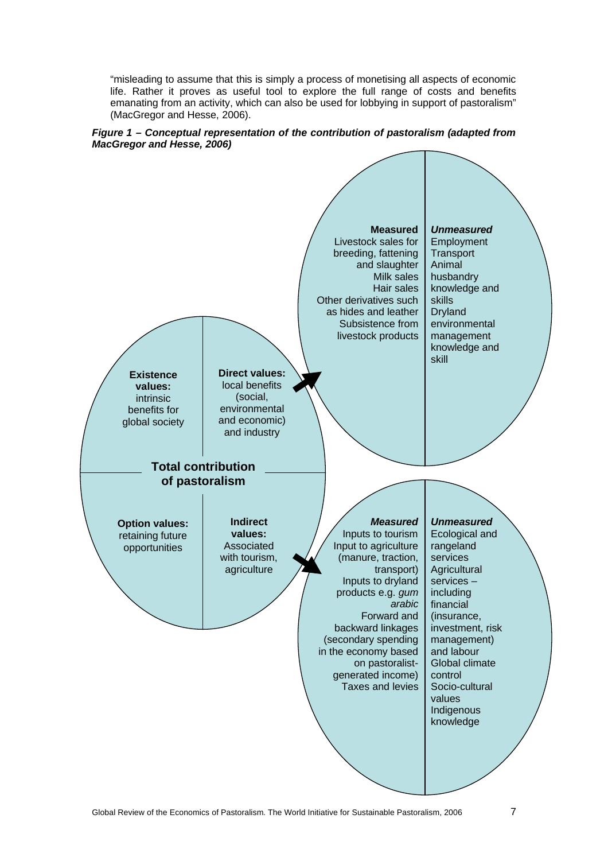"misleading to assume that this is simply a process of monetising all aspects of economic life. Rather it proves as useful tool to explore the full range of costs and benefits emanating from an activity, which can also be used for lobbying in support of pastoralism" (MacGregor and Hesse, 2006).



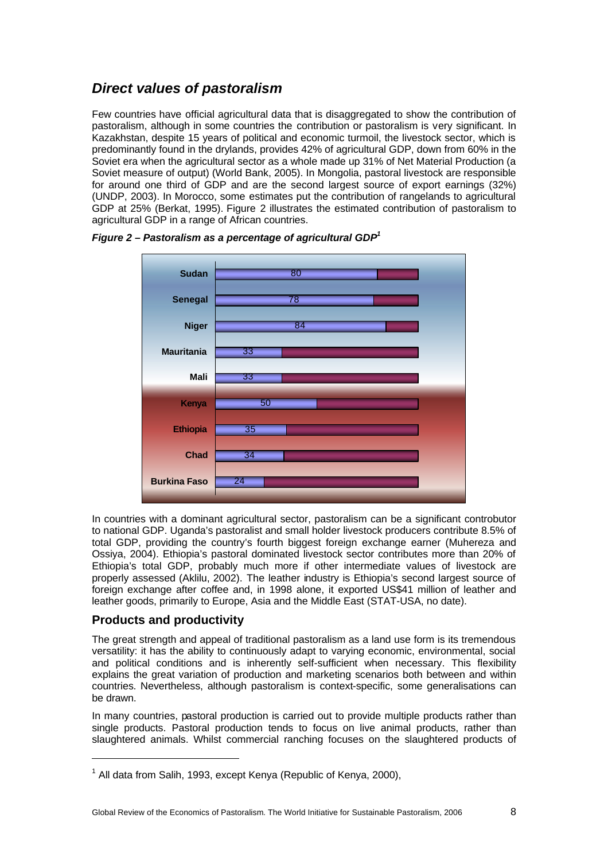# *Direct values of pastoralism*

Few countries have official agricultural data that is disaggregated to show the contribution of pastoralism, although in some countries the contribution or pastoralism is very significant. In Kazakhstan, despite 15 years of political and economic turmoil, the livestock sector, which is predominantly found in the drylands, provides 42% of agricultural GDP, down from 60% in the Soviet era when the agricultural sector as a whole made up 31% of Net Material Production (a Soviet measure of output) (World Bank, 2005). In Mongolia, pastoral livestock are responsible for around one third of GDP and are the second largest source of export earnings (32%) (UNDP, 2003). In Morocco, some estimates put the contribution of rangelands to agricultural GDP at 25% (Berkat, 1995). Figure 2 illustrates the estimated contribution of pastoralism to agricultural GDP in a range of African countries.



*Figure 2 – Pastoralism as a percentage of agricultural GDP<sup>1</sup>*

In countries with a dominant agricultural sector, pastoralism can be a significant controbutor to national GDP. Uganda's pastoralist and small holder livestock producers contribute 8.5% of total GDP, providing the country's fourth biggest foreign exchange earner (Muhereza and Ossiya, 2004). Ethiopia's pastoral dominated livestock sector contributes more than 20% of Ethiopia's total GDP, probably much more if other intermediate values of livestock are properly assessed (Aklilu, 2002). The leather industry is Ethiopia's second largest source of foreign exchange after coffee and, in 1998 alone, it exported US\$41 million of leather and leather goods, primarily to Europe, Asia and the Middle East (STAT-USA, no date).

# **Products and productivity**

l

The great strength and appeal of traditional pastoralism as a land use form is its tremendous versatility: it has the ability to continuously adapt to varying economic, environmental, social and political conditions and is inherently self-sufficient when necessary. This flexibility explains the great variation of production and marketing scenarios both between and within countries. Nevertheless, although pastoralism is context-specific, some generalisations can be drawn.

In many countries, pastoral production is carried out to provide multiple products rather than single products. Pastoral production tends to focus on live animal products, rather than slaughtered animals. Whilst commercial ranching focuses on the slaughtered products of

 $1$  All data from Salih, 1993, except Kenya (Republic of Kenya, 2000),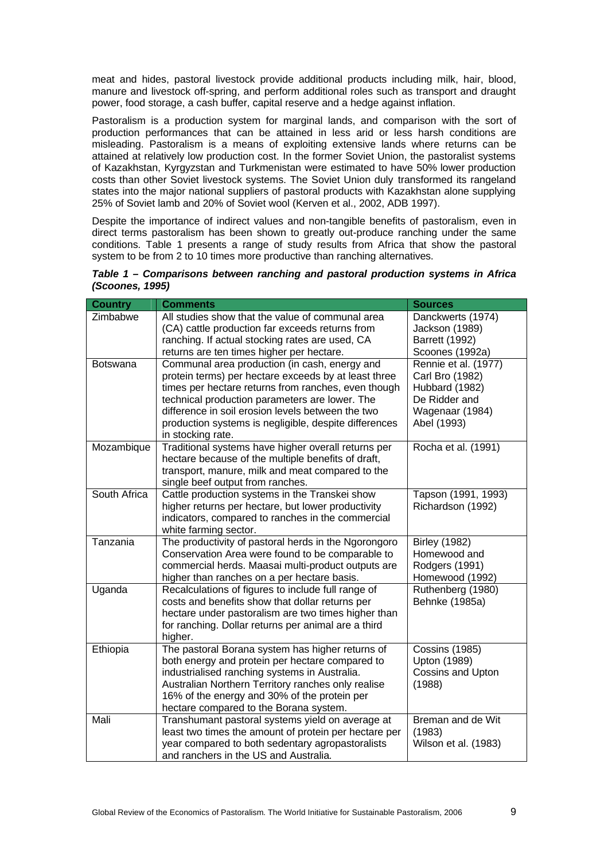meat and hides, pastoral livestock provide additional products including milk, hair, blood, manure and livestock off-spring, and perform additional roles such as transport and draught power, food storage, a cash buffer, capital reserve and a hedge against inflation.

Pastoralism is a production system for marginal lands, and comparison with the sort of production performances that can be attained in less arid or less harsh conditions are misleading. Pastoralism is a means of exploiting extensive lands where returns can be attained at relatively low production cost. In the former Soviet Union, the pastoralist systems of Kazakhstan, Kyrgyzstan and Turkmenistan were estimated to have 50% lower production costs than other Soviet livestock systems. The Soviet Union duly transformed its rangeland states into the major national suppliers of pastoral products with Kazakhstan alone supplying 25% of Soviet lamb and 20% of Soviet wool (Kerven et al., 2002, ADB 1997).

Despite the importance of indirect values and non-tangible benefits of pastoralism, even in direct terms pastoralism has been shown to greatly out-produce ranching under the same conditions. Table 1 presents a range of study results from Africa that show the pastoral system to be from 2 to 10 times more productive than ranching alternatives.

*Table 1 – Comparisons between ranching and pastoral production systems in Africa (Scoones, 1995)*

| <b>Country</b> | <b>Comments</b>                                                                                                                                                                                                                                                                                                                                   | <b>Sources</b>                                                                                               |
|----------------|---------------------------------------------------------------------------------------------------------------------------------------------------------------------------------------------------------------------------------------------------------------------------------------------------------------------------------------------------|--------------------------------------------------------------------------------------------------------------|
| Zimbabwe       | All studies show that the value of communal area<br>(CA) cattle production far exceeds returns from<br>ranching. If actual stocking rates are used, CA<br>returns are ten times higher per hectare.                                                                                                                                               | Danckwerts (1974)<br>Jackson (1989)<br><b>Barrett (1992)</b><br>Scoones (1992a)                              |
| Botswana       | Communal area production (in cash, energy and<br>protein terms) per hectare exceeds by at least three<br>times per hectare returns from ranches, even though<br>technical production parameters are lower. The<br>difference in soil erosion levels between the two<br>production systems is negligible, despite differences<br>in stocking rate. | Rennie et al. (1977)<br>Carl Bro (1982)<br>Hubbard (1982)<br>De Ridder and<br>Wagenaar (1984)<br>Abel (1993) |
| Mozambique     | Traditional systems have higher overall returns per<br>hectare because of the multiple benefits of draft,<br>transport, manure, milk and meat compared to the<br>single beef output from ranches.                                                                                                                                                 | Rocha et al. (1991)                                                                                          |
| South Africa   | Cattle production systems in the Transkei show<br>higher returns per hectare, but lower productivity<br>indicators, compared to ranches in the commercial<br>white farming sector.                                                                                                                                                                | Tapson (1991, 1993)<br>Richardson (1992)                                                                     |
| Tanzania       | The productivity of pastoral herds in the Ngorongoro<br>Conservation Area were found to be comparable to<br>commercial herds. Maasai multi-product outputs are<br>higher than ranches on a per hectare basis.                                                                                                                                     | <b>Birley (1982)</b><br>Homewood and<br>Rodgers (1991)<br>Homewood (1992)                                    |
| Uganda         | Recalculations of figures to include full range of<br>costs and benefits show that dollar returns per<br>hectare under pastoralism are two times higher than<br>for ranching. Dollar returns per animal are a third<br>higher.                                                                                                                    | Ruthenberg (1980)<br>Behnke (1985a)                                                                          |
| Ethiopia       | The pastoral Borana system has higher returns of<br>both energy and protein per hectare compared to<br>industrialised ranching systems in Australia.<br>Australian Northern Territory ranches only realise<br>16% of the energy and 30% of the protein per<br>hectare compared to the Borana system.                                              | <b>Cossins (1985)</b><br>Upton (1989)<br>Cossins and Upton<br>(1988)                                         |
| Mali           | Transhumant pastoral systems yield on average at<br>least two times the amount of protein per hectare per<br>year compared to both sedentary agropastoralists<br>and ranchers in the US and Australia.                                                                                                                                            | Breman and de Wit<br>(1983)<br>Wilson et al. (1983)                                                          |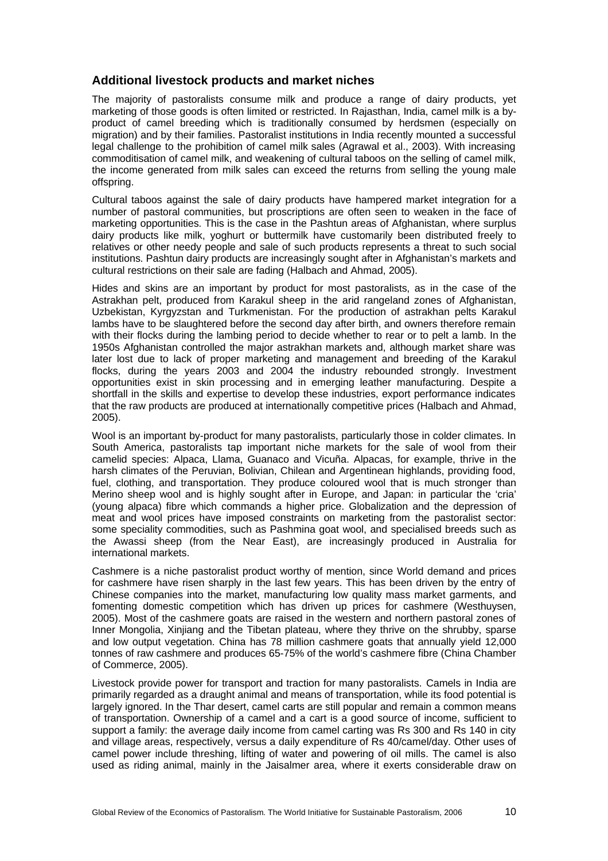## **Additional livestock products and market niches**

The majority of pastoralists consume milk and produce a range of dairy products, yet marketing of those goods is often limited or restricted. In Rajasthan, India, camel milk is a byproduct of camel breeding which is traditionally consumed by herdsmen (especially on migration) and by their families. Pastoralist institutions in India recently mounted a successful legal challenge to the prohibition of camel milk sales (Agrawal et al., 2003). With increasing commoditisation of camel milk, and weakening of cultural taboos on the selling of camel milk, the income generated from milk sales can exceed the returns from selling the young male offspring.

Cultural taboos against the sale of dairy products have hampered market integration for a number of pastoral communities, but proscriptions are often seen to weaken in the face of marketing opportunities. This is the case in the Pashtun areas of Afghanistan, where surplus dairy products like milk, yoghurt or buttermilk have customarily been distributed freely to relatives or other needy people and sale of such products represents a threat to such social institutions. Pashtun dairy products are increasingly sought after in Afghanistan's markets and cultural restrictions on their sale are fading (Halbach and Ahmad, 2005).

Hides and skins are an important by product for most pastoralists, as in the case of the Astrakhan pelt, produced from Karakul sheep in the arid rangeland zones of Afghanistan, Uzbekistan, Kyrgyzstan and Turkmenistan. For the production of astrakhan pelts Karakul lambs have to be slaughtered before the second day after birth, and owners therefore remain with their flocks during the lambing period to decide whether to rear or to pelt a lamb. In the 1950s Afghanistan controlled the major astrakhan markets and, although market share was later lost due to lack of proper marketing and management and breeding of the Karakul flocks, during the years 2003 and 2004 the industry rebounded strongly. Investment opportunities exist in skin processing and in emerging leather manufacturing. Despite a shortfall in the skills and expertise to develop these industries, export performance indicates that the raw products are produced at internationally competitive prices (Halbach and Ahmad, 2005).

Wool is an important by-product for many pastoralists, particularly those in colder climates. In South America, pastoralists tap important niche markets for the sale of wool from their camelid species: Alpaca, Llama, Guanaco and Vicuña. Alpacas, for example, thrive in the harsh climates of the Peruvian, Bolivian, Chilean and Argentinean highlands, providing food, fuel, clothing, and transportation. They produce coloured wool that is much stronger than Merino sheep wool and is highly sought after in Europe, and Japan: in particular the 'cria' (young alpaca) fibre which commands a higher price. Globalization and the depression of meat and wool prices have imposed constraints on marketing from the pastoralist sector: some speciality commodities, such as Pashmina goat wool, and specialised breeds such as the Awassi sheep (from the Near East), are increasingly produced in Australia for international markets.

Cashmere is a niche pastoralist product worthy of mention, since World demand and prices for cashmere have risen sharply in the last few years. This has been driven by the entry of Chinese companies into the market, manufacturing low quality mass market garments, and fomenting domestic competition which has driven up prices for cashmere (Westhuysen, 2005). Most of the cashmere goats are raised in the western and northern pastoral zones of Inner Mongolia, Xinjiang and the Tibetan plateau, where they thrive on the shrubby, sparse and low output vegetation. China has 78 million cashmere goats that annually yield 12,000 tonnes of raw cashmere and produces 65-75% of the world's cashmere fibre (China Chamber of Commerce, 2005).

Livestock provide power for transport and traction for many pastoralists. Camels in India are primarily regarded as a draught animal and means of transportation, while its food potential is largely ignored. In the Thar desert, camel carts are still popular and remain a common means of transportation. Ownership of a camel and a cart is a good source of income, sufficient to support a family: the average daily income from camel carting was Rs 300 and Rs 140 in city and village areas, respectively, versus a daily expenditure of Rs 40/camel/day. Other uses of camel power include threshing, lifting of water and powering of oil mills. The camel is also used as riding animal, mainly in the Jaisalmer area, where it exerts considerable draw on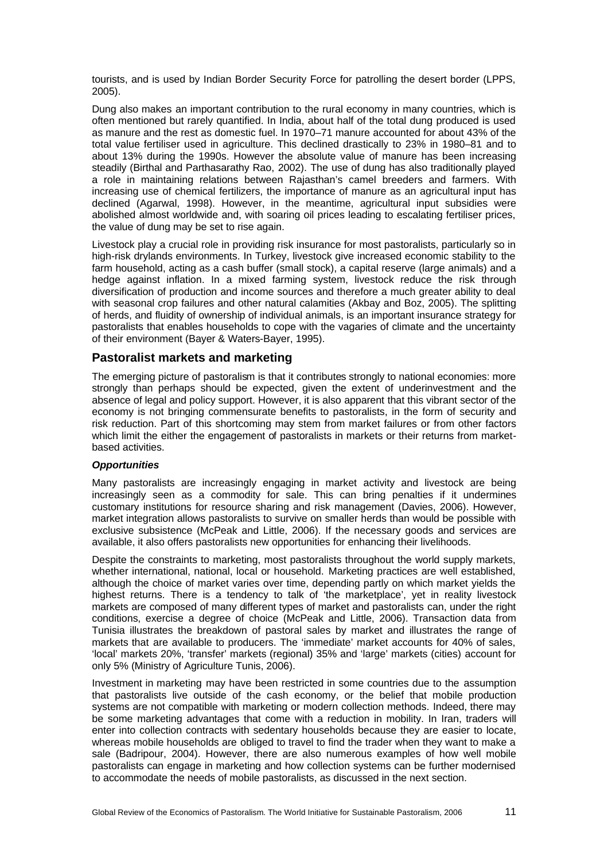tourists, and is used by Indian Border Security Force for patrolling the desert border (LPPS, 2005).

Dung also makes an important contribution to the rural economy in many countries, which is often mentioned but rarely quantified. In India, about half of the total dung produced is used as manure and the rest as domestic fuel. In 1970–71 manure accounted for about 43% of the total value fertiliser used in agriculture. This declined drastically to 23% in 1980–81 and to about 13% during the 1990s. However the absolute value of manure has been increasing steadily (Birthal and Parthasarathy Rao, 2002). The use of dung has also traditionally played a role in maintaining relations between Rajasthan's camel breeders and farmers. With increasing use of chemical fertilizers, the importance of manure as an agricultural input has declined (Agarwal, 1998). However, in the meantime, agricultural input subsidies were abolished almost worldwide and, with soaring oil prices leading to escalating fertiliser prices, the value of dung may be set to rise again.

Livestock play a crucial role in providing risk insurance for most pastoralists, particularly so in high-risk drylands environments. In Turkey, livestock give increased economic stability to the farm household, acting as a cash buffer (small stock), a capital reserve (large animals) and a hedge against inflation. In a mixed farming system, livestock reduce the risk through diversification of production and income sources and therefore a much greater ability to deal with seasonal crop failures and other natural calamities (Akbay and Boz, 2005). The splitting of herds, and fluidity of ownership of individual animals, is an important insurance strategy for pastoralists that enables households to cope with the vagaries of climate and the uncertainty of their environment (Bayer & Waters-Bayer, 1995).

### **Pastoralist markets and marketing**

The emerging picture of pastoralism is that it contributes strongly to national economies: more strongly than perhaps should be expected, given the extent of underinvestment and the absence of legal and policy support. However, it is also apparent that this vibrant sector of the economy is not bringing commensurate benefits to pastoralists, in the form of security and risk reduction. Part of this shortcoming may stem from market failures or from other factors which limit the either the engagement of pastoralists in markets or their returns from marketbased activities.

#### *Opportunities*

Many pastoralists are increasingly engaging in market activity and livestock are being increasingly seen as a commodity for sale. This can bring penalties if it undermines customary institutions for resource sharing and risk management (Davies, 2006). However, market integration allows pastoralists to survive on smaller herds than would be possible with exclusive subsistence (McPeak and Little, 2006). If the necessary goods and services are available, it also offers pastoralists new opportunities for enhancing their livelihoods.

Despite the constraints to marketing, most pastoralists throughout the world supply markets, whether international, national, local or household. Marketing practices are well established, although the choice of market varies over time, depending partly on which market yields the highest returns. There is a tendency to talk of 'the marketplace', yet in reality livestock markets are composed of many different types of market and pastoralists can, under the right conditions, exercise a degree of choice (McPeak and Little, 2006). Transaction data from Tunisia illustrates the breakdown of pastoral sales by market and illustrates the range of markets that are available to producers. The 'immediate' market accounts for 40% of sales, 'local' markets 20%, 'transfer' markets (regional) 35% and 'large' markets (cities) account for only 5% (Ministry of Agriculture Tunis, 2006).

Investment in marketing may have been restricted in some countries due to the assumption that pastoralists live outside of the cash economy, or the belief that mobile production systems are not compatible with marketing or modern collection methods. Indeed, there may be some marketing advantages that come with a reduction in mobility. In Iran, traders will enter into collection contracts with sedentary households because they are easier to locate, whereas mobile households are obliged to travel to find the trader when they want to make a sale (Badripour, 2004). However, there are also numerous examples of how well mobile pastoralists can engage in marketing and how collection systems can be further modernised to accommodate the needs of mobile pastoralists, as discussed in the next section.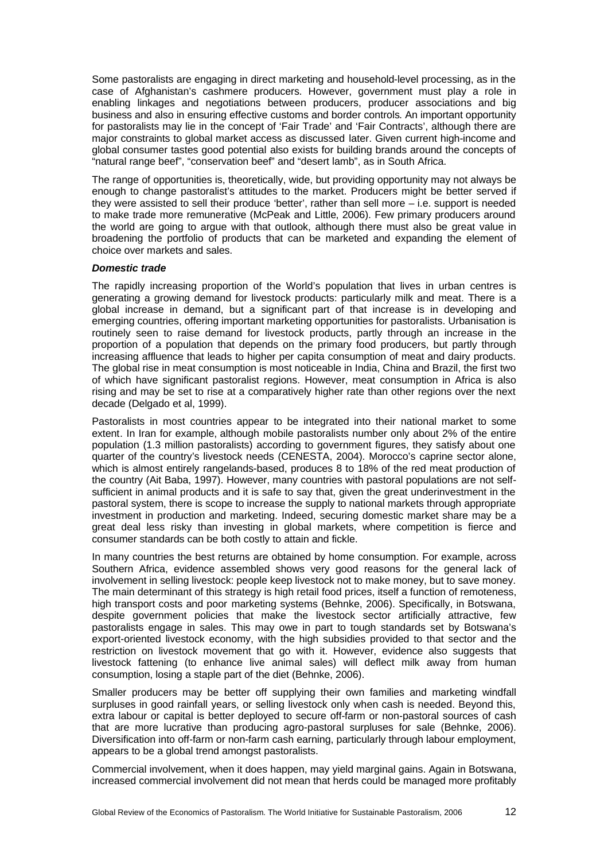Some pastoralists are engaging in direct marketing and household-level processing, as in the case of Afghanistan's cashmere producers. However, government must play a role in enabling linkages and negotiations between producers, producer associations and big business and also in ensuring effective customs and border controls. An important opportunity for pastoralists may lie in the concept of 'Fair Trade' and 'Fair Contracts', although there are major constraints to global market access as discussed later. Given current high-income and global consumer tastes good potential also exists for building brands around the concepts of "natural range beef", "conservation beef" and "desert lamb", as in South Africa.

The range of opportunities is, theoretically, wide, but providing opportunity may not always be enough to change pastoralist's attitudes to the market. Producers might be better served if they were assisted to sell their produce 'better', rather than sell more – i.e. support is needed to make trade more remunerative (McPeak and Little, 2006). Few primary producers around the world are going to argue with that outlook, although there must also be great value in broadening the portfolio of products that can be marketed and expanding the element of choice over markets and sales.

#### *Domestic trade*

The rapidly increasing proportion of the World's population that lives in urban centres is generating a growing demand for livestock products: particularly milk and meat. There is a global increase in demand, but a significant part of that increase is in developing and emerging countries, offering important marketing opportunities for pastoralists. Urbanisation is routinely seen to raise demand for livestock products, partly through an increase in the proportion of a population that depends on the primary food producers, but partly through increasing affluence that leads to higher per capita consumption of meat and dairy products. The global rise in meat consumption is most noticeable in India, China and Brazil, the first two of which have significant pastoralist regions. However, meat consumption in Africa is also rising and may be set to rise at a comparatively higher rate than other regions over the next decade (Delgado et al, 1999).

Pastoralists in most countries appear to be integrated into their national market to some extent. In Iran for example, although mobile pastoralists number only about 2% of the entire population (1.3 million pastoralists) according to government figures, they satisfy about one quarter of the country's livestock needs (CENESTA, 2004). Morocco's caprine sector alone, which is almost entirely rangelands-based, produces 8 to 18% of the red meat production of the country (Ait Baba, 1997). However, many countries with pastoral populations are not selfsufficient in animal products and it is safe to say that, given the great underinvestment in the pastoral system, there is scope to increase the supply to national markets through appropriate investment in production and marketing. Indeed, securing domestic market share may be a great deal less risky than investing in global markets, where competition is fierce and consumer standards can be both costly to attain and fickle.

In many countries the best returns are obtained by home consumption. For example, across Southern Africa, evidence assembled shows very good reasons for the general lack of involvement in selling livestock: people keep livestock not to make money, but to save money. The main determinant of this strategy is high retail food prices, itself a function of remoteness, high transport costs and poor marketing systems (Behnke, 2006). Specifically, in Botswana, despite government policies that make the livestock sector artificially attractive, few pastoralists engage in sales. This may owe in part to tough standards set by Botswana's export-oriented livestock economy, with the high subsidies provided to that sector and the restriction on livestock movement that go with it. However, evidence also suggests that livestock fattening (to enhance live animal sales) will deflect milk away from human consumption, losing a staple part of the diet (Behnke, 2006).

Smaller producers may be better off supplying their own families and marketing windfall surpluses in good rainfall years, or selling livestock only when cash is needed. Beyond this, extra labour or capital is better deployed to secure off-farm or non-pastoral sources of cash that are more lucrative than producing agro-pastoral surpluses for sale (Behnke, 2006). Diversification into off-farm or non-farm cash earning, particularly through labour employment, appears to be a global trend amongst pastoralists.

Commercial involvement, when it does happen, may yield marginal gains. Again in Botswana, increased commercial involvement did not mean that herds could be managed more profitably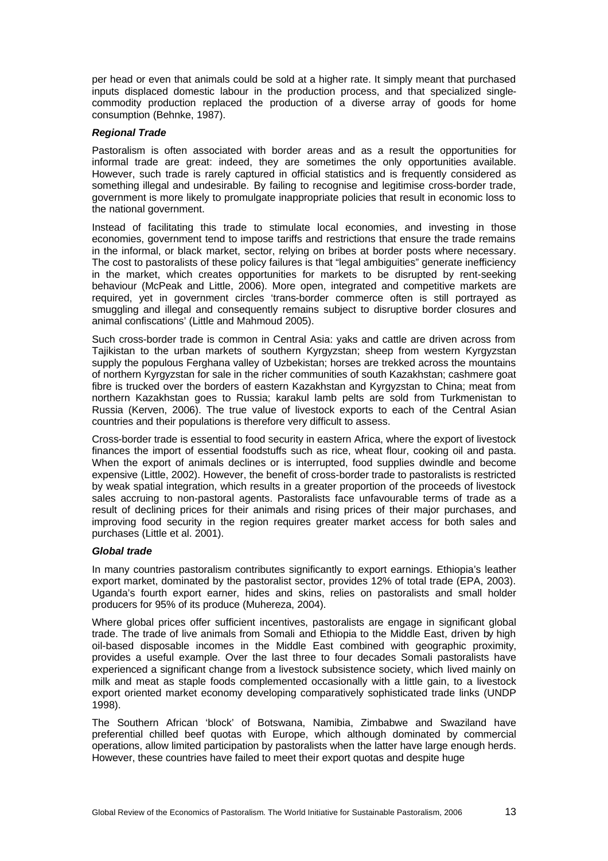per head or even that animals could be sold at a higher rate. It simply meant that purchased inputs displaced domestic labour in the production process, and that specialized singlecommodity production replaced the production of a diverse array of goods for home consumption (Behnke, 1987).

#### *Regional Trade*

Pastoralism is often associated with border areas and as a result the opportunities for informal trade are great: indeed, they are sometimes the only opportunities available. However, such trade is rarely captured in official statistics and is frequently considered as something illegal and undesirable. By failing to recognise and legitimise cross-border trade, government is more likely to promulgate inappropriate policies that result in economic loss to the national government.

Instead of facilitating this trade to stimulate local economies, and investing in those economies, government tend to impose tariffs and restrictions that ensure the trade remains in the informal, or black market, sector, relying on bribes at border posts where necessary. The cost to pastoralists of these policy failures is that "legal ambiguities" generate inefficiency in the market, which creates opportunities for markets to be disrupted by rent-seeking behaviour (McPeak and Little, 2006). More open, integrated and competitive markets are required, yet in government circles 'trans-border commerce often is still portrayed as smuggling and illegal and consequently remains subject to disruptive border closures and animal confiscations' (Little and Mahmoud 2005).

Such cross-border trade is common in Central Asia: yaks and cattle are driven across from Tajikistan to the urban markets of southern Kyrgyzstan; sheep from western Kyrgyzstan supply the populous Ferghana valley of Uzbekistan; horses are trekked across the mountains of northern Kyrgyzstan for sale in the richer communities of south Kazakhstan; cashmere goat fibre is trucked over the borders of eastern Kazakhstan and Kyrgyzstan to China; meat from northern Kazakhstan goes to Russia; karakul lamb pelts are sold from Turkmenistan to Russia (Kerven, 2006). The true value of livestock exports to each of the Central Asian countries and their populations is therefore very difficult to assess.

Cross-border trade is essential to food security in eastern Africa, where the export of livestock finances the import of essential foodstuffs such as rice, wheat flour, cooking oil and pasta. When the export of animals declines or is interrupted, food supplies dwindle and become expensive (Little, 2002). However, the benefit of cross-border trade to pastoralists is restricted by weak spatial integration, which results in a greater proportion of the proceeds of livestock sales accruing to non-pastoral agents. Pastoralists face unfavourable terms of trade as a result of declining prices for their animals and rising prices of their major purchases, and improving food security in the region requires greater market access for both sales and purchases (Little et al. 2001).

#### *Global trade*

In many countries pastoralism contributes significantly to export earnings. Ethiopia's leather export market, dominated by the pastoralist sector, provides 12% of total trade (EPA, 2003). Uganda's fourth export earner, hides and skins, relies on pastoralists and small holder producers for 95% of its produce (Muhereza, 2004).

Where global prices offer sufficient incentives, pastoralists are engage in significant global trade. The trade of live animals from Somali and Ethiopia to the Middle East, driven by high oil-based disposable incomes in the Middle East combined with geographic proximity, provides a useful example. Over the last three to four decades Somali pastoralists have experienced a significant change from a livestock subsistence society, which lived mainly on milk and meat as staple foods complemented occasionally with a little gain, to a livestock export oriented market economy developing comparatively sophisticated trade links (UNDP 1998).

The Southern African 'block' of Botswana, Namibia, Zimbabwe and Swaziland have preferential chilled beef quotas with Europe, which although dominated by commercial operations, allow limited participation by pastoralists when the latter have large enough herds. However, these countries have failed to meet their export quotas and despite huge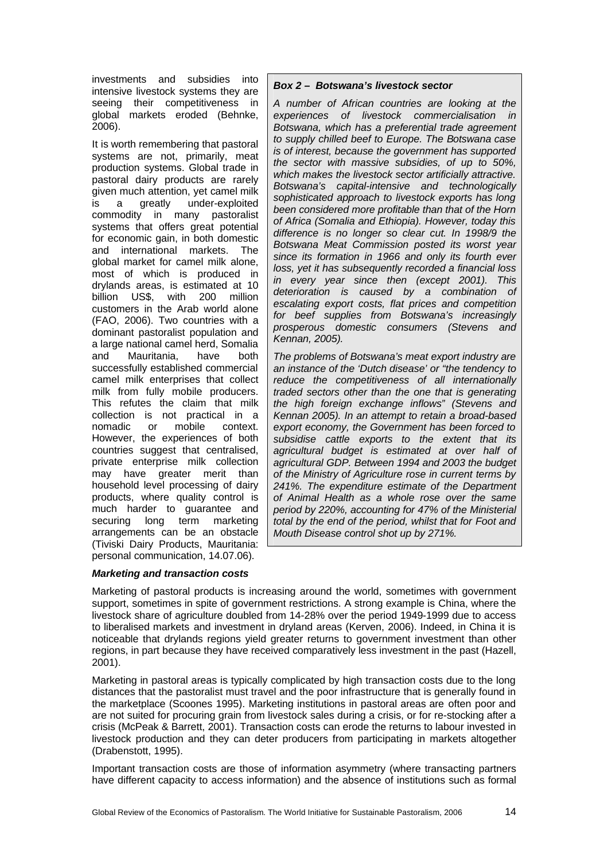investments and subsidies into intensive livestock systems they are seeing their competitiveness in global markets eroded (Behnke, 2006).

It is worth remembering that pastoral systems are not, primarily, meat production systems. Global trade in pastoral dairy products are rarely given much attention, yet camel milk is a greatly under-exploited commodity in many pastoralist systems that offers great potential for economic gain, in both domestic and international markets. The global market for camel milk alone, most of which is produced in drylands areas, is estimated at 10 billion US\$, with 200 million customers in the Arab world alone (FAO, 2006). Two countries with a dominant pastoralist population and a large national camel herd, Somalia and Mauritania, have both successfully established commercial camel milk enterprises that collect milk from fully mobile producers. This refutes the claim that milk collection is not practical in a nomadic or mobile context. However, the experiences of both countries suggest that centralised, private enterprise milk collection may have greater merit than household level processing of dairy products, where quality control is much harder to guarantee and securing long term marketing arrangements can be an obstacle (Tiviski Dairy Products, Mauritania: personal communication, 14.07.06).

#### *Box 2 – Botswana's livestock sector*

*A number of African countries are looking at the experiences of livestock commercialisation in Botswana, which has a preferential trade agreement to supply chilled beef to Europe. The Botswana case is of interest, because the government has supported the sector with massive subsidies, of up to 50%, which makes the livestock sector artificially attractive. Botswana's capital-intensive and technologically sophisticated approach to livestock exports has long been considered more profitable than that of the Horn of Africa (Somalia and Ethiopia). However, today this difference is no longer so clear cut. In 1998/9 the Botswana Meat Commission posted its worst year since its formation in 1966 and only its fourth ever loss, yet it has subsequently recorded a financial loss in every year since then (except 2001). This deterioration is caused by a combination of escalating export costs, flat prices and competition for beef supplies from Botswana's increasingly prosperous domestic consumers (Stevens and Kennan, 2005).*

*The problems of Botswana's meat export industry are an instance of the 'Dutch disease' or "the tendency to reduce the competitiveness of all internationally traded sectors other than the one that is generating the high foreign exchange inflows" (Stevens and Kennan 2005). In an attempt to retain a broad-based export economy, the Government has been forced to subsidise cattle exports to the extent that its agricultural budget is estimated at over half of agricultural GDP. Between 1994 and 2003 the budget of the Ministry of Agriculture rose in current terms by 241%. The expenditure estimate of the Department of Animal Health as a whole rose over the same period by 220%, accounting for 47% of the Ministerial total by the end of the period, whilst that for Foot and Mouth Disease control shot up by 271%.*

#### *Marketing and transaction costs*

Marketing of pastoral products is increasing around the world, sometimes with government support, sometimes in spite of government restrictions. A strong example is China, where the livestock share of agriculture doubled from 14-28% over the period 1949-1999 due to access to liberalised markets and investment in dryland areas (Kerven, 2006). Indeed, in China it is noticeable that drylands regions yield greater returns to government investment than other regions, in part because they have received comparatively less investment in the past (Hazell, 2001).

Marketing in pastoral areas is typically complicated by high transaction costs due to the long distances that the pastoralist must travel and the poor infrastructure that is generally found in the marketplace (Scoones 1995). Marketing institutions in pastoral areas are often poor and are not suited for procuring grain from livestock sales during a crisis, or for re-stocking after a crisis (McPeak & Barrett, 2001). Transaction costs can erode the returns to labour invested in livestock production and they can deter producers from participating in markets altogether (Drabenstott, 1995).

Important transaction costs are those of information asymmetry (where transacting partners have different capacity to access information) and the absence of institutions such as formal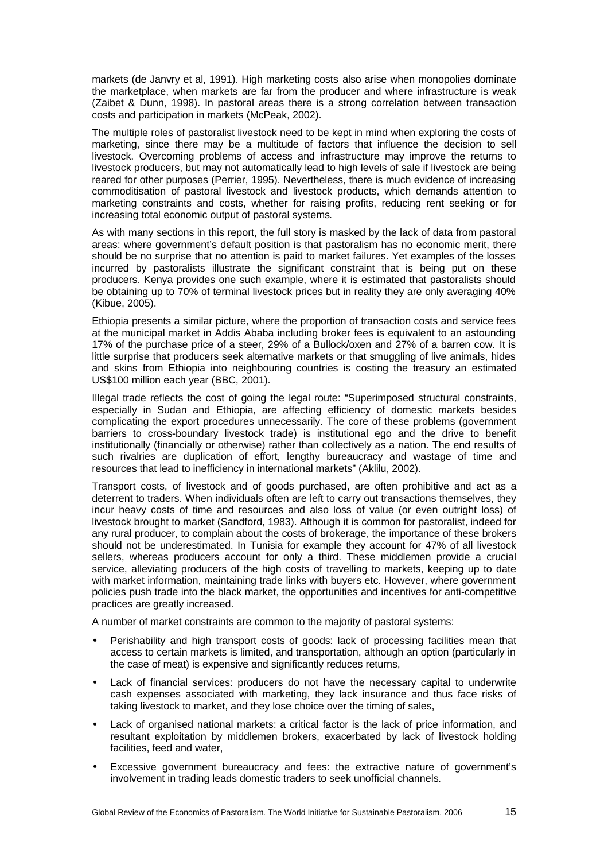markets (de Janvry et al, 1991). High marketing costs also arise when monopolies dominate the marketplace, when markets are far from the producer and where infrastructure is weak (Zaibet & Dunn, 1998). In pastoral areas there is a strong correlation between transaction costs and participation in markets (McPeak, 2002).

The multiple roles of pastoralist livestock need to be kept in mind when exploring the costs of marketing, since there may be a multitude of factors that influence the decision to sell livestock. Overcoming problems of access and infrastructure may improve the returns to livestock producers, but may not automatically lead to high levels of sale if livestock are being reared for other purposes (Perrier, 1995). Nevertheless, there is much evidence of increasing commoditisation of pastoral livestock and livestock products, which demands attention to marketing constraints and costs, whether for raising profits, reducing rent seeking or for increasing total economic output of pastoral systems.

As with many sections in this report, the full story is masked by the lack of data from pastoral areas: where government's default position is that pastoralism has no economic merit, there should be no surprise that no attention is paid to market failures. Yet examples of the losses incurred by pastoralists illustrate the significant constraint that is being put on these producers. Kenya provides one such example, where it is estimated that pastoralists should be obtaining up to 70% of terminal livestock prices but in reality they are only averaging 40% (Kibue, 2005).

Ethiopia presents a similar picture, where the proportion of transaction costs and service fees at the municipal market in Addis Ababa including broker fees is equivalent to an astounding 17% of the purchase price of a steer, 29% of a Bullock/oxen and 27% of a barren cow. It is little surprise that producers seek alternative markets or that smuggling of live animals, hides and skins from Ethiopia into neighbouring countries is costing the treasury an estimated US\$100 million each year (BBC, 2001).

Illegal trade reflects the cost of going the legal route: "Superimposed structural constraints, especially in Sudan and Ethiopia, are affecting efficiency of domestic markets besides complicating the export procedures unnecessarily. The core of these problems (government barriers to cross-boundary livestock trade) is institutional ego and the drive to benefit institutionally (financially or otherwise) rather than collectively as a nation. The end results of such rivalries are duplication of effort, lengthy bureaucracy and wastage of time and resources that lead to inefficiency in international markets" (Aklilu, 2002).

Transport costs, of livestock and of goods purchased, are often prohibitive and act as a deterrent to traders. When individuals often are left to carry out transactions themselves, they incur heavy costs of time and resources and also loss of value (or even outright loss) of livestock brought to market (Sandford, 1983). Although it is common for pastoralist, indeed for any rural producer, to complain about the costs of brokerage, the importance of these brokers should not be underestimated. In Tunisia for example they account for 47% of all livestock sellers, whereas producers account for only a third. These middlemen provide a crucial service, alleviating producers of the high costs of travelling to markets, keeping up to date with market information, maintaining trade links with buyers etc. However, where government policies push trade into the black market, the opportunities and incentives for anti-competitive practices are greatly increased.

A number of market constraints are common to the majority of pastoral systems:

- Perishability and high transport costs of goods: lack of processing facilities mean that access to certain markets is limited, and transportation, although an option (particularly in the case of meat) is expensive and significantly reduces returns,
- Lack of financial services: producers do not have the necessary capital to underwrite cash expenses associated with marketing, they lack insurance and thus face risks of taking livestock to market, and they lose choice over the timing of sales,
- Lack of organised national markets: a critical factor is the lack of price information, and resultant exploitation by middlemen brokers, exacerbated by lack of livestock holding facilities, feed and water,
- Excessive government bureaucracy and fees: the extractive nature of government's involvement in trading leads domestic traders to seek unofficial channels.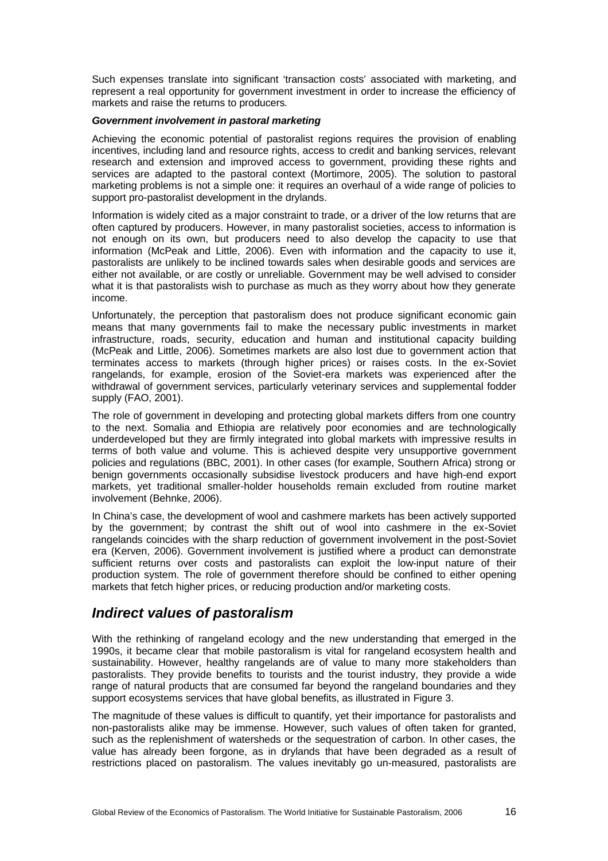Such expenses translate into significant 'transaction costs' associated with marketing, and represent a real opportunity for government investment in order to increase the efficiency of markets and raise the returns to producers.

#### *Government involvement in pastoral marketing*

Achieving the economic potential of pastoralist regions requires the provision of enabling incentives, including land and resource rights, access to credit and banking services, relevant research and extension and improved access to government, providing these rights and services are adapted to the pastoral context (Mortimore, 2005). The solution to pastoral marketing problems is not a simple one: it requires an overhaul of a wide range of policies to support pro-pastoralist development in the drylands.

Information is widely cited as a major constraint to trade, or a driver of the low returns that are often captured by producers. However, in many pastoralist societies, access to information is not enough on its own, but producers need to also develop the capacity to use that information (McPeak and Little, 2006). Even with information and the capacity to use it, pastoralists are unlikely to be inclined towards sales when desirable goods and services are either not available, or are costly or unreliable. Government may be well advised to consider what it is that pastoralists wish to purchase as much as they worry about how they generate income.

Unfortunately, the perception that pastoralism does not produce significant economic gain means that many governments fail to make the necessary public investments in market infrastructure, roads, security, education and human and institutional capacity building (McPeak and Little, 2006). Sometimes markets are also lost due to government action that terminates access to markets (through higher prices) or raises costs. In the ex-Soviet rangelands, for example, erosion of the Soviet-era markets was experienced after the withdrawal of government services, particularly veterinary services and supplemental fodder supply (FAO, 2001).

The role of government in developing and protecting global markets differs from one country to the next. Somalia and Ethiopia are relatively poor economies and are technologically underdeveloped but they are firmly integrated into global markets with impressive results in terms of both value and volume. This is achieved despite very unsupportive government policies and regulations (BBC, 2001). In other cases (for example, Southern Africa) strong or benign governments occasionally subsidise livestock producers and have high-end export markets, yet traditional smaller-holder households remain excluded from routine market involvement (Behnke, 2006).

In China's case, the development of wool and cashmere markets has been actively supported by the government; by contrast the shift out of wool into cashmere in the ex-Soviet rangelands coincides with the sharp reduction of government involvement in the post-Soviet era (Kerven, 2006). Government involvement is justified where a product can demonstrate sufficient returns over costs and pastoralists can exploit the low-input nature of their production system. The role of government therefore should be confined to either opening markets that fetch higher prices, or reducing production and/or marketing costs.

# *Indirect values of pastoralism*

With the rethinking of rangeland ecology and the new understanding that emerged in the 1990s, it became clear that mobile pastoralism is vital for rangeland ecosystem health and sustainability. However, healthy rangelands are of value to many more stakeholders than pastoralists. They provide benefits to tourists and the tourist industry, they provide a wide range of natural products that are consumed far beyond the rangeland boundaries and they support ecosystems services that have global benefits, as illustrated in Figure 3.

The magnitude of these values is difficult to quantify, yet their importance for pastoralists and non-pastoralists alike may be immense. However, such values of often taken for granted, such as the replenishment of watersheds or the sequestration of carbon. In other cases, the value has already been forgone, as in drylands that have been degraded as a result of restrictions placed on pastoralism. The values inevitably go un-measured, pastoralists are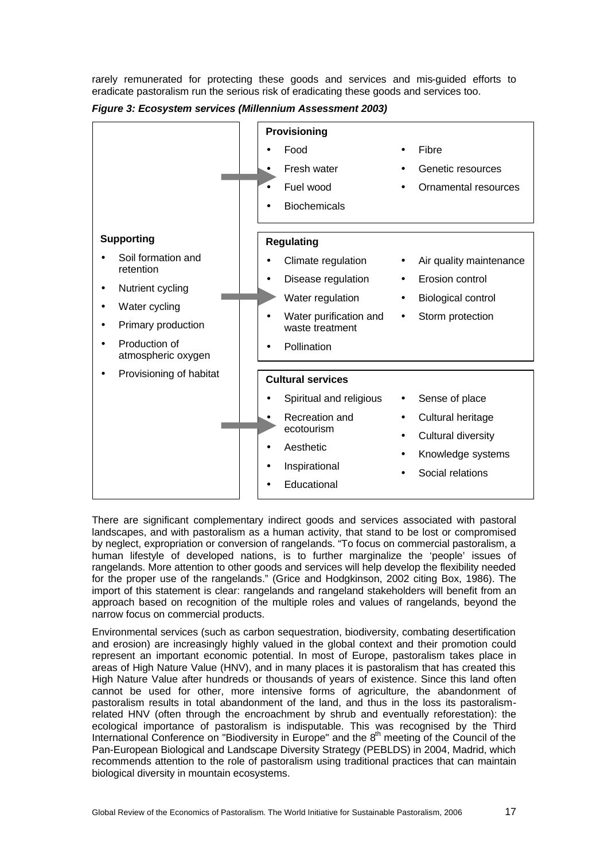rarely remunerated for protecting these goods and services and mis-guided efforts to eradicate pastoralism run the serious risk of eradicating these goods and services too.

*Figure 3: Ecosystem services (Millennium Assessment 2003)*



There are significant complementary indirect goods and services associated with pastoral landscapes, and with pastoralism as a human activity, that stand to be lost or compromised by neglect, expropriation or conversion of rangelands. "To focus on commercial pastoralism, a human lifestyle of developed nations, is to further marginalize the 'people' issues of rangelands. More attention to other goods and services will help develop the flexibility needed for the proper use of the rangelands." (Grice and Hodgkinson, 2002 citing Box, 1986). The import of this statement is clear: rangelands and rangeland stakeholders will benefit from an approach based on recognition of the multiple roles and values of rangelands, beyond the narrow focus on commercial products.

Environmental services (such as carbon sequestration, biodiversity, combating desertification and erosion) are increasingly highly valued in the global context and their promotion could represent an important economic potential. In most of Europe, pastoralism takes place in areas of High Nature Value (HNV), and in many places it is pastoralism that has created this High Nature Value after hundreds or thousands of years of existence. Since this land often cannot be used for other, more intensive forms of agriculture, the abandonment of pastoralism results in total abandonment of the land, and thus in the loss its pastoralismrelated HNV (often through the encroachment by shrub and eventually reforestation): the ecological importance of pastoralism is indisputable. This was recognised by the Third International Conference on "Biodiversity in Europe" and the  $8<sup>th</sup>$  meeting of the Council of the Pan-European Biological and Landscape Diversity Strategy (PEBLDS) in 2004, Madrid, which recommends attention to the role of pastoralism using traditional practices that can maintain biological diversity in mountain ecosystems.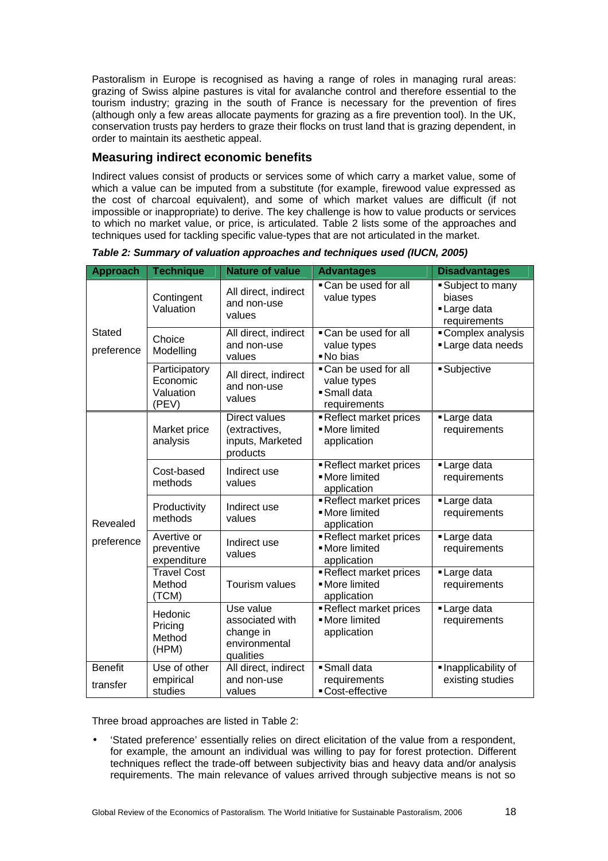Pastoralism in Europe is recognised as having a range of roles in managing rural areas: grazing of Swiss alpine pastures is vital for avalanche control and therefore essential to the tourism industry; grazing in the south of France is necessary for the prevention of fires (although only a few areas allocate payments for grazing as a fire prevention tool). In the UK, conservation trusts pay herders to graze their flocks on trust land that is grazing dependent, in order to maintain its aesthetic appeal.

## **Measuring indirect economic benefits**

Indirect values consist of products or services some of which carry a market value, some of which a value can be imputed from a substitute (for example, firewood value expressed as the cost of charcoal equivalent), and some of which market values are difficult (if not impossible or inappropriate) to derive. The key challenge is how to value products or services to which no market value, or price, is articulated. Table 2 lists some of the approaches and techniques used for tackling specific value-types that are not articulated in the market.

*Table 2: Summary of valuation approaches and techniques used (IUCN, 2005)*

| <b>Approach</b>                                        | <b>Technique</b>                                | <b>Nature of value</b>                                                  | <b>Advantages</b>                                                  | <b>Disadvantages</b>                                      |
|--------------------------------------------------------|-------------------------------------------------|-------------------------------------------------------------------------|--------------------------------------------------------------------|-----------------------------------------------------------|
|                                                        | Contingent<br>Valuation                         | All direct, indirect<br>and non-use<br>values                           | Can be used for all<br>value types                                 | • Subject to many<br>biases<br>Large data<br>requirements |
| <b>Stated</b><br>preference                            | Choice<br>Modelling                             | All direct, indirect<br>and non-use<br>values                           | Can be used for all<br>value types<br>No bias                      | Complex analysis<br>Large data needs                      |
|                                                        | Participatory<br>Economic<br>Valuation<br>(PEV) | All direct, indirect<br>and non-use<br>values                           | • Can be used for all<br>value types<br>Small data<br>requirements | · Subjective                                              |
|                                                        | Market price<br>analysis                        | Direct values<br>(extractives,<br>inputs, Marketed<br>products          | Reflect market prices<br>· More limited<br>application             | Large data<br>requirements                                |
|                                                        | Cost-based<br>methods                           | Indirect use<br>values                                                  | Reflect market prices<br>· More limited<br>application             | Large data<br>requirements                                |
| Revealed                                               | Productivity<br>methods                         | Indirect use<br>values                                                  | Reflect market prices<br>· More limited<br>application             | Large data<br>requirements                                |
| Avertive or<br>preference<br>preventive<br>expenditure | Indirect use<br>values                          | Reflect market prices<br>· More limited<br>application                  | Large data<br>requirements                                         |                                                           |
|                                                        | <b>Travel Cost</b><br>Method<br>(TCM)           | Tourism values                                                          | Reflect market prices<br>· More limited<br>application             | Large data<br>requirements                                |
|                                                        | Hedonic<br>Pricing<br>Method<br>(HPM)           | Use value<br>associated with<br>change in<br>environmental<br>qualities | Reflect market prices<br>· More limited<br>application             | - Large data<br>requirements                              |
| <b>Benefit</b>                                         | Use of other<br>empirical                       | All direct, indirect<br>and non-use                                     | Small data<br>requirements                                         | Inapplicability of<br>existing studies                    |
| transfer                                               | studies                                         | values                                                                  | - Cost-effective                                                   |                                                           |

Three broad approaches are listed in Table 2:

• 'Stated preference' essentially relies on direct elicitation of the value from a respondent, for example, the amount an individual was willing to pay for forest protection. Different techniques reflect the trade-off between subjectivity bias and heavy data and/or analysis requirements. The main relevance of values arrived through subjective means is not so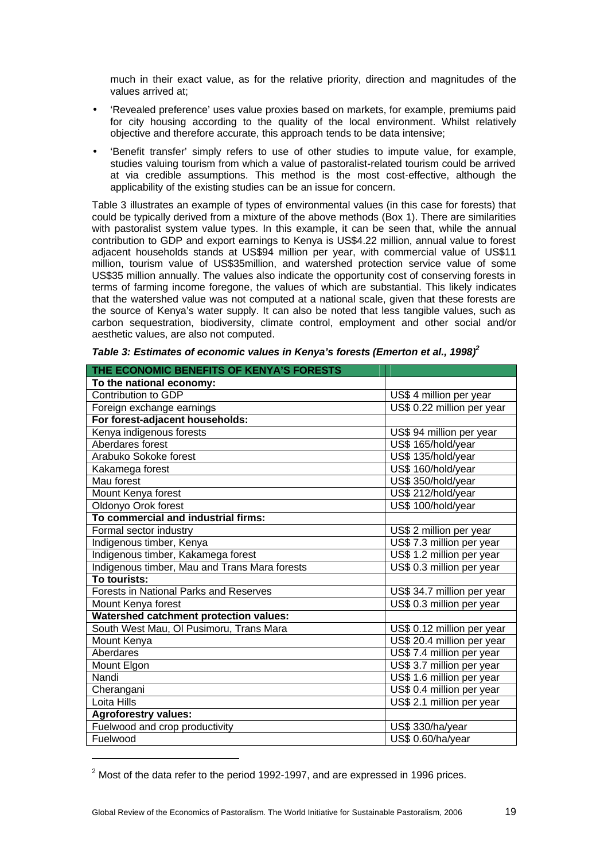much in their exact value, as for the relative priority, direction and magnitudes of the values arrived at;

- 'Revealed preference' uses value proxies based on markets, for example, premiums paid for city housing according to the quality of the local environment. Whilst relatively objective and therefore accurate, this approach tends to be data intensive;
- 'Benefit transfer' simply refers to use of other studies to impute value, for example, studies valuing tourism from which a value of pastoralist-related tourism could be arrived at via credible assumptions. This method is the most cost-effective, although the applicability of the existing studies can be an issue for concern.

Table 3 illustrates an example of types of environmental values (in this case for forests) that could be typically derived from a mixture of the above methods (Box 1). There are similarities with pastoralist system value types. In this example, it can be seen that, while the annual contribution to GDP and export earnings to Kenya is US\$4.22 million, annual value to forest adjacent households stands at US\$94 million per year, with commercial value of US\$11 million, tourism value of US\$35million, and watershed protection service value of some US\$35 million annually. The values also indicate the opportunity cost of conserving forests in terms of farming income foregone, the values of which are substantial. This likely indicates that the watershed value was not computed at a national scale, given that these forests are the source of Kenya's water supply. It can also be noted that less tangible values, such as carbon sequestration, biodiversity, climate control, employment and other social and/or aesthetic values, are also not computed.

| THE ECONOMIC BENEFITS OF KENYA'S FORESTS                                   |                            |
|----------------------------------------------------------------------------|----------------------------|
| To the national economy:                                                   |                            |
| <b>Contribution to GDP</b>                                                 | US\$ 4 million per year    |
| Foreign exchange earnings                                                  | US\$ 0.22 million per year |
| For forest-adjacent households:                                            |                            |
| Kenya indigenous forests                                                   | US\$ 94 million per year   |
| Aberdares forest                                                           | US\$ 165/hold/year         |
| Arabuko Sokoke forest                                                      | US\$ 135/hold/year         |
| Kakamega forest                                                            | US\$ 160/hold/year         |
| Mau forest                                                                 | US\$ 350/hold/year         |
| Mount Kenya forest                                                         | US\$ 212/hold/year         |
| Oldonyo Orok forest                                                        | US\$ 100/hold/year         |
| To commercial and industrial firms:                                        |                            |
| Formal sector industry                                                     | US\$ 2 million per year    |
| Indigenous timber, Kenya                                                   | US\$ 7.3 million per year  |
| Indigenous timber, Kakamega forest                                         | US\$ 1.2 million per year  |
| Indigenous timber, Mau and Trans Mara forests<br>US\$ 0.3 million per year |                            |
| To tourists:                                                               |                            |
| Forests in National Parks and Reserves                                     | US\$ 34.7 million per year |
| US\$ 0.3 million per year<br>Mount Kenya forest                            |                            |
| <b>Watershed catchment protection values:</b>                              |                            |
| South West Mau, Ol Pusimoru, Trans Mara                                    | US\$ 0.12 million per year |
| Mount Kenya                                                                | US\$ 20.4 million per year |
| Aberdares                                                                  | US\$ 7.4 million per year  |
| Mount Elgon                                                                | US\$ 3.7 million per year  |
| Nandi                                                                      | US\$ 1.6 million per year  |
| Cherangani                                                                 | US\$ 0.4 million per year  |
| Loita Hills                                                                | US\$ 2.1 million per year  |
| <b>Agroforestry values:</b>                                                |                            |
| Fuelwood and crop productivity                                             | US\$ 330/ha/year           |
| Fuelwood                                                                   | US\$ 0.60/ha/year          |

| Table 3: Estimates of economic values in Kenya's forests (Emerton et al., 1998) |  |
|---------------------------------------------------------------------------------|--|
|                                                                                 |  |

l

 $2$  Most of the data refer to the period 1992-1997, and are expressed in 1996 prices.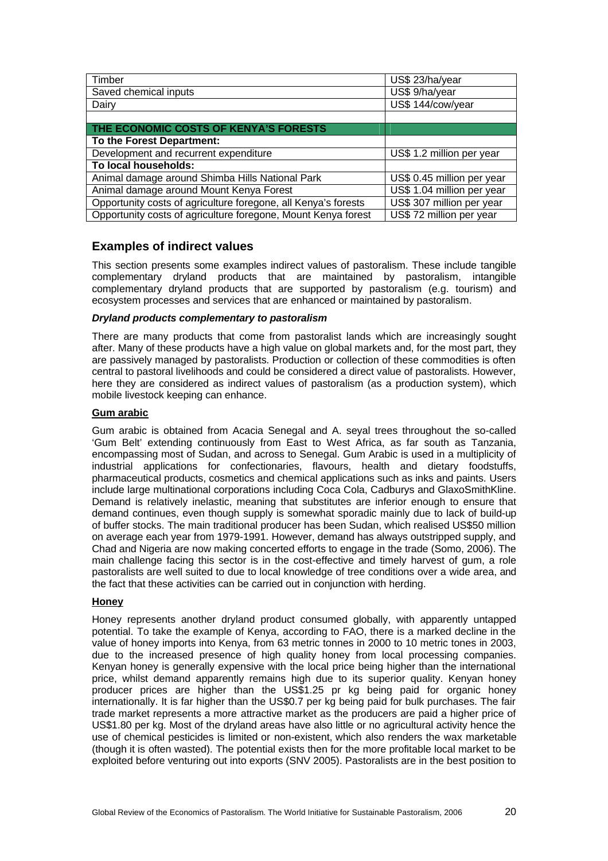| Timber                                                                                      | US\$ 23/ha/year            |
|---------------------------------------------------------------------------------------------|----------------------------|
| Saved chemical inputs                                                                       | US\$ 9/ha/year             |
| Dairy                                                                                       | US\$ 144/cow/year          |
|                                                                                             |                            |
| THE ECONOMIC COSTS OF KENYA'S FORESTS                                                       |                            |
| To the Forest Department:                                                                   |                            |
| Development and recurrent expenditure<br>US\$ 1.2 million per year                          |                            |
| To local households:                                                                        |                            |
| Animal damage around Shimba Hills National Park                                             | US\$ 0.45 million per year |
| Animal damage around Mount Kenya Forest<br>US\$ 1.04 million per year                       |                            |
| Opportunity costs of agriculture foregone, all Kenya's forests<br>US\$ 307 million per year |                            |
| Opportunity costs of agriculture foregone, Mount Kenya forest                               | US\$72 million per year    |

## **Examples of indirect values**

This section presents some examples indirect values of pastoralism. These include tangible complementary dryland products that are maintained by pastoralism, intangible complementary dryland products that are supported by pastoralism (e.g. tourism) and ecosystem processes and services that are enhanced or maintained by pastoralism.

#### *Dryland products complementary to pastoralism*

There are many products that come from pastoralist lands which are increasingly sought after. Many of these products have a high value on global markets and, for the most part, they are passively managed by pastoralists. Production or collection of these commodities is often central to pastoral livelihoods and could be considered a direct value of pastoralists. However, here they are considered as indirect values of pastoralism (as a production system), which mobile livestock keeping can enhance.

#### **Gum arabic**

Gum arabic is obtained from Acacia Senegal and A. seyal trees throughout the so-called 'Gum Belt' extending continuously from East to West Africa, as far south as Tanzania, encompassing most of Sudan, and across to Senegal. Gum Arabic is used in a multiplicity of industrial applications for confectionaries, flavours, health and dietary foodstuffs, pharmaceutical products, cosmetics and chemical applications such as inks and paints. Users include large multinational corporations including Coca Cola, Cadburys and GlaxoSmithKline. Demand is relatively inelastic, meaning that substitutes are inferior enough to ensure that demand continues, even though supply is somewhat sporadic mainly due to lack of build-up of buffer stocks. The main traditional producer has been Sudan, which realised US\$50 million on average each year from 1979-1991. However, demand has always outstripped supply, and Chad and Nigeria are now making concerted efforts to engage in the trade (Somo, 2006). The main challenge facing this sector is in the cost-effective and timely harvest of gum, a role pastoralists are well suited to due to local knowledge of tree conditions over a wide area, and the fact that these activities can be carried out in conjunction with herding.

#### **Honey**

Honey represents another dryland product consumed globally, with apparently untapped potential. To take the example of Kenya, according to FAO, there is a marked decline in the value of honey imports into Kenya, from 63 metric tonnes in 2000 to 10 metric tones in 2003, due to the increased presence of high quality honey from local processing companies. Kenyan honey is generally expensive with the local price being higher than the international price, whilst demand apparently remains high due to its superior quality. Kenyan honey producer prices are higher than the US\$1.25 pr kg being paid for organic honey internationally. It is far higher than the US\$0.7 per kg being paid for bulk purchases. The fair trade market represents a more attractive market as the producers are paid a higher price of US\$1.80 per kg. Most of the dryland areas have also little or no agricultural activity hence the use of chemical pesticides is limited or non-existent, which also renders the wax marketable (though it is often wasted). The potential exists then for the more profitable local market to be exploited before venturing out into exports (SNV 2005). Pastoralists are in the best position to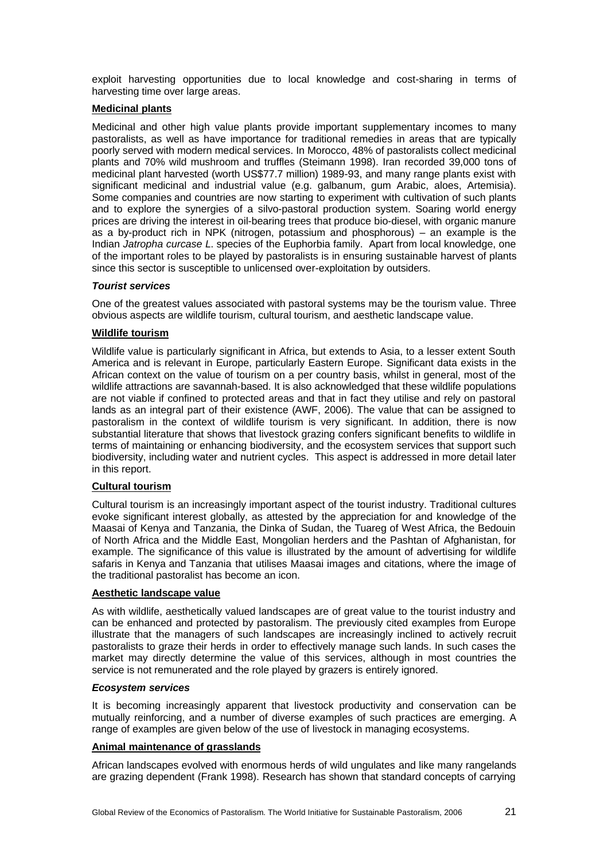exploit harvesting opportunities due to local knowledge and cost-sharing in terms of harvesting time over large areas.

#### **Medicinal plants**

Medicinal and other high value plants provide important supplementary incomes to many pastoralists, as well as have importance for traditional remedies in areas that are typically poorly served with modern medical services. In Morocco, 48% of pastoralists collect medicinal plants and 70% wild mushroom and truffles (Steimann 1998). Iran recorded 39,000 tons of medicinal plant harvested (worth US\$77.7 million) 1989-93, and many range plants exist with significant medicinal and industrial value (e.g. galbanum, gum Arabic, aloes, Artemisia). Some companies and countries are now starting to experiment with cultivation of such plants and to explore the synergies of a silvo-pastoral production system. Soaring world energy prices are driving the interest in oil-bearing trees that produce bio-diesel, with organic manure as a by-product rich in NPK (nitrogen, potassium and phosphorous) – an example is the Indian *Jatropha curcase L*. species of the Euphorbia family. Apart from local knowledge, one of the important roles to be played by pastoralists is in ensuring sustainable harvest of plants since this sector is susceptible to unlicensed over-exploitation by outsiders.

#### *Tourist services*

One of the greatest values associated with pastoral systems may be the tourism value. Three obvious aspects are wildlife tourism, cultural tourism, and aesthetic landscape value.

#### **Wildlife tourism**

Wildlife value is particularly significant in Africa, but extends to Asia, to a lesser extent South America and is relevant in Europe, particularly Eastern Europe. Significant data exists in the African context on the value of tourism on a per country basis, whilst in general, most of the wildlife attractions are savannah-based. It is also acknowledged that these wildlife populations are not viable if confined to protected areas and that in fact they utilise and rely on pastoral lands as an integral part of their existence (AWF, 2006). The value that can be assigned to pastoralism in the context of wildlife tourism is very significant. In addition, there is now substantial literature that shows that livestock grazing confers significant benefits to wildlife in terms of maintaining or enhancing biodiversity, and the ecosystem services that support such biodiversity, including water and nutrient cycles. This aspect is addressed in more detail later in this report.

### **Cultural tourism**

Cultural tourism is an increasingly important aspect of the tourist industry. Traditional cultures evoke significant interest globally, as attested by the appreciation for and knowledge of the Maasai of Kenya and Tanzania, the Dinka of Sudan, the Tuareg of West Africa, the Bedouin of North Africa and the Middle East, Mongolian herders and the Pashtan of Afghanistan, for example. The significance of this value is illustrated by the amount of advertising for wildlife safaris in Kenya and Tanzania that utilises Maasai images and citations, where the image of the traditional pastoralist has become an icon.

#### **Aesthetic landscape value**

As with wildlife, aesthetically valued landscapes are of great value to the tourist industry and can be enhanced and protected by pastoralism. The previously cited examples from Europe illustrate that the managers of such landscapes are increasingly inclined to actively recruit pastoralists to graze their herds in order to effectively manage such lands. In such cases the market may directly determine the value of this services, although in most countries the service is not remunerated and the role played by grazers is entirely ignored.

#### *Ecosystem services*

It is becoming increasingly apparent that livestock productivity and conservation can be mutually reinforcing, and a number of diverse examples of such practices are emerging. A range of examples are given below of the use of livestock in managing ecosystems.

#### **Animal maintenance of grasslands**

African landscapes evolved with enormous herds of wild ungulates and like many rangelands are grazing dependent (Frank 1998). Research has shown that standard concepts of carrying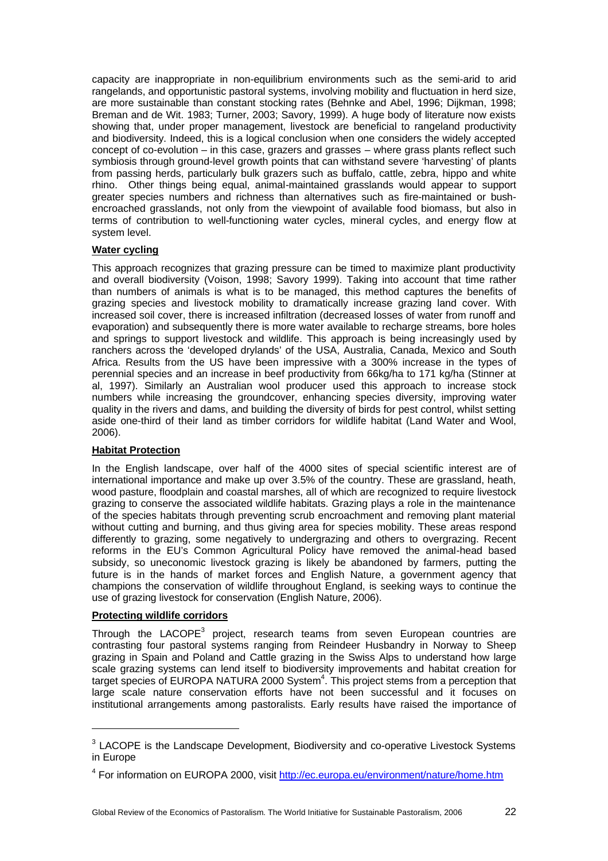capacity are inappropriate in non-equilibrium environments such as the semi-arid to arid rangelands, and opportunistic pastoral systems, involving mobility and fluctuation in herd size, are more sustainable than constant stocking rates (Behnke and Abel, 1996; Dijkman, 1998; Breman and de Wit. 1983; Turner, 2003; Savory, 1999). A huge body of literature now exists showing that, under proper management, livestock are beneficial to rangeland productivity and biodiversity. Indeed, this is a logical conclusion when one considers the widely accepted concept of co-evolution – in this case, grazers and grasses – where grass plants reflect such symbiosis through ground-level growth points that can withstand severe 'harvesting' of plants from passing herds, particularly bulk grazers such as buffalo, cattle, zebra, hippo and white rhino. Other things being equal, animal-maintained grasslands would appear to support greater species numbers and richness than alternatives such as fire-maintained or bushencroached grasslands, not only from the viewpoint of available food biomass, but also in terms of contribution to well-functioning water cycles, mineral cycles, and energy flow at system level.

#### **Water cycling**

This approach recognizes that grazing pressure can be timed to maximize plant productivity and overall biodiversity (Voison, 1998; Savory 1999). Taking into account that time rather than numbers of animals is what is to be managed, this method captures the benefits of grazing species and livestock mobility to dramatically increase grazing land cover. With increased soil cover, there is increased infiltration (decreased losses of water from runoff and evaporation) and subsequently there is more water available to recharge streams, bore holes and springs to support livestock and wildlife. This approach is being increasingly used by ranchers across the 'developed drylands' of the USA, Australia, Canada, Mexico and South Africa. Results from the US have been impressive with a 300% increase in the types of perennial species and an increase in beef productivity from 66kg/ha to 171 kg/ha (Stinner at al, 1997). Similarly an Australian wool producer used this approach to increase stock numbers while increasing the groundcover, enhancing species diversity, improving water quality in the rivers and dams, and building the diversity of birds for pest control, whilst setting aside one-third of their land as timber corridors for wildlife habitat (Land Water and Wool, 2006).

#### **Habitat Protection**

In the English landscape, over half of the 4000 sites of special scientific interest are of international importance and make up over 3.5% of the country. These are grassland, heath, wood pasture, floodplain and coastal marshes, all of which are recognized to require livestock grazing to conserve the associated wildlife habitats. Grazing plays a role in the maintenance of the species habitats through preventing scrub encroachment and removing plant material without cutting and burning, and thus giving area for species mobility. These areas respond differently to grazing, some negatively to undergrazing and others to overgrazing. Recent reforms in the EU's Common Agricultural Policy have removed the animal-head based subsidy, so uneconomic livestock grazing is likely be abandoned by farmers, putting the future is in the hands of market forces and English Nature, a government agency that champions the conservation of wildlife throughout England, is seeking ways to continue the use of grazing livestock for conservation (English Nature, 2006).

### **Protecting wildlife corridors**

l

Through the LACOPE<sup>3</sup> project, research teams from seven European countries are contrasting four pastoral systems ranging from Reindeer Husbandry in Norway to Sheep grazing in Spain and Poland and Cattle grazing in the Swiss Alps to understand how large scale grazing systems can lend itself to biodiversity improvements and habitat creation for target species of EUROPA NATURA 2000 System<sup>4</sup>. This project stems from a perception that large scale nature conservation efforts have not been successful and it focuses on institutional arrangements among pastoralists. Early results have raised the importance of

 $3$  LACOPE is the Landscape Development, Biodiversity and co-operative Livestock Systems in Europe

<sup>&</sup>lt;sup>4</sup> For information on EUROPA 2000, visit http://ec.europa.eu/environment/nature/home.htm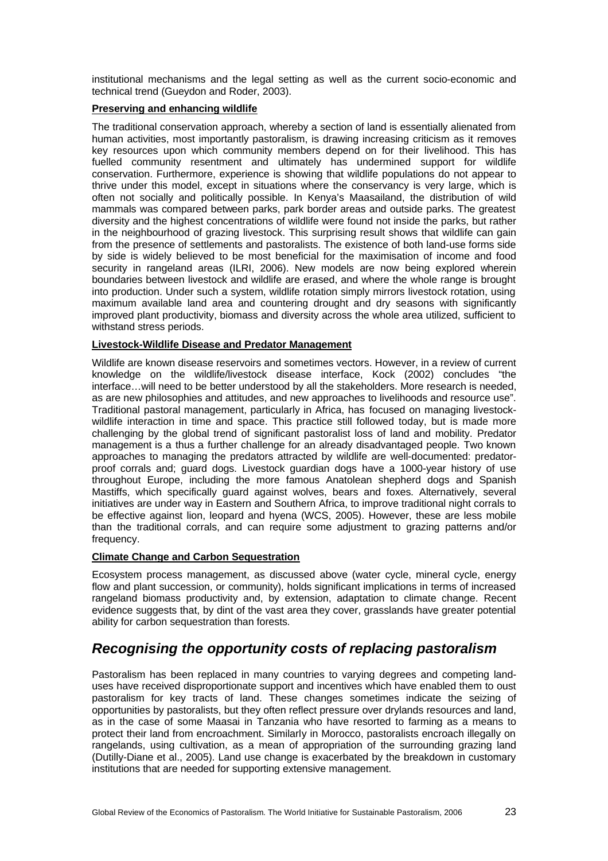institutional mechanisms and the legal setting as well as the current socio-economic and technical trend (Gueydon and Roder, 2003).

### **Preserving and enhancing wildlife**

The traditional conservation approach, whereby a section of land is essentially alienated from human activities, most importantly pastoralism, is drawing increasing criticism as it removes key resources upon which community members depend on for their livelihood. This has fuelled community resentment and ultimately has undermined support for wildlife conservation. Furthermore, experience is showing that wildlife populations do not appear to thrive under this model, except in situations where the conservancy is very large, which is often not socially and politically possible. In Kenya's Maasailand, the distribution of wild mammals was compared between parks, park border areas and outside parks. The greatest diversity and the highest concentrations of wildlife were found not inside the parks, but rather in the neighbourhood of grazing livestock. This surprising result shows that wildlife can gain from the presence of settlements and pastoralists. The existence of both land-use forms side by side is widely believed to be most beneficial for the maximisation of income and food security in rangeland areas (ILRI, 2006). New models are now being explored wherein boundaries between livestock and wildlife are erased, and where the whole range is brought into production. Under such a system, wildlife rotation simply mirrors livestock rotation, using maximum available land area and countering drought and dry seasons with significantly improved plant productivity, biomass and diversity across the whole area utilized, sufficient to withstand stress periods.

#### **Livestock-Wildlife Disease and Predator Management**

Wildlife are known disease reservoirs and sometimes vectors. However, in a review of current knowledge on the wildlife/livestock disease interface, Kock (2002) concludes "the interface…will need to be better understood by all the stakeholders. More research is needed, as are new philosophies and attitudes, and new approaches to livelihoods and resource use". Traditional pastoral management, particularly in Africa, has focused on managing livestockwildlife interaction in time and space. This practice still followed today, but is made more challenging by the global trend of significant pastoralist loss of land and mobility. Predator management is a thus a further challenge for an already disadvantaged people. Two known approaches to managing the predators attracted by wildlife are well-documented: predatorproof corrals and; guard dogs. Livestock guardian dogs have a 1000-year history of use throughout Europe, including the more famous Anatolean shepherd dogs and Spanish Mastiffs, which specifically guard against wolves, bears and foxes. Alternatively, several initiatives are under way in Eastern and Southern Africa, to improve traditional night corrals to be effective against lion, leopard and hyena (WCS, 2005). However, these are less mobile than the traditional corrals, and can require some adjustment to grazing patterns and/or frequency.

# **Climate Change and Carbon Sequestration**

Ecosystem process management, as discussed above (water cycle, mineral cycle, energy flow and plant succession, or community), holds significant implications in terms of increased rangeland biomass productivity and, by extension, adaptation to climate change. Recent evidence suggests that, by dint of the vast area they cover, grasslands have greater potential ability for carbon sequestration than forests.

# *Recognising the opportunity costs of replacing pastoralism*

Pastoralism has been replaced in many countries to varying degrees and competing landuses have received disproportionate support and incentives which have enabled them to oust pastoralism for key tracts of land. These changes sometimes indicate the seizing of opportunities by pastoralists, but they often reflect pressure over drylands resources and land, as in the case of some Maasai in Tanzania who have resorted to farming as a means to protect their land from encroachment. Similarly in Morocco, pastoralists encroach illegally on rangelands, using cultivation, as a mean of appropriation of the surrounding grazing land (Dutilly-Diane et al., 2005). Land use change is exacerbated by the breakdown in customary institutions that are needed for supporting extensive management.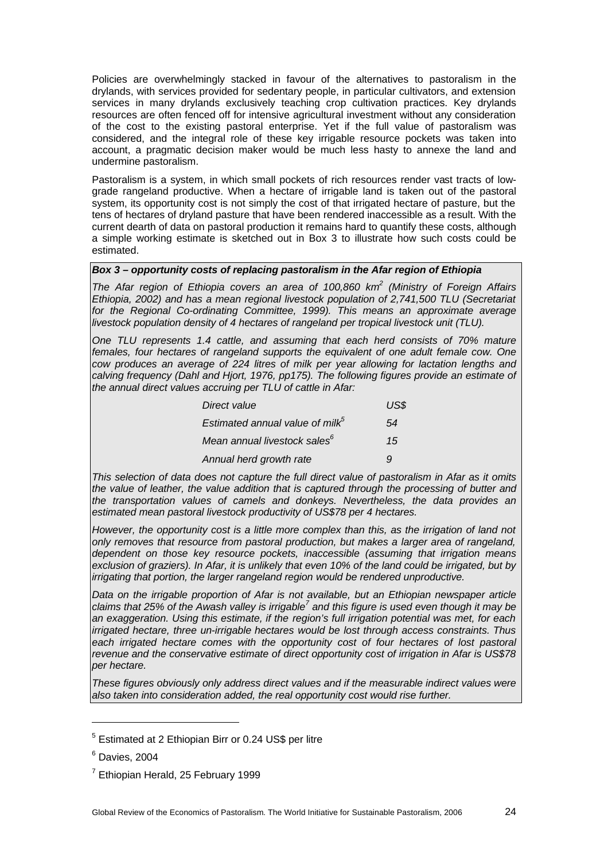Policies are overwhelmingly stacked in favour of the alternatives to pastoralism in the drylands, with services provided for sedentary people, in particular cultivators, and extension services in many drylands exclusively teaching crop cultivation practices. Key drylands resources are often fenced off for intensive agricultural investment without any consideration of the cost to the existing pastoral enterprise. Yet if the full value of pastoralism was considered, and the integral role of these key irrigable resource pockets was taken into account, a pragmatic decision maker would be much less hasty to annexe the land and undermine pastoralism.

Pastoralism is a system, in which small pockets of rich resources render vast tracts of lowgrade rangeland productive. When a hectare of irrigable land is taken out of the pastoral system, its opportunity cost is not simply the cost of that irrigated hectare of pasture, but the tens of hectares of dryland pasture that have been rendered inaccessible as a result. With the current dearth of data on pastoral production it remains hard to quantify these costs, although a simple working estimate is sketched out in Box 3 to illustrate how such costs could be estimated.

### *Box 3 – opportunity costs of replacing pastoralism in the Afar region of Ethiopia*

*The Afar region of Ethiopia covers an area of 100,860 km<sup>2</sup> (Ministry of Foreign Affairs Ethiopia, 2002) and has a mean regional livestock population of 2,741,500 TLU (Secretariat for the Regional Co-ordinating Committee, 1999). This means an approximate average livestock population density of 4 hectares of rangeland per tropical livestock unit (TLU).*

*One TLU represents 1.4 cattle, and assuming that each herd consists of 70% mature females, four hectares of rangeland supports the equivalent of one adult female cow. One cow produces an average of 224 litres of milk per year allowing for lactation lengths and calving frequency (Dahl and Hjort, 1976, pp175). The following figures provide an estimate of the annual direct values accruing per TLU of cattle in Afar:*

| Direct value                                |    |
|---------------------------------------------|----|
| Estimated annual value of milk <sup>5</sup> | 54 |
| Mean annual livestock sales <sup>6</sup>    | 15 |
| Annual herd growth rate                     | 9  |

*This selection of data does not capture the full direct value of pastoralism in Afar as it omits the value of leather, the value addition that is captured through the processing of butter and the transportation values of camels and donkeys. Nevertheless, the data provides an estimated mean pastoral livestock productivity of US\$78 per 4 hectares.*

*However, the opportunity cost is a little more complex than this, as the irrigation of land not only removes that resource from pastoral production, but makes a larger area of rangeland, dependent on those key resource pockets, inaccessible (assuming that irrigation means exclusion of graziers). In Afar, it is unlikely that even 10% of the land could be irrigated, but by irrigating that portion, the larger rangeland region would be rendered unproductive.*

*Data on the irrigable proportion of Afar is not available, but an Ethiopian newspaper article claims that 25% of the Awash valley is irrigable<sup>7</sup> and this figure is used even though it may be an exaggeration. Using this estimate, if the region's full irrigation potential was met, for each irrigated hectare, three un-irrigable hectares would be lost through access constraints. Thus each irrigated hectare comes with the opportunity cost of four hectares of lost pastoral revenue and the conservative estimate of direct opportunity cost of irrigation in Afar is US\$78 per hectare.*

*These figures obviously only address direct values and if the measurable indirect values were also taken into consideration added, the real opportunity cost would rise further.*

l

<sup>&</sup>lt;sup>5</sup> Estimated at 2 Ethiopian Birr or 0.24 US\$ per litre

 $6$  Davies, 2004

 $<sup>7</sup>$  Ethiopian Herald, 25 February 1999</sup>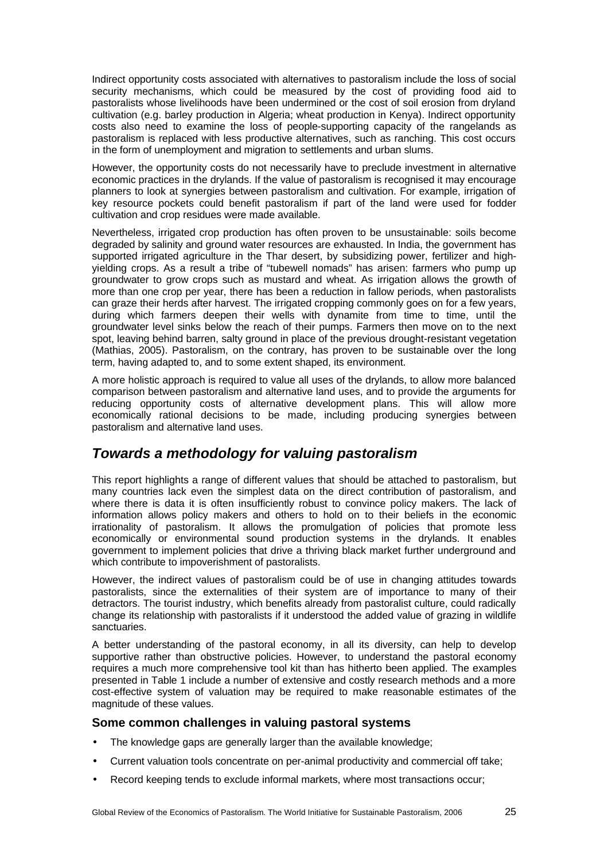Indirect opportunity costs associated with alternatives to pastoralism include the loss of social security mechanisms, which could be measured by the cost of providing food aid to pastoralists whose livelihoods have been undermined or the cost of soil erosion from dryland cultivation (e.g. barley production in Algeria; wheat production in Kenya). Indirect opportunity costs also need to examine the loss of people-supporting capacity of the rangelands as pastoralism is replaced with less productive alternatives, such as ranching. This cost occurs in the form of unemployment and migration to settlements and urban slums.

However, the opportunity costs do not necessarily have to preclude investment in alternative economic practices in the drylands. If the value of pastoralism is recognised it may encourage planners to look at synergies between pastoralism and cultivation. For example, irrigation of key resource pockets could benefit pastoralism if part of the land were used for fodder cultivation and crop residues were made available.

Nevertheless, irrigated crop production has often proven to be unsustainable: soils become degraded by salinity and ground water resources are exhausted. In India, the government has supported irrigated agriculture in the Thar desert, by subsidizing power, fertilizer and highyielding crops. As a result a tribe of "tubewell nomads" has arisen: farmers who pump up groundwater to grow crops such as mustard and wheat. As irrigation allows the growth of more than one crop per year, there has been a reduction in fallow periods, when pastoralists can graze their herds after harvest. The irrigated cropping commonly goes on for a few years, during which farmers deepen their wells with dynamite from time to time, until the groundwater level sinks below the reach of their pumps. Farmers then move on to the next spot, leaving behind barren, salty ground in place of the previous drought-resistant vegetation (Mathias, 2005). Pastoralism, on the contrary, has proven to be sustainable over the long term, having adapted to, and to some extent shaped, its environment.

A more holistic approach is required to value all uses of the drylands, to allow more balanced comparison between pastoralism and alternative land uses, and to provide the arguments for reducing opportunity costs of alternative development plans. This will allow more economically rational decisions to be made, including producing synergies between pastoralism and alternative land uses.

# *Towards a methodology for valuing pastoralism*

This report highlights a range of different values that should be attached to pastoralism, but many countries lack even the simplest data on the direct contribution of pastoralism, and where there is data it is often insufficiently robust to convince policy makers. The lack of information allows policy makers and others to hold on to their beliefs in the economic irrationality of pastoralism. It allows the promulgation of policies that promote less economically or environmental sound production systems in the drylands. It enables government to implement policies that drive a thriving black market further underground and which contribute to impoverishment of pastoralists.

However, the indirect values of pastoralism could be of use in changing attitudes towards pastoralists, since the externalities of their system are of importance to many of their detractors. The tourist industry, which benefits already from pastoralist culture, could radically change its relationship with pastoralists if it understood the added value of grazing in wildlife sanctuaries.

A better understanding of the pastoral economy, in all its diversity, can help to develop supportive rather than obstructive policies. However, to understand the pastoral economy requires a much more comprehensive tool kit than has hitherto been applied. The examples presented in Table 1 include a number of extensive and costly research methods and a more cost-effective system of valuation may be required to make reasonable estimates of the magnitude of these values.

## **Some common challenges in valuing pastoral systems**

- The knowledge gaps are generally larger than the available knowledge;
- Current valuation tools concentrate on per-animal productivity and commercial off take;
- Record keeping tends to exclude informal markets, where most transactions occur;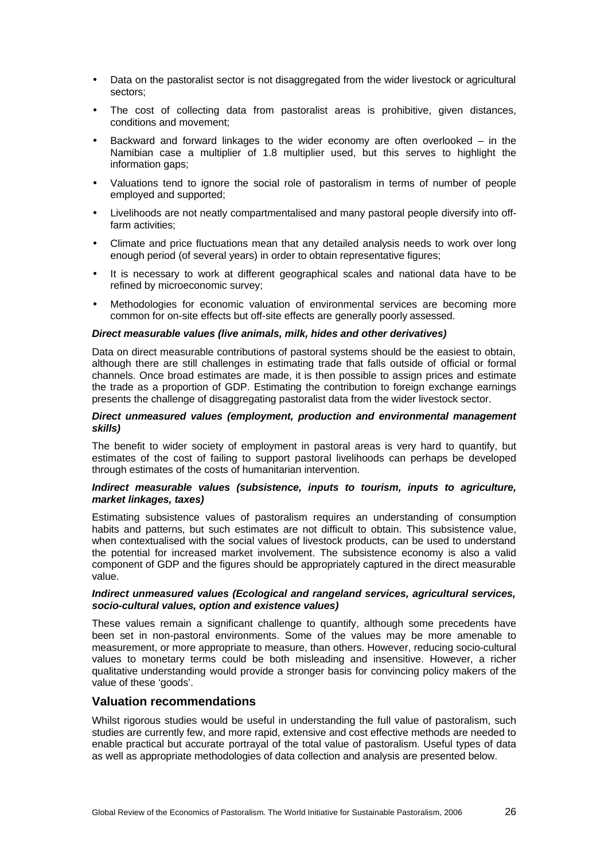- Data on the pastoralist sector is not disaggregated from the wider livestock or agricultural sectors;
- The cost of collecting data from pastoralist areas is prohibitive, given distances, conditions and movement;
- Backward and forward linkages to the wider economy are often overlooked  $-$  in the Namibian case a multiplier of 1.8 multiplier used, but this serves to highlight the information gaps;
- Valuations tend to ignore the social role of pastoralism in terms of number of people employed and supported;
- Livelihoods are not neatly compartmentalised and many pastoral people diversify into offfarm activities:
- Climate and price fluctuations mean that any detailed analysis needs to work over long enough period (of several years) in order to obtain representative figures;
- It is necessary to work at different geographical scales and national data have to be refined by microeconomic survey;
- Methodologies for economic valuation of environmental services are becoming more common for on-site effects but off-site effects are generally poorly assessed.

#### *Direct measurable values (live animals, milk, hides and other derivatives)*

Data on direct measurable contributions of pastoral systems should be the easiest to obtain, although there are still challenges in estimating trade that falls outside of official or formal channels. Once broad estimates are made, it is then possible to assign prices and estimate the trade as a proportion of GDP. Estimating the contribution to foreign exchange earnings presents the challenge of disaggregating pastoralist data from the wider livestock sector.

#### *Direct unmeasured values (employment, production and environmental management skills)*

The benefit to wider society of employment in pastoral areas is very hard to quantify, but estimates of the cost of failing to support pastoral livelihoods can perhaps be developed through estimates of the costs of humanitarian intervention.

#### *Indirect measurable values (subsistence, inputs to tourism, inputs to agriculture, market linkages, taxes)*

Estimating subsistence values of pastoralism requires an understanding of consumption habits and patterns, but such estimates are not difficult to obtain. This subsistence value, when contextualised with the social values of livestock products, can be used to understand the potential for increased market involvement. The subsistence economy is also a valid component of GDP and the figures should be appropriately captured in the direct measurable value.

#### *Indirect unmeasured values (Ecological and rangeland services, agricultural services, socio-cultural values, option and existence values)*

These values remain a significant challenge to quantify, although some precedents have been set in non-pastoral environments. Some of the values may be more amenable to measurement, or more appropriate to measure, than others. However, reducing socio-cultural values to monetary terms could be both misleading and insensitive. However, a richer qualitative understanding would provide a stronger basis for convincing policy makers of the value of these 'goods'.

#### **Valuation recommendations**

Whilst rigorous studies would be useful in understanding the full value of pastoralism, such studies are currently few, and more rapid, extensive and cost effective methods are needed to enable practical but accurate portrayal of the total value of pastoralism. Useful types of data as well as appropriate methodologies of data collection and analysis are presented below.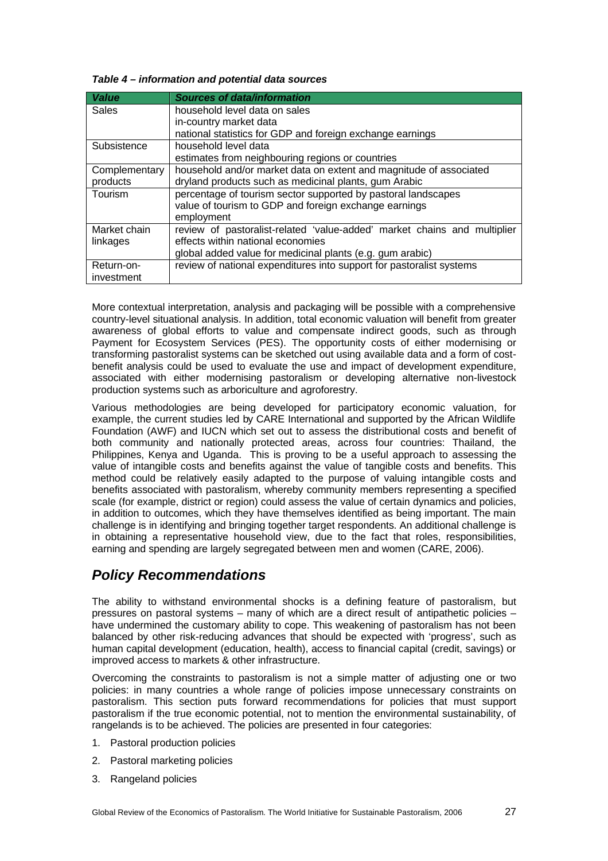#### *Table 4 – information and potential data sources*

| <b>Value</b>  | <b>Sources of data/information</b>                                       |
|---------------|--------------------------------------------------------------------------|
| Sales         | household level data on sales                                            |
|               | in-country market data                                                   |
|               | national statistics for GDP and foreign exchange earnings                |
| Subsistence   | household level data                                                     |
|               | estimates from neighbouring regions or countries                         |
| Complementary | household and/or market data on extent and magnitude of associated       |
| products      | dryland products such as medicinal plants, gum Arabic                    |
| Tourism       | percentage of tourism sector supported by pastoral landscapes            |
|               | value of tourism to GDP and foreign exchange earnings                    |
|               | employment                                                               |
| Market chain  | review of pastoralist-related 'value-added' market chains and multiplier |
| linkages      | effects within national economies                                        |
|               | global added value for medicinal plants (e.g. gum arabic)                |
| Return-on-    | review of national expenditures into support for pastoralist systems     |
| investment    |                                                                          |

More contextual interpretation, analysis and packaging will be possible with a comprehensive country-level situational analysis. In addition, total economic valuation will benefit from greater awareness of global efforts to value and compensate indirect goods, such as through Payment for Ecosystem Services (PES). The opportunity costs of either modernising or transforming pastoralist systems can be sketched out using available data and a form of costbenefit analysis could be used to evaluate the use and impact of development expenditure, associated with either modernising pastoralism or developing alternative non-livestock production systems such as arboriculture and agroforestry.

Various methodologies are being developed for participatory economic valuation, for example, the current studies led by CARE International and supported by the African Wildlife Foundation (AWF) and IUCN which set out to assess the distributional costs and benefit of both community and nationally protected areas, across four countries: Thailand, the Philippines, Kenya and Uganda. This is proving to be a useful approach to assessing the value of intangible costs and benefits against the value of tangible costs and benefits. This method could be relatively easily adapted to the purpose of valuing intangible costs and benefits associated with pastoralism, whereby community members representing a specified scale (for example, district or region) could assess the value of certain dynamics and policies, in addition to outcomes, which they have themselves identified as being important. The main challenge is in identifying and bringing together target respondents. An additional challenge is in obtaining a representative household view, due to the fact that roles, responsibilities, earning and spending are largely segregated between men and women (CARE, 2006).

# *Policy Recommendations*

The ability to withstand environmental shocks is a defining feature of pastoralism, but pressures on pastoral systems – many of which are a direct result of antipathetic policies – have undermined the customary ability to cope. This weakening of pastoralism has not been balanced by other risk-reducing advances that should be expected with 'progress', such as human capital development (education, health), access to financial capital (credit, savings) or improved access to markets & other infrastructure.

Overcoming the constraints to pastoralism is not a simple matter of adjusting one or two policies: in many countries a whole range of policies impose unnecessary constraints on pastoralism. This section puts forward recommendations for policies that must support pastoralism if the true economic potential, not to mention the environmental sustainability, of rangelands is to be achieved. The policies are presented in four categories:

- 1. Pastoral production policies
- 2. Pastoral marketing policies
- 3. Rangeland policies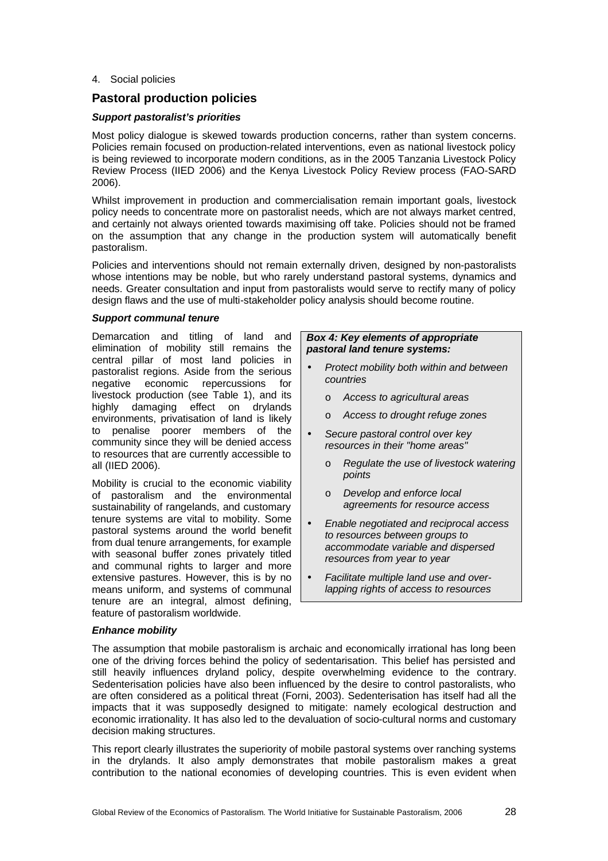4. Social policies

# **Pastoral production policies**

#### *Support pastoralist's priorities*

Most policy dialogue is skewed towards production concerns, rather than system concerns. Policies remain focused on production-related interventions, even as national livestock policy is being reviewed to incorporate modern conditions, as in the 2005 Tanzania Livestock Policy Review Process (IIED 2006) and the Kenya Livestock Policy Review process (FAO-SARD 2006).

Whilst improvement in production and commercialisation remain important goals, livestock policy needs to concentrate more on pastoralist needs, which are not always market centred, and certainly not always oriented towards maximising off take. Policies should not be framed on the assumption that any change in the production system will automatically benefit pastoralism.

Policies and interventions should not remain externally driven, designed by non-pastoralists whose intentions may be noble, but who rarely understand pastoral systems, dynamics and needs. Greater consultation and input from pastoralists would serve to rectify many of policy design flaws and the use of multi-stakeholder policy analysis should become routine.

#### *Support communal tenure*

Demarcation and titling of land and elimination of mobility still remains the central pillar of most land policies in pastoralist regions. Aside from the serious negative economic repercussions for livestock production (see Table 1), and its highly damaging effect on drylands environments, privatisation of land is likely to penalise poorer members of the community since they will be denied access to resources that are currently accessible to all (IIED 2006).

Mobility is crucial to the economic viability of pastoralism and the environmental sustainability of rangelands, and customary tenure systems are vital to mobility. Some pastoral systems around the world benefit from dual tenure arrangements, for example with seasonal buffer zones privately titled and communal rights to larger and more extensive pastures. However, this is by no means uniform, and systems of communal tenure are an integral, almost defining, feature of pastoralism worldwide.

#### *Box 4: Key elements of appropriate pastoral land tenure systems:*

- *Protect mobility both within and between countries*
	- o *Access to agricultural areas*
	- o *Access to drought refuge zones*
- *Secure pastoral control over key resources in their "home areas"*
	- o *Regulate the use of livestock watering points*
	- o *Develop and enforce local agreements for resource access*
- *Enable negotiated and reciprocal access to resources between groups to accommodate variable and dispersed resources from year to year*
- *Facilitate multiple land use and overlapping rights of access to resources*

#### *Enhance mobility*

The assumption that mobile pastoralism is archaic and economically irrational has long been one of the driving forces behind the policy of sedentarisation. This belief has persisted and still heavily influences dryland policy, despite overwhelming evidence to the contrary. Sedenterisation policies have also been influenced by the desire to control pastoralists, who are often considered as a political threat (Forni, 2003). Sedenterisation has itself had all the impacts that it was supposedly designed to mitigate: namely ecological destruction and economic irrationality. It has also led to the devaluation of socio-cultural norms and customary decision making structures.

This report clearly illustrates the superiority of mobile pastoral systems over ranching systems in the drylands. It also amply demonstrates that mobile pastoralism makes a great contribution to the national economies of developing countries. This is even evident when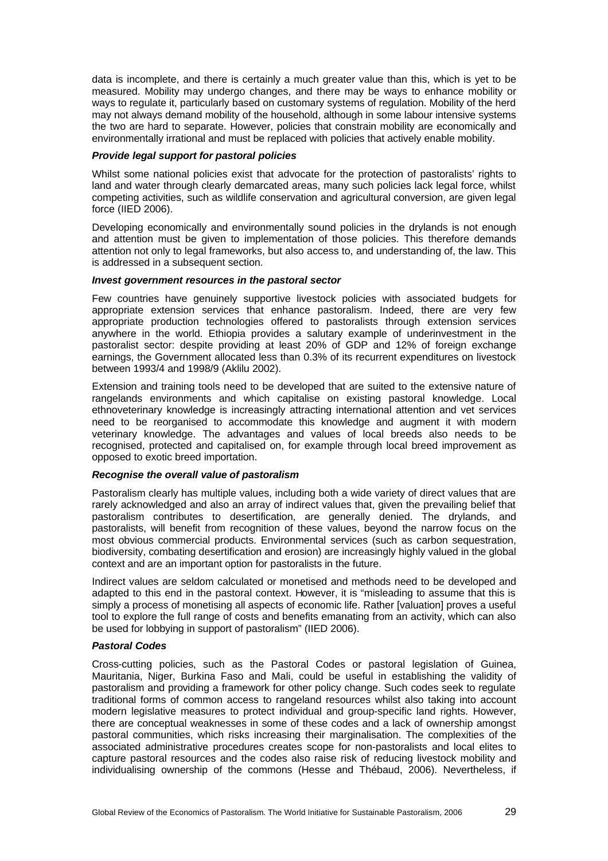data is incomplete, and there is certainly a much greater value than this, which is yet to be measured. Mobility may undergo changes, and there may be ways to enhance mobility or ways to regulate it, particularly based on customary systems of regulation. Mobility of the herd may not always demand mobility of the household, although in some labour intensive systems the two are hard to separate. However, policies that constrain mobility are economically and environmentally irrational and must be replaced with policies that actively enable mobility.

#### *Provide legal support for pastoral policies*

Whilst some national policies exist that advocate for the protection of pastoralists' rights to land and water through clearly demarcated areas, many such policies lack legal force, whilst competing activities, such as wildlife conservation and agricultural conversion, are given legal force (IIED 2006).

Developing economically and environmentally sound policies in the drylands is not enough and attention must be given to implementation of those policies. This therefore demands attention not only to legal frameworks, but also access to, and understanding of, the law. This is addressed in a subsequent section.

#### *Invest government resources in the pastoral sector*

Few countries have genuinely supportive livestock policies with associated budgets for appropriate extension services that enhance pastoralism. Indeed, there are very few appropriate production technologies offered to pastoralists through extension services anywhere in the world. Ethiopia provides a salutary example of underinvestment in the pastoralist sector: despite providing at least 20% of GDP and 12% of foreign exchange earnings, the Government allocated less than 0.3% of its recurrent expenditures on livestock between 1993/4 and 1998/9 (Aklilu 2002).

Extension and training tools need to be developed that are suited to the extensive nature of rangelands environments and which capitalise on existing pastoral knowledge. Local ethnoveterinary knowledge is increasingly attracting international attention and vet services need to be reorganised to accommodate this knowledge and augment it with modern veterinary knowledge. The advantages and values of local breeds also needs to be recognised, protected and capitalised on, for example through local breed improvement as opposed to exotic breed importation.

#### *Recognise the overall value of pastoralism*

Pastoralism clearly has multiple values, including both a wide variety of direct values that are rarely acknowledged and also an array of indirect values that, given the prevailing belief that pastoralism contributes to desertification, are generally denied. The drylands, and pastoralists, will benefit from recognition of these values, beyond the narrow focus on the most obvious commercial products. Environmental services (such as carbon sequestration, biodiversity, combating desertification and erosion) are increasingly highly valued in the global context and are an important option for pastoralists in the future.

Indirect values are seldom calculated or monetised and methods need to be developed and adapted to this end in the pastoral context. However, it is "misleading to assume that this is simply a process of monetising all aspects of economic life. Rather [valuation] proves a useful tool to explore the full range of costs and benefits emanating from an activity, which can also be used for lobbying in support of pastoralism" (IIED 2006).

#### *Pastoral Codes*

Cross-cutting policies, such as the Pastoral Codes or pastoral legislation of Guinea, Mauritania, Niger, Burkina Faso and Mali, could be useful in establishing the validity of pastoralism and providing a framework for other policy change. Such codes seek to regulate traditional forms of common access to rangeland resources whilst also taking into account modern legislative measures to protect individual and group-specific land rights. However, there are conceptual weaknesses in some of these codes and a lack of ownership amongst pastoral communities, which risks increasing their marginalisation. The complexities of the associated administrative procedures creates scope for non-pastoralists and local elites to capture pastoral resources and the codes also raise risk of reducing livestock mobility and individualising ownership of the commons (Hesse and Thébaud, 2006). Nevertheless, if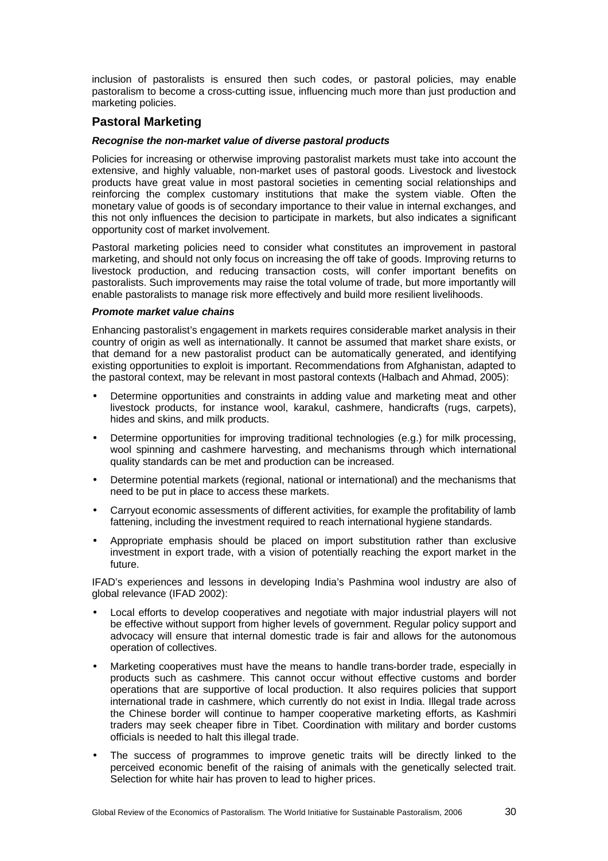inclusion of pastoralists is ensured then such codes, or pastoral policies, may enable pastoralism to become a cross-cutting issue, influencing much more than just production and marketing policies.

## **Pastoral Marketing**

#### *Recognise the non-market value of diverse pastoral products*

Policies for increasing or otherwise improving pastoralist markets must take into account the extensive, and highly valuable, non-market uses of pastoral goods. Livestock and livestock products have great value in most pastoral societies in cementing social relationships and reinforcing the complex customary institutions that make the system viable. Often the monetary value of goods is of secondary importance to their value in internal exchanges, and this not only influences the decision to participate in markets, but also indicates a significant opportunity cost of market involvement.

Pastoral marketing policies need to consider what constitutes an improvement in pastoral marketing, and should not only focus on increasing the off take of goods. Improving returns to livestock production, and reducing transaction costs, will confer important benefits on pastoralists. Such improvements may raise the total volume of trade, but more importantly will enable pastoralists to manage risk more effectively and build more resilient livelihoods.

#### *Promote market value chains*

Enhancing pastoralist's engagement in markets requires considerable market analysis in their country of origin as well as internationally. It cannot be assumed that market share exists, or that demand for a new pastoralist product can be automatically generated, and identifying existing opportunities to exploit is important. Recommendations from Afghanistan, adapted to the pastoral context, may be relevant in most pastoral contexts (Halbach and Ahmad, 2005):

- Determine opportunities and constraints in adding value and marketing meat and other livestock products, for instance wool, karakul, cashmere, handicrafts (rugs, carpets), hides and skins, and milk products.
- Determine opportunities for improving traditional technologies (e.g.) for milk processing, wool spinning and cashmere harvesting, and mechanisms through which international quality standards can be met and production can be increased.
- Determine potential markets (regional, national or international) and the mechanisms that need to be put in place to access these markets.
- Carryout economic assessments of different activities, for example the profitability of lamb fattening, including the investment required to reach international hygiene standards.
- Appropriate emphasis should be placed on import substitution rather than exclusive investment in export trade, with a vision of potentially reaching the export market in the future.

IFAD's experiences and lessons in developing India's Pashmina wool industry are also of global relevance (IFAD 2002):

- Local efforts to develop cooperatives and negotiate with major industrial players will not be effective without support from higher levels of government. Regular policy support and advocacy will ensure that internal domestic trade is fair and allows for the autonomous operation of collectives.
- Marketing cooperatives must have the means to handle trans-border trade, especially in products such as cashmere. This cannot occur without effective customs and border operations that are supportive of local production. It also requires policies that support international trade in cashmere, which currently do not exist in India. Illegal trade across the Chinese border will continue to hamper cooperative marketing efforts, as Kashmiri traders may seek cheaper fibre in Tibet. Coordination with military and border customs officials is needed to halt this illegal trade.
- The success of programmes to improve genetic traits will be directly linked to the perceived economic benefit of the raising of animals with the genetically selected trait. Selection for white hair has proven to lead to higher prices.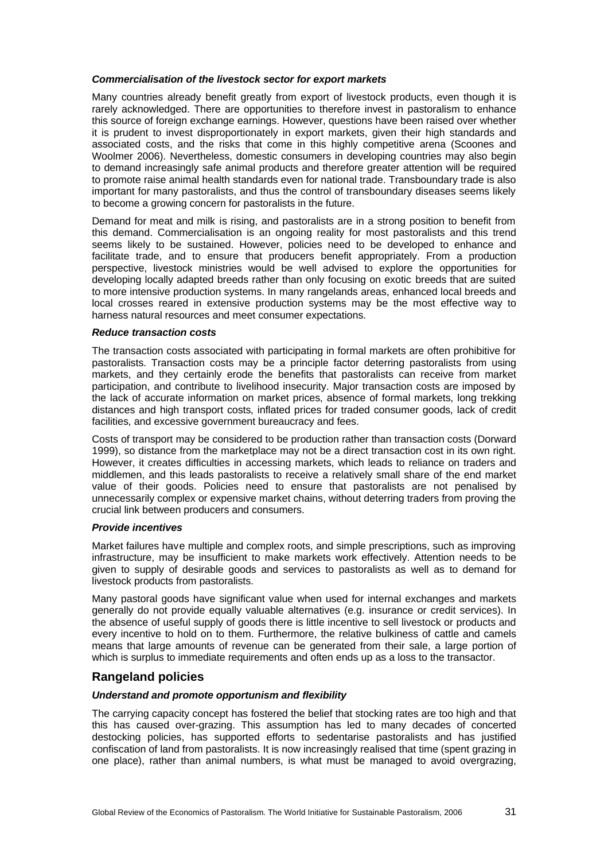#### *Commercialisation of the livestock sector for export markets*

Many countries already benefit greatly from export of livestock products, even though it is rarely acknowledged. There are opportunities to therefore invest in pastoralism to enhance this source of foreign exchange earnings. However, questions have been raised over whether it is prudent to invest disproportionately in export markets, given their high standards and associated costs, and the risks that come in this highly competitive arena (Scoones and Woolmer 2006). Nevertheless, domestic consumers in developing countries may also begin to demand increasingly safe animal products and therefore greater attention will be required to promote raise animal health standards even for national trade. Transboundary trade is also important for many pastoralists, and thus the control of transboundary diseases seems likely to become a growing concern for pastoralists in the future.

Demand for meat and milk is rising, and pastoralists are in a strong position to benefit from this demand. Commercialisation is an ongoing reality for most pastoralists and this trend seems likely to be sustained. However, policies need to be developed to enhance and facilitate trade, and to ensure that producers benefit appropriately. From a production perspective, livestock ministries would be well advised to explore the opportunities for developing locally adapted breeds rather than only focusing on exotic breeds that are suited to more intensive production systems. In many rangelands areas, enhanced local breeds and local crosses reared in extensive production systems may be the most effective way to harness natural resources and meet consumer expectations.

#### *Reduce transaction costs*

The transaction costs associated with participating in formal markets are often prohibitive for pastoralists. Transaction costs may be a principle factor deterring pastoralists from using markets, and they certainly erode the benefits that pastoralists can receive from market participation, and contribute to livelihood insecurity. Major transaction costs are imposed by the lack of accurate information on market prices, absence of formal markets, long trekking distances and high transport costs, inflated prices for traded consumer goods, lack of credit facilities, and excessive government bureaucracy and fees.

Costs of transport may be considered to be production rather than transaction costs (Dorward 1999), so distance from the marketplace may not be a direct transaction cost in its own right. However, it creates difficulties in accessing markets, which leads to reliance on traders and middlemen, and this leads pastoralists to receive a relatively small share of the end market value of their goods. Policies need to ensure that pastoralists are not penalised by unnecessarily complex or expensive market chains, without deterring traders from proving the crucial link between producers and consumers.

#### *Provide incentives*

Market failures have multiple and complex roots, and simple prescriptions, such as improving infrastructure, may be insufficient to make markets work effectively. Attention needs to be given to supply of desirable goods and services to pastoralists as well as to demand for livestock products from pastoralists.

Many pastoral goods have significant value when used for internal exchanges and markets generally do not provide equally valuable alternatives (e.g. insurance or credit services). In the absence of useful supply of goods there is little incentive to sell livestock or products and every incentive to hold on to them. Furthermore, the relative bulkiness of cattle and camels means that large amounts of revenue can be generated from their sale, a large portion of which is surplus to immediate requirements and often ends up as a loss to the transactor.

#### **Rangeland policies**

#### *Understand and promote opportunism and flexibility*

The carrying capacity concept has fostered the belief that stocking rates are too high and that this has caused over-grazing. This assumption has led to many decades of concerted destocking policies, has supported efforts to sedentarise pastoralists and has justified confiscation of land from pastoralists. It is now increasingly realised that time (spent grazing in one place), rather than animal numbers, is what must be managed to avoid overgrazing,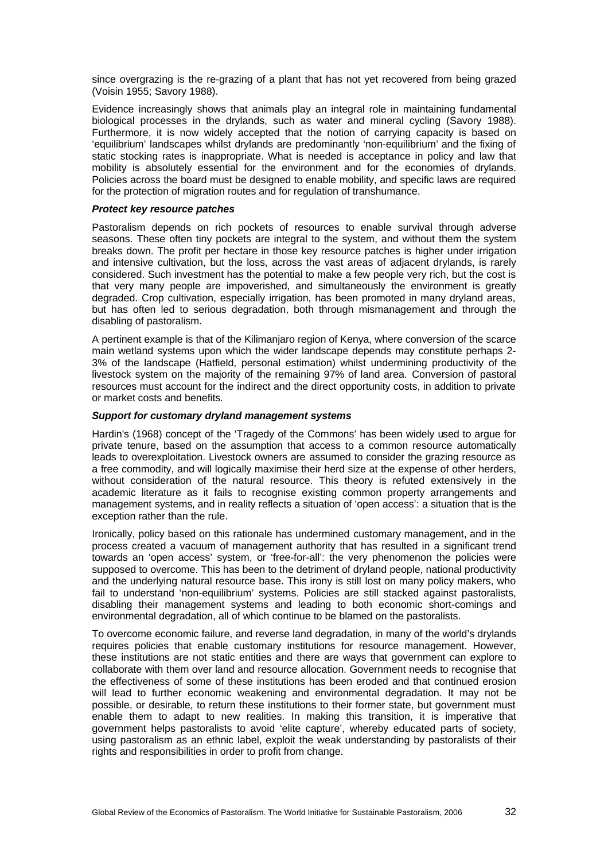since overgrazing is the re-grazing of a plant that has not yet recovered from being grazed (Voisin 1955; Savory 1988).

Evidence increasingly shows that animals play an integral role in maintaining fundamental biological processes in the drylands, such as water and mineral cycling (Savory 1988). Furthermore, it is now widely accepted that the notion of carrying capacity is based on 'equilibrium' landscapes whilst drylands are predominantly 'non-equilibrium' and the fixing of static stocking rates is inappropriate. What is needed is acceptance in policy and law that mobility is absolutely essential for the environment and for the economies of drylands. Policies across the board must be designed to enable mobility, and specific laws are required for the protection of migration routes and for regulation of transhumance.

#### *Protect key resource patches*

Pastoralism depends on rich pockets of resources to enable survival through adverse seasons. These often tiny pockets are integral to the system, and without them the system breaks down. The profit per hectare in those key resource patches is higher under irrigation and intensive cultivation, but the loss, across the vast areas of adjacent drylands, is rarely considered. Such investment has the potential to make a few people very rich, but the cost is that very many people are impoverished, and simultaneously the environment is greatly degraded. Crop cultivation, especially irrigation, has been promoted in many dryland areas, but has often led to serious degradation, both through mismanagement and through the disabling of pastoralism.

A pertinent example is that of the Kilimanjaro region of Kenya, where conversion of the scarce main wetland systems upon which the wider landscape depends may constitute perhaps 2- 3% of the landscape (Hatfield, personal estimation) whilst undermining productivity of the livestock system on the majority of the remaining 97% of land area. Conversion of pastoral resources must account for the indirect and the direct opportunity costs, in addition to private or market costs and benefits.

#### *Support for customary dryland management systems*

Hardin's (1968) concept of the 'Tragedy of the Commons' has been widely used to argue for private tenure, based on the assumption that access to a common resource automatically leads to overexploitation. Livestock owners are assumed to consider the grazing resource as a free commodity, and will logically maximise their herd size at the expense of other herders, without consideration of the natural resource. This theory is refuted extensively in the academic literature as it fails to recognise existing common property arrangements and management systems, and in reality reflects a situation of 'open access': a situation that is the exception rather than the rule.

Ironically, policy based on this rationale has undermined customary management, and in the process created a vacuum of management authority that has resulted in a significant trend towards an 'open access' system, or 'free-for-all': the very phenomenon the policies were supposed to overcome. This has been to the detriment of dryland people, national productivity and the underlying natural resource base. This irony is still lost on many policy makers, who fail to understand 'non-equilibrium' systems. Policies are still stacked against pastoralists, disabling their management systems and leading to both economic short-comings and environmental degradation, all of which continue to be blamed on the pastoralists.

To overcome economic failure, and reverse land degradation, in many of the world's drylands requires policies that enable customary institutions for resource management. However, these institutions are not static entities and there are ways that government can explore to collaborate with them over land and resource allocation. Government needs to recognise that the effectiveness of some of these institutions has been eroded and that continued erosion will lead to further economic weakening and environmental degradation. It may not be possible, or desirable, to return these institutions to their former state, but government must enable them to adapt to new realities. In making this transition, it is imperative that government helps pastoralists to avoid 'elite capture', whereby educated parts of society, using pastoralism as an ethnic label, exploit the weak understanding by pastoralists of their rights and responsibilities in order to profit from change.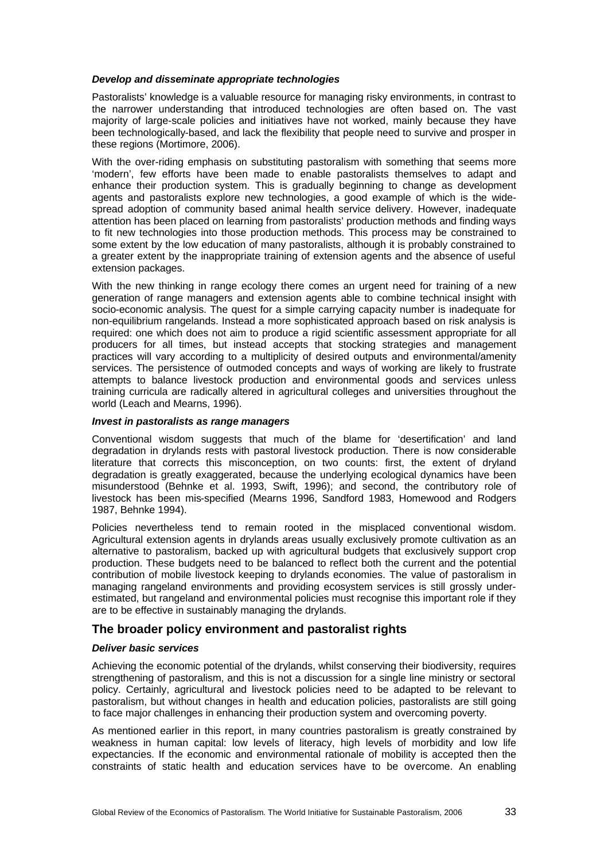#### *Develop and disseminate appropriate technologies*

Pastoralists' knowledge is a valuable resource for managing risky environments, in contrast to the narrower understanding that introduced technologies are often based on. The vast majority of large-scale policies and initiatives have not worked, mainly because they have been technologically-based, and lack the flexibility that people need to survive and prosper in these regions (Mortimore, 2006).

With the over-riding emphasis on substituting pastoralism with something that seems more 'modern', few efforts have been made to enable pastoralists themselves to adapt and enhance their production system. This is gradually beginning to change as development agents and pastoralists explore new technologies, a good example of which is the widespread adoption of community based animal health service delivery. However, inadequate attention has been placed on learning from pastoralists' production methods and finding ways to fit new technologies into those production methods. This process may be constrained to some extent by the low education of many pastoralists, although it is probably constrained to a greater extent by the inappropriate training of extension agents and the absence of useful extension packages.

With the new thinking in range ecology there comes an urgent need for training of a new generation of range managers and extension agents able to combine technical insight with socio-economic analysis. The quest for a simple carrying capacity number is inadequate for non-equilibrium rangelands. Instead a more sophisticated approach based on risk analysis is required: one which does not aim to produce a rigid scientific assessment appropriate for all producers for all times, but instead accepts that stocking strategies and management practices will vary according to a multiplicity of desired outputs and environmental/amenity services. The persistence of outmoded concepts and ways of working are likely to frustrate attempts to balance livestock production and environmental goods and services unless training curricula are radically altered in agricultural colleges and universities throughout the world (Leach and Mearns, 1996).

#### *Invest in pastoralists as range managers*

Conventional wisdom suggests that much of the blame for 'desertification' and land degradation in drylands rests with pastoral livestock production. There is now considerable literature that corrects this misconception, on two counts: first, the extent of dryland degradation is greatly exaggerated, because the underlying ecological dynamics have been misunderstood (Behnke et al. 1993, Swift, 1996); and second, the contributory role of livestock has been mis-specified (Mearns 1996, Sandford 1983, Homewood and Rodgers 1987, Behnke 1994).

Policies nevertheless tend to remain rooted in the misplaced conventional wisdom. Agricultural extension agents in drylands areas usually exclusively promote cultivation as an alternative to pastoralism, backed up with agricultural budgets that exclusively support crop production. These budgets need to be balanced to reflect both the current and the potential contribution of mobile livestock keeping to drylands economies. The value of pastoralism in managing rangeland environments and providing ecosystem services is still grossly underestimated, but rangeland and environmental policies must recognise this important role if they are to be effective in sustainably managing the drylands.

#### **The broader policy environment and pastoralist rights**

#### *Deliver basic services*

Achieving the economic potential of the drylands, whilst conserving their biodiversity, requires strengthening of pastoralism, and this is not a discussion for a single line ministry or sectoral policy. Certainly, agricultural and livestock policies need to be adapted to be relevant to pastoralism, but without changes in health and education policies, pastoralists are still going to face major challenges in enhancing their production system and overcoming poverty.

As mentioned earlier in this report, in many countries pastoralism is greatly constrained by weakness in human capital: low levels of literacy, high levels of morbidity and low life expectancies. If the economic and environmental rationale of mobility is accepted then the constraints of static health and education services have to be overcome. An enabling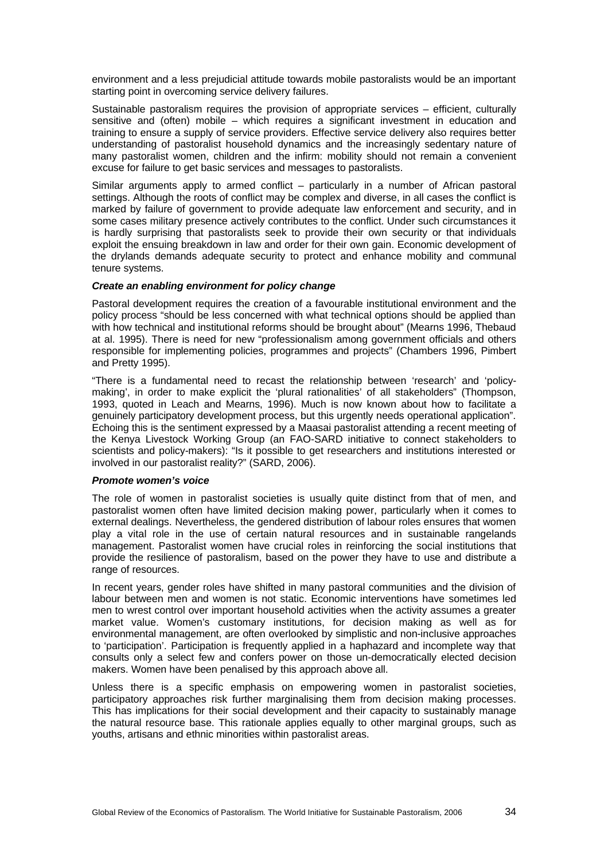environment and a less prejudicial attitude towards mobile pastoralists would be an important starting point in overcoming service delivery failures.

Sustainable pastoralism requires the provision of appropriate services – efficient, culturally sensitive and (often) mobile – which requires a significant investment in education and training to ensure a supply of service providers. Effective service delivery also requires better understanding of pastoralist household dynamics and the increasingly sedentary nature of many pastoralist women, children and the infirm: mobility should not remain a convenient excuse for failure to get basic services and messages to pastoralists.

Similar arguments apply to armed conflict – particularly in a number of African pastoral settings. Although the roots of conflict may be complex and diverse, in all cases the conflict is marked by failure of government to provide adequate law enforcement and security, and in some cases military presence actively contributes to the conflict. Under such circumstances it is hardly surprising that pastoralists seek to provide their own security or that individuals exploit the ensuing breakdown in law and order for their own gain. Economic development of the drylands demands adequate security to protect and enhance mobility and communal tenure systems.

#### *Create an enabling environment for policy change*

Pastoral development requires the creation of a favourable institutional environment and the policy process "should be less concerned with what technical options should be applied than with how technical and institutional reforms should be brought about" (Mearns 1996, Thebaud at al. 1995). There is need for new "professionalism among government officials and others responsible for implementing policies, programmes and projects" (Chambers 1996, Pimbert and Pretty 1995).

"There is a fundamental need to recast the relationship between 'research' and 'policymaking', in order to make explicit the 'plural rationalities' of all stakeholders" (Thompson, 1993, quoted in Leach and Mearns, 1996). Much is now known about how to facilitate a genuinely participatory development process, but this urgently needs operational application". Echoing this is the sentiment expressed by a Maasai pastoralist attending a recent meeting of the Kenya Livestock Working Group (an FAO-SARD initiative to connect stakeholders to scientists and policy-makers): "Is it possible to get researchers and institutions interested or involved in our pastoralist reality?" (SARD, 2006).

#### *Promote women's voice*

The role of women in pastoralist societies is usually quite distinct from that of men, and pastoralist women often have limited decision making power, particularly when it comes to external dealings. Nevertheless, the gendered distribution of labour roles ensures that women play a vital role in the use of certain natural resources and in sustainable rangelands management. Pastoralist women have crucial roles in reinforcing the social institutions that provide the resilience of pastoralism, based on the power they have to use and distribute a range of resources.

In recent years, gender roles have shifted in many pastoral communities and the division of labour between men and women is not static. Economic interventions have sometimes led men to wrest control over important household activities when the activity assumes a greater market value. Women's customary institutions, for decision making as well as for environmental management, are often overlooked by simplistic and non-inclusive approaches to 'participation'. Participation is frequently applied in a haphazard and incomplete way that consults only a select few and confers power on those un-democratically elected decision makers. Women have been penalised by this approach above all.

Unless there is a specific emphasis on empowering women in pastoralist societies, participatory approaches risk further marginalising them from decision making processes. This has implications for their social development and their capacity to sustainably manage the natural resource base. This rationale applies equally to other marginal groups, such as youths, artisans and ethnic minorities within pastoralist areas.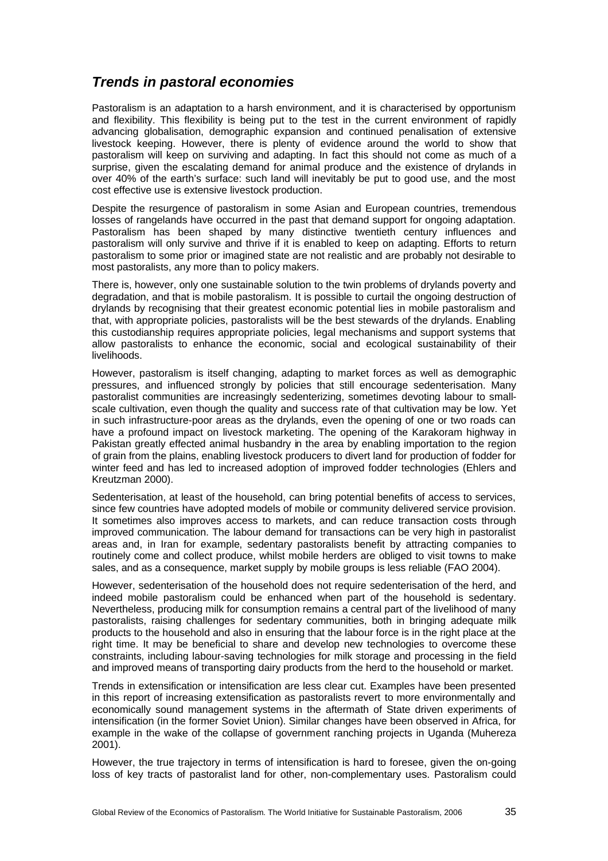# *Trends in pastoral economies*

Pastoralism is an adaptation to a harsh environment, and it is characterised by opportunism and flexibility. This flexibility is being put to the test in the current environment of rapidly advancing globalisation, demographic expansion and continued penalisation of extensive livestock keeping. However, there is plenty of evidence around the world to show that pastoralism will keep on surviving and adapting. In fact this should not come as much of a surprise, given the escalating demand for animal produce and the existence of drylands in over 40% of the earth's surface: such land will inevitably be put to good use, and the most cost effective use is extensive livestock production.

Despite the resurgence of pastoralism in some Asian and European countries, tremendous losses of rangelands have occurred in the past that demand support for ongoing adaptation. Pastoralism has been shaped by many distinctive twentieth century influences and pastoralism will only survive and thrive if it is enabled to keep on adapting. Efforts to return pastoralism to some prior or imagined state are not realistic and are probably not desirable to most pastoralists, any more than to policy makers.

There is, however, only one sustainable solution to the twin problems of drylands poverty and degradation, and that is mobile pastoralism. It is possible to curtail the ongoing destruction of drylands by recognising that their greatest economic potential lies in mobile pastoralism and that, with appropriate policies, pastoralists will be the best stewards of the drylands. Enabling this custodianship requires appropriate policies, legal mechanisms and support systems that allow pastoralists to enhance the economic, social and ecological sustainability of their livelihoods.

However, pastoralism is itself changing, adapting to market forces as well as demographic pressures, and influenced strongly by policies that still encourage sedenterisation. Many pastoralist communities are increasingly sedenterizing, sometimes devoting labour to smallscale cultivation, even though the quality and success rate of that cultivation may be low. Yet in such infrastructure-poor areas as the drylands, even the opening of one or two roads can have a profound impact on livestock marketing. The opening of the Karakoram highway in Pakistan greatly effected animal husbandry in the area by enabling importation to the region of grain from the plains, enabling livestock producers to divert land for production of fodder for winter feed and has led to increased adoption of improved fodder technologies (Ehlers and Kreutzman 2000).

Sedenterisation, at least of the household, can bring potential benefits of access to services, since few countries have adopted models of mobile or community delivered service provision. It sometimes also improves access to markets, and can reduce transaction costs through improved communication. The labour demand for transactions can be very high in pastoralist areas and, in Iran for example, sedentary pastoralists benefit by attracting companies to routinely come and collect produce, whilst mobile herders are obliged to visit towns to make sales, and as a consequence, market supply by mobile groups is less reliable (FAO 2004).

However, sedenterisation of the household does not require sedenterisation of the herd, and indeed mobile pastoralism could be enhanced when part of the household is sedentary. Nevertheless, producing milk for consumption remains a central part of the livelihood of many pastoralists, raising challenges for sedentary communities, both in bringing adequate milk products to the household and also in ensuring that the labour force is in the right place at the right time. It may be beneficial to share and develop new technologies to overcome these constraints, including labour-saving technologies for milk storage and processing in the field and improved means of transporting dairy products from the herd to the household or market.

Trends in extensification or intensification are less clear cut. Examples have been presented in this report of increasing extensification as pastoralists revert to more environmentally and economically sound management systems in the aftermath of State driven experiments of intensification (in the former Soviet Union). Similar changes have been observed in Africa, for example in the wake of the collapse of government ranching projects in Uganda (Muhereza 2001).

However, the true trajectory in terms of intensification is hard to foresee, given the on-going loss of key tracts of pastoralist land for other, non-complementary uses. Pastoralism could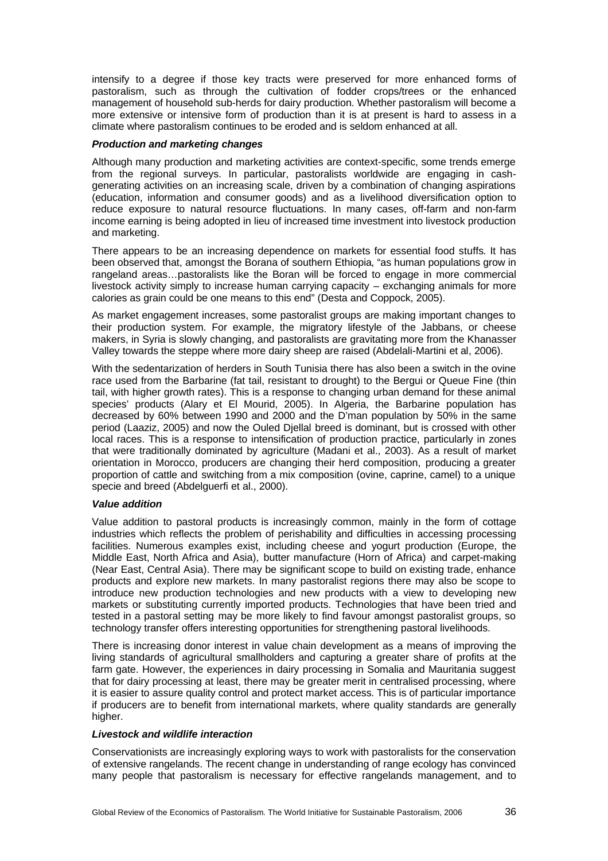intensify to a degree if those key tracts were preserved for more enhanced forms of pastoralism, such as through the cultivation of fodder crops/trees or the enhanced management of household sub-herds for dairy production. Whether pastoralism will become a more extensive or intensive form of production than it is at present is hard to assess in a climate where pastoralism continues to be eroded and is seldom enhanced at all.

#### *Production and marketing changes*

Although many production and marketing activities are context-specific, some trends emerge from the regional surveys. In particular, pastoralists worldwide are engaging in cashgenerating activities on an increasing scale, driven by a combination of changing aspirations (education, information and consumer goods) and as a livelihood diversification option to reduce exposure to natural resource fluctuations. In many cases, off-farm and non-farm income earning is being adopted in lieu of increased time investment into livestock production and marketing.

There appears to be an increasing dependence on markets for essential food stuffs. It has been observed that, amongst the Borana of southern Ethiopia, "as human populations grow in rangeland areas…pastoralists like the Boran will be forced to engage in more commercial livestock activity simply to increase human carrying capacity – exchanging animals for more calories as grain could be one means to this end" (Desta and Coppock, 2005).

As market engagement increases, some pastoralist groups are making important changes to their production system. For example, the migratory lifestyle of the Jabbans, or cheese makers, in Syria is slowly changing, and pastoralists are gravitating more from the Khanasser Valley towards the steppe where more dairy sheep are raised (Abdelali-Martini et al, 2006).

With the sedentarization of herders in South Tunisia there has also been a switch in the ovine race used from the Barbarine (fat tail, resistant to drought) to the Bergui or Queue Fine (thin tail, with higher growth rates). This is a response to changing urban demand for these animal species' products (Alary et El Mourid, 2005). In Algeria, the Barbarine population has decreased by 60% between 1990 and 2000 and the D'man population by 50% in the same period (Laaziz, 2005) and now the Ouled Djellal breed is dominant, but is crossed with other local races. This is a response to intensification of production practice, particularly in zones that were traditionally dominated by agriculture (Madani et al., 2003). As a result of market orientation in Morocco, producers are changing their herd composition, producing a greater proportion of cattle and switching from a mix composition (ovine, caprine, camel) to a unique specie and breed (Abdelguerfi et al., 2000).

#### *Value addition*

Value addition to pastoral products is increasingly common, mainly in the form of cottage industries which reflects the problem of perishability and difficulties in accessing processing facilities. Numerous examples exist, including cheese and yogurt production (Europe, the Middle East, North Africa and Asia), butter manufacture (Horn of Africa) and carpet-making (Near East, Central Asia). There may be significant scope to build on existing trade, enhance products and explore new markets. In many pastoralist regions there may also be scope to introduce new production technologies and new products with a view to developing new markets or substituting currently imported products. Technologies that have been tried and tested in a pastoral setting may be more likely to find favour amongst pastoralist groups, so technology transfer offers interesting opportunities for strengthening pastoral livelihoods.

There is increasing donor interest in value chain development as a means of improving the living standards of agricultural smallholders and capturing a greater share of profits at the farm gate. However, the experiences in dairy processing in Somalia and Mauritania suggest that for dairy processing at least, there may be greater merit in centralised processing, where it is easier to assure quality control and protect market access. This is of particular importance if producers are to benefit from international markets, where quality standards are generally higher.

#### *Livestock and wildlife interaction*

Conservationists are increasingly exploring ways to work with pastoralists for the conservation of extensive rangelands. The recent change in understanding of range ecology has convinced many people that pastoralism is necessary for effective rangelands management, and to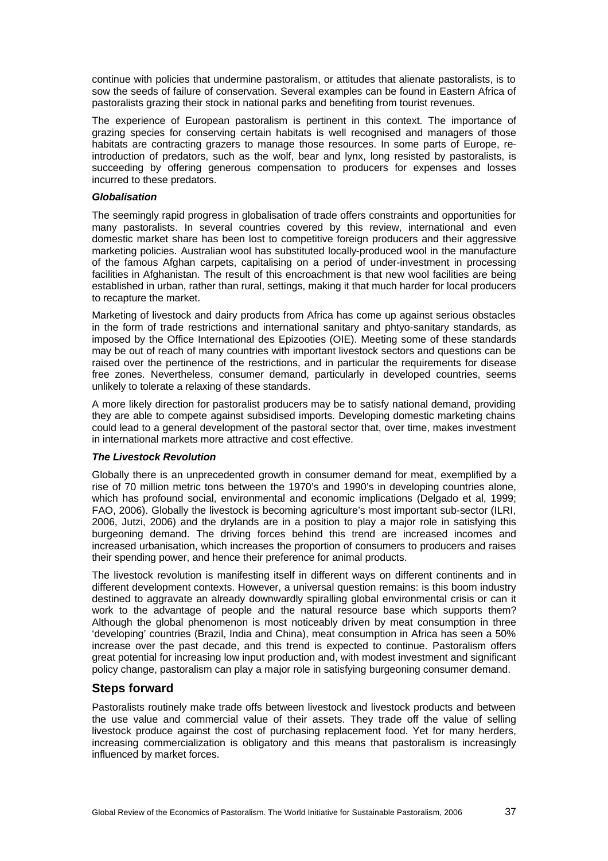continue with policies that undermine pastoralism, or attitudes that alienate pastoralists, is to sow the seeds of failure of conservation. Several examples can be found in Eastern Africa of pastoralists grazing their stock in national parks and benefiting from tourist revenues.

The experience of European pastoralism is pertinent in this context. The importance of grazing species for conserving certain habitats is well recognised and managers of those habitats are contracting grazers to manage those resources. In some parts of Europe, reintroduction of predators, such as the wolf, bear and lynx, long resisted by pastoralists, is succeeding by offering generous compensation to producers for expenses and losses incurred to these predators.

#### *Globalisation*

The seemingly rapid progress in globalisation of trade offers constraints and opportunities for many pastoralists. In several countries covered by this review, international and even domestic market share has been lost to competitive foreign producers and their aggressive marketing policies. Australian wool has substituted locally-produced wool in the manufacture of the famous Afghan carpets, capitalising on a period of under-investment in processing facilities in Afghanistan. The result of this encroachment is that new wool facilities are being established in urban, rather than rural, settings, making it that much harder for local producers to recapture the market.

Marketing of livestock and dairy products from Africa has come up against serious obstacles in the form of trade restrictions and international sanitary and phtyo-sanitary standards, as imposed by the Office International des Epizooties (OIE). Meeting some of these standards may be out of reach of many countries with important livestock sectors and questions can be raised over the pertinence of the restrictions, and in particular the requirements for disease free zones. Nevertheless, consumer demand, particularly in developed countries, seems unlikely to tolerate a relaxing of these standards.

A more likely direction for pastoralist producers may be to satisfy national demand, providing they are able to compete against subsidised imports. Developing domestic marketing chains could lead to a general development of the pastoral sector that, over time, makes investment in international markets more attractive and cost effective.

#### *The Livestock Revolution*

Globally there is an unprecedented growth in consumer demand for meat, exemplified by a rise of 70 million metric tons between the 1970's and 1990's in developing countries alone, which has profound social, environmental and economic implications (Delgado et al, 1999; FAO, 2006). Globally the livestock is becoming agriculture's most important sub-sector (ILRI, 2006, Jutzi, 2006) and the drylands are in a position to play a major role in satisfying this burgeoning demand. The driving forces behind this trend are increased incomes and increased urbanisation, which increases the proportion of consumers to producers and raises their spending power, and hence their preference for animal products.

The livestock revolution is manifesting itself in different ways on different continents and in different development contexts. However, a universal question remains: is this boom industry destined to aggravate an already downwardly spiralling global environmental crisis or can it work to the advantage of people and the natural resource base which supports them? Although the global phenomenon is most noticeably driven by meat consumption in three 'developing' countries (Brazil, India and China), meat consumption in Africa has seen a 50% increase over the past decade, and this trend is expected to continue. Pastoralism offers great potential for increasing low input production and, with modest investment and significant policy change, pastoralism can play a major role in satisfying burgeoning consumer demand.

#### **Steps forward**

Pastoralists routinely make trade offs between livestock and livestock products and between the use value and commercial value of their assets. They trade off the value of selling livestock produce against the cost of purchasing replacement food. Yet for many herders, increasing commercialization is obligatory and this means that pastoralism is increasingly influenced by market forces.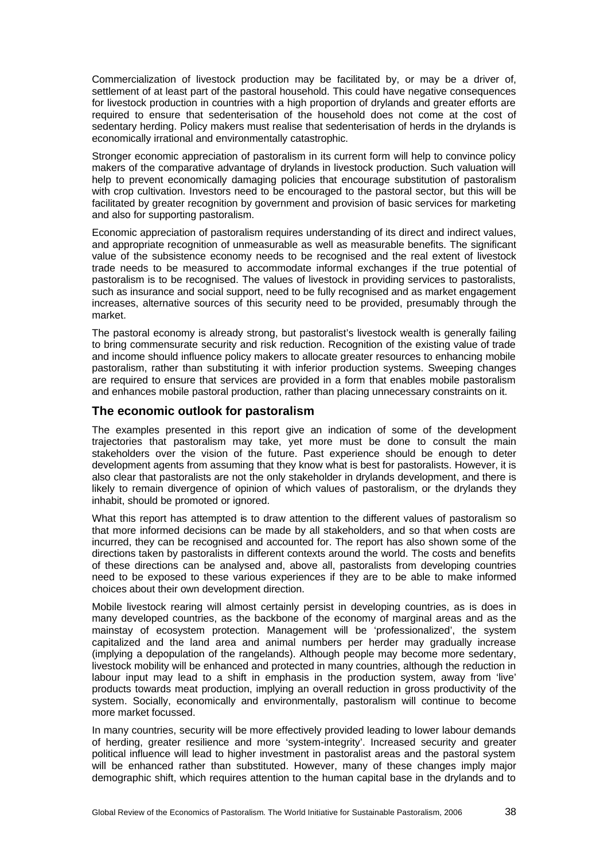Commercialization of livestock production may be facilitated by, or may be a driver of, settlement of at least part of the pastoral household. This could have negative consequences for livestock production in countries with a high proportion of drylands and greater efforts are required to ensure that sedenterisation of the household does not come at the cost of sedentary herding. Policy makers must realise that sedenterisation of herds in the drylands is economically irrational and environmentally catastrophic.

Stronger economic appreciation of pastoralism in its current form will help to convince policy makers of the comparative advantage of drylands in livestock production. Such valuation will help to prevent economically damaging policies that encourage substitution of pastoralism with crop cultivation. Investors need to be encouraged to the pastoral sector, but this will be facilitated by greater recognition by government and provision of basic services for marketing and also for supporting pastoralism.

Economic appreciation of pastoralism requires understanding of its direct and indirect values, and appropriate recognition of unmeasurable as well as measurable benefits. The significant value of the subsistence economy needs to be recognised and the real extent of livestock trade needs to be measured to accommodate informal exchanges if the true potential of pastoralism is to be recognised. The values of livestock in providing services to pastoralists, such as insurance and social support, need to be fully recognised and as market engagement increases, alternative sources of this security need to be provided, presumably through the market.

The pastoral economy is already strong, but pastoralist's livestock wealth is generally failing to bring commensurate security and risk reduction. Recognition of the existing value of trade and income should influence policy makers to allocate greater resources to enhancing mobile pastoralism, rather than substituting it with inferior production systems. Sweeping changes are required to ensure that services are provided in a form that enables mobile pastoralism and enhances mobile pastoral production, rather than placing unnecessary constraints on it.

#### **The economic outlook for pastoralism**

The examples presented in this report give an indication of some of the development trajectories that pastoralism may take, yet more must be done to consult the main stakeholders over the vision of the future. Past experience should be enough to deter development agents from assuming that they know what is best for pastoralists. However, it is also clear that pastoralists are not the only stakeholder in drylands development, and there is likely to remain divergence of opinion of which values of pastoralism, or the drylands they inhabit, should be promoted or ignored.

What this report has attempted is to draw attention to the different values of pastoralism so that more informed decisions can be made by all stakeholders, and so that when costs are incurred, they can be recognised and accounted for. The report has also shown some of the directions taken by pastoralists in different contexts around the world. The costs and benefits of these directions can be analysed and, above all, pastoralists from developing countries need to be exposed to these various experiences if they are to be able to make informed choices about their own development direction.

Mobile livestock rearing will almost certainly persist in developing countries, as is does in many developed countries, as the backbone of the economy of marginal areas and as the mainstay of ecosystem protection. Management will be 'professionalized', the system capitalized and the land area and animal numbers per herder may gradually increase (implying a depopulation of the rangelands). Although people may become more sedentary, livestock mobility will be enhanced and protected in many countries, although the reduction in labour input may lead to a shift in emphasis in the production system, away from 'live' products towards meat production, implying an overall reduction in gross productivity of the system. Socially, economically and environmentally, pastoralism will continue to become more market focussed.

In many countries, security will be more effectively provided leading to lower labour demands of herding, greater resilience and more 'system-integrity'. Increased security and greater political influence will lead to higher investment in pastoralist areas and the pastoral system will be enhanced rather than substituted. However, many of these changes imply major demographic shift, which requires attention to the human capital base in the drylands and to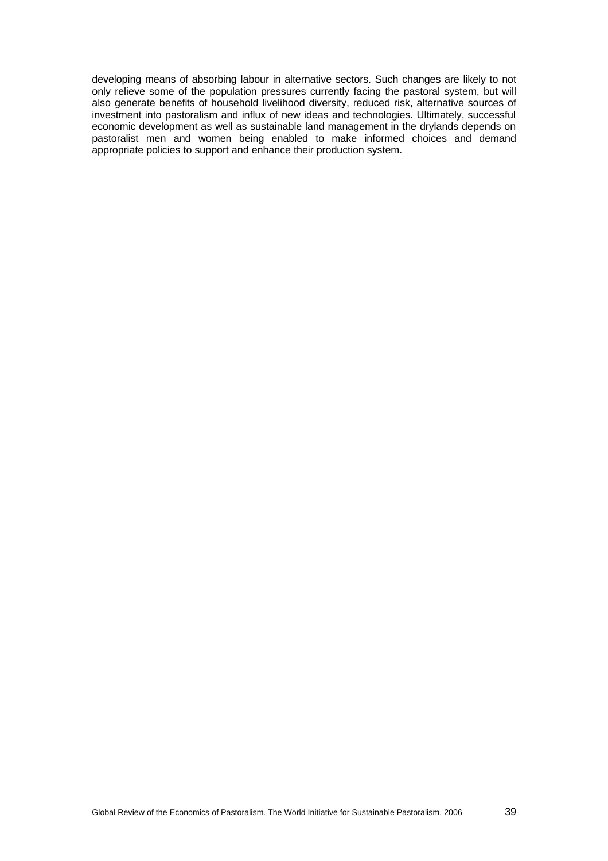developing means of absorbing labour in alternative sectors. Such changes are likely to not only relieve some of the population pressures currently facing the pastoral system, but will also generate benefits of household livelihood diversity, reduced risk, alternative sources of investment into pastoralism and influx of new ideas and technologies. Ultimately, successful economic development as well as sustainable land management in the drylands depends on pastoralist men and women being enabled to make informed choices and demand appropriate policies to support and enhance their production system.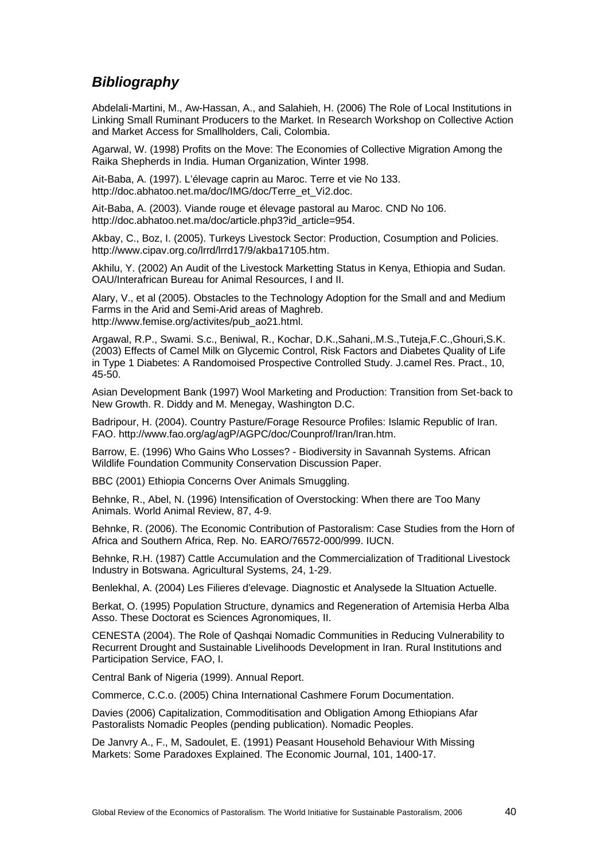# *Bibliography*

Abdelali-Martini, M., Aw-Hassan, A., and Salahieh, H. (2006) The Role of Local Institutions in Linking Small Ruminant Producers to the Market. In Research Workshop on Collective Action and Market Access for Smallholders, Cali, Colombia.

Agarwal, W. (1998) Profits on the Move: The Economies of Collective Migration Among the Raika Shepherds in India. Human Organization, Winter 1998.

Ait-Baba, A. (1997). L'élevage caprin au Maroc. Terre et vie No 133. http://doc.abhatoo.net.ma/doc/IMG/doc/Terre\_et\_Vi2.doc.

Ait-Baba, A. (2003). Viande rouge et élevage pastoral au Maroc. CND No 106. http://doc.abhatoo.net.ma/doc/article.php3?id\_article=954.

Akbay, C., Boz, I. (2005). Turkeys Livestock Sector: Production, Cosumption and Policies. http://www.cipav.org.co/lrrd/lrrd17/9/akba17105.htm.

Akhilu, Y. (2002) An Audit of the Livestock Marketting Status in Kenya, Ethiopia and Sudan. OAU/Interafrican Bureau for Animal Resources, I and II.

Alary, V., et al (2005). Obstacles to the Technology Adoption for the Small and and Medium Farms in the Arid and Semi-Arid areas of Maghreb. http://www.femise.org/activites/pub\_ao21.html.

Argawal, R.P., Swami. S.c., Beniwal, R., Kochar, D.K.,Sahani,.M.S.,Tuteja,F.C.,Ghouri,S.K. (2003) Effects of Camel Milk on Glycemic Control, Risk Factors and Diabetes Quality of Life in Type 1 Diabetes: A Randomoised Prospective Controlled Study. J.camel Res. Pract., 10, 45-50.

Asian Development Bank (1997) Wool Marketing and Production: Transition from Set-back to New Growth. R. Diddy and M. Menegay, Washington D.C.

Badripour, H. (2004). Country Pasture/Forage Resource Profiles: Islamic Republic of Iran. FAO. http://www.fao.org/ag/agP/AGPC/doc/Counprof/Iran/Iran.htm.

Barrow, E. (1996) Who Gains Who Losses? - Biodiversity in Savannah Systems. African Wildlife Foundation Community Conservation Discussion Paper.

BBC (2001) Ethiopia Concerns Over Animals Smuggling.

Behnke, R., Abel, N. (1996) Intensification of Overstocking: When there are Too Many Animals. World Animal Review, 87, 4-9.

Behnke, R. (2006). The Economic Contribution of Pastoralism: Case Studies from the Horn of Africa and Southern Africa, Rep. No. EARO/76572-000/999. IUCN.

Behnke, R.H. (1987) Cattle Accumulation and the Commercialization of Traditional Livestock Industry in Botswana. Agricultural Systems, 24, 1-29.

Benlekhal, A. (2004) Les Filieres d'elevage. Diagnostic et Analysede la SItuation Actuelle.

Berkat, O. (1995) Population Structure, dynamics and Regeneration of Artemisia Herba Alba Asso. These Doctorat es Sciences Agronomiques, II.

CENESTA (2004). The Role of Qashqai Nomadic Communities in Reducing Vulnerability to Recurrent Drought and Sustainable Livelihoods Development in Iran. Rural Institutions and Participation Service, FAO, I.

Central Bank of Nigeria (1999). Annual Report.

Commerce, C.C.o. (2005) China International Cashmere Forum Documentation.

Davies (2006) Capitalization, Commoditisation and Obligation Among Ethiopians Afar Pastoralists Nomadic Peoples (pending publication). Nomadic Peoples.

De Janvry A., F., M, Sadoulet, E. (1991) Peasant Household Behaviour With Missing Markets: Some Paradoxes Explained. The Economic Journal, 101, 1400-17.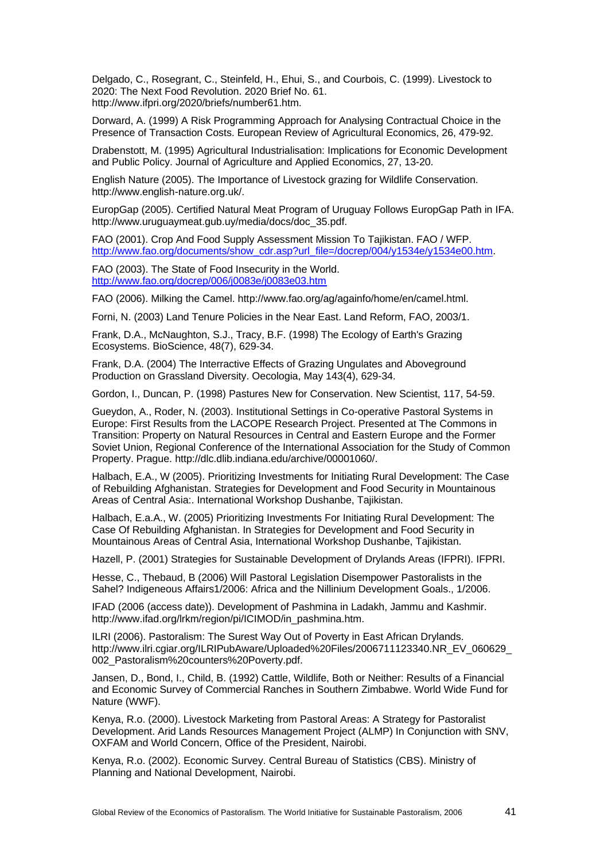Delgado, C., Rosegrant, C., Steinfeld, H., Ehui, S., and Courbois, C. (1999). Livestock to 2020: The Next Food Revolution. 2020 Brief No. 61. http://www.ifpri.org/2020/briefs/number61.htm.

Dorward, A. (1999) A Risk Programming Approach for Analysing Contractual Choice in the Presence of Transaction Costs. European Review of Agricultural Economics, 26, 479-92.

Drabenstott, M. (1995) Agricultural Industrialisation: Implications for Economic Development and Public Policy. Journal of Agriculture and Applied Economics, 27, 13-20.

English Nature (2005). The Importance of Livestock grazing for Wildlife Conservation. http://www.english-nature.org.uk/.

EuropGap (2005). Certified Natural Meat Program of Uruguay Follows EuropGap Path in IFA. http://www.uruguaymeat.gub.uy/media/docs/doc\_35.pdf.

FAO (2001). Crop And Food Supply Assessment Mission To Tajikistan. FAO / WFP. http://www.fao.org/documents/show\_cdr.asp?url\_file=/docrep/004/y1534e/y1534e00.htm.

FAO (2003). The State of Food Insecurity in the World. http://www.fao.org/docrep/006/j0083e/j0083e03.htm

FAO (2006). Milking the Camel. http://www.fao.org/ag/againfo/home/en/camel.html.

Forni, N. (2003) Land Tenure Policies in the Near East. Land Reform, FAO, 2003/1.

Frank, D.A., McNaughton, S.J., Tracy, B.F. (1998) The Ecology of Earth's Grazing Ecosystems. BioScience, 48(7), 629-34.

Frank, D.A. (2004) The Interractive Effects of Grazing Ungulates and Aboveground Production on Grassland Diversity. Oecologia, May 143(4), 629-34.

Gordon, I., Duncan, P. (1998) Pastures New for Conservation. New Scientist, 117, 54-59.

Gueydon, A., Roder, N. (2003). Institutional Settings in Co-operative Pastoral Systems in Europe: First Results from the LACOPE Research Project. Presented at The Commons in Transition: Property on Natural Resources in Central and Eastern Europe and the Former Soviet Union, Regional Conference of the International Association for the Study of Common Property. Prague. http://dlc.dlib.indiana.edu/archive/00001060/.

Halbach, E.A., W (2005). Prioritizing Investments for Initiating Rural Development: The Case of Rebuilding Afghanistan. Strategies for Development and Food Security in Mountainous Areas of Central Asia:. International Workshop Dushanbe, Tajikistan.

Halbach, E.a.A., W. (2005) Prioritizing Investments For Initiating Rural Development: The Case Of Rebuilding Afghanistan. In Strategies for Development and Food Security in Mountainous Areas of Central Asia, International Workshop Dushanbe, Tajikistan.

Hazell, P. (2001) Strategies for Sustainable Development of Drylands Areas (IFPRI). IFPRI.

Hesse, C., Thebaud, B (2006) Will Pastoral Legislation Disempower Pastoralists in the Sahel? Indigeneous Affairs1/2006: Africa and the Nillinium Development Goals., 1/2006.

IFAD (2006 (access date)). Development of Pashmina in Ladakh, Jammu and Kashmir. http://www.ifad.org/lrkm/region/pi/ICIMOD/in\_pashmina.htm.

ILRI (2006). Pastoralism: The Surest Way Out of Poverty in East African Drylands. http://www.ilri.cgiar.org/ILRIPubAware/Uploaded%20Files/2006711123340.NR\_EV\_060629\_ 002\_Pastoralism%20counters%20Poverty.pdf.

Jansen, D., Bond, I., Child, B. (1992) Cattle, Wildlife, Both or Neither: Results of a Financial and Economic Survey of Commercial Ranches in Southern Zimbabwe. World Wide Fund for Nature (WWF).

Kenya, R.o. (2000). Livestock Marketing from Pastoral Areas: A Strategy for Pastoralist Development. Arid Lands Resources Management Project (ALMP) In Conjunction with SNV, OXFAM and World Concern, Office of the President, Nairobi.

Kenya, R.o. (2002). Economic Survey. Central Bureau of Statistics (CBS). Ministry of Planning and National Development, Nairobi.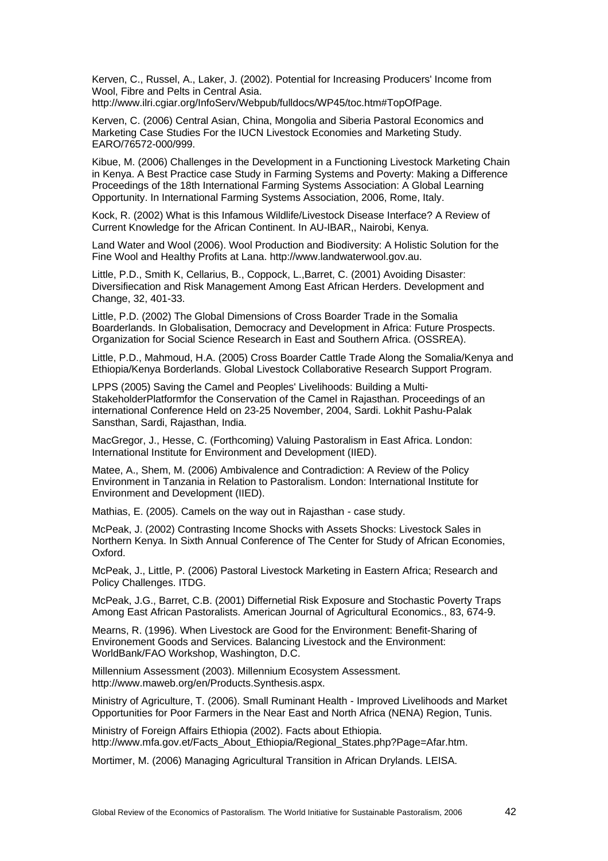Kerven, C., Russel, A., Laker, J. (2002). Potential for Increasing Producers' Income from Wool, Fibre and Pelts in Central Asia.

http://www.ilri.cgiar.org/InfoServ/Webpub/fulldocs/WP45/toc.htm#TopOfPage.

Kerven, C. (2006) Central Asian, China, Mongolia and Siberia Pastoral Economics and Marketing Case Studies For the IUCN Livestock Economies and Marketing Study. EARO/76572-000/999.

Kibue, M. (2006) Challenges in the Development in a Functioning Livestock Marketing Chain in Kenya. A Best Practice case Study in Farming Systems and Poverty: Making a Difference Proceedings of the 18th International Farming Systems Association: A Global Learning Opportunity. In International Farming Systems Association, 2006, Rome, Italy.

Kock, R. (2002) What is this Infamous Wildlife/Livestock Disease Interface? A Review of Current Knowledge for the African Continent. In AU-IBAR,, Nairobi, Kenya.

Land Water and Wool (2006). Wool Production and Biodiversity: A Holistic Solution for the Fine Wool and Healthy Profits at Lana. http://www.landwaterwool.gov.au.

Little, P.D., Smith K, Cellarius, B., Coppock, L.,Barret, C. (2001) Avoiding Disaster: Diversifiecation and Risk Management Among East African Herders. Development and Change, 32, 401-33.

Little, P.D. (2002) The Global Dimensions of Cross Boarder Trade in the Somalia Boarderlands. In Globalisation, Democracy and Development in Africa: Future Prospects. Organization for Social Science Research in East and Southern Africa. (OSSREA).

Little, P.D., Mahmoud, H.A. (2005) Cross Boarder Cattle Trade Along the Somalia/Kenya and Ethiopia/Kenya Borderlands. Global Livestock Collaborative Research Support Program.

LPPS (2005) Saving the Camel and Peoples' Livelihoods: Building a Multi-StakeholderPlatformfor the Conservation of the Camel in Rajasthan. Proceedings of an international Conference Held on 23-25 November, 2004, Sardi. Lokhit Pashu-Palak Sansthan, Sardi, Rajasthan, India.

MacGregor, J., Hesse, C. (Forthcoming) Valuing Pastoralism in East Africa. London: International Institute for Environment and Development (IIED).

Matee, A., Shem, M. (2006) Ambivalence and Contradiction: A Review of the Policy Environment in Tanzania in Relation to Pastoralism. London: International Institute for Environment and Development (IIED).

Mathias, E. (2005). Camels on the way out in Rajasthan - case study.

McPeak, J. (2002) Contrasting Income Shocks with Assets Shocks: Livestock Sales in Northern Kenya. In Sixth Annual Conference of The Center for Study of African Economies, Oxford.

McPeak, J., Little, P. (2006) Pastoral Livestock Marketing in Eastern Africa; Research and Policy Challenges. ITDG.

McPeak, J.G., Barret, C.B. (2001) Differnetial Risk Exposure and Stochastic Poverty Traps Among East African Pastoralists. American Journal of Agricultural Economics., 83, 674-9.

Mearns, R. (1996). When Livestock are Good for the Environment: Benefit-Sharing of Environement Goods and Services. Balancing Livestock and the Environment: WorldBank/FAO Workshop, Washington, D.C.

Millennium Assessment (2003). Millennium Ecosystem Assessment. http://www.maweb.org/en/Products.Synthesis.aspx.

Ministry of Agriculture, T. (2006). Small Ruminant Health - Improved Livelihoods and Market Opportunities for Poor Farmers in the Near East and North Africa (NENA) Region, Tunis.

Ministry of Foreign Affairs Ethiopia (2002). Facts about Ethiopia. http://www.mfa.gov.et/Facts\_About\_Ethiopia/Regional\_States.php?Page=Afar.htm.

Mortimer, M. (2006) Managing Agricultural Transition in African Drylands. LEISA.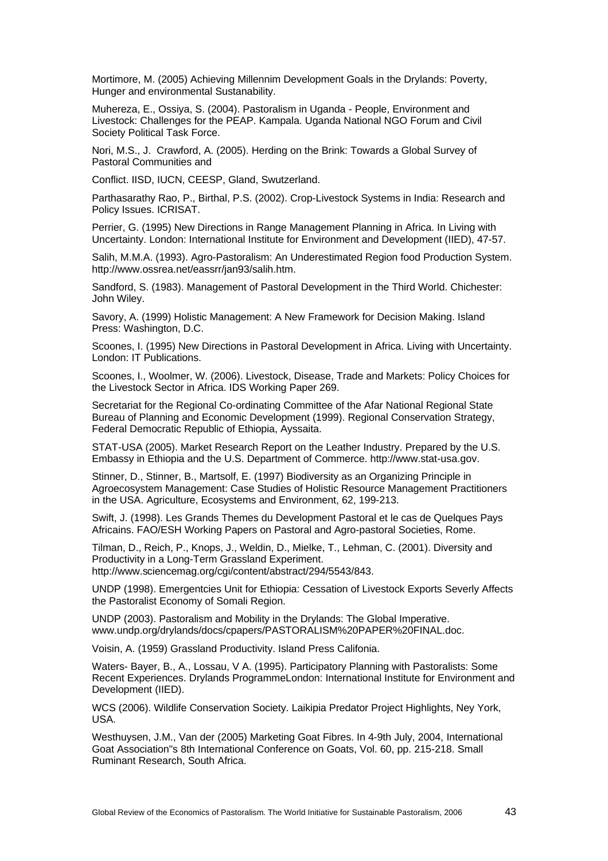Mortimore, M. (2005) Achieving Millennim Development Goals in the Drylands: Poverty, Hunger and environmental Sustanability.

Muhereza, E., Ossiya, S. (2004). Pastoralism in Uganda - People, Environment and Livestock: Challenges for the PEAP. Kampala. Uganda National NGO Forum and Civil Society Political Task Force.

Nori, M.S., J. Crawford, A. (2005). Herding on the Brink: Towards a Global Survey of Pastoral Communities and

Conflict. IISD, IUCN, CEESP, Gland, Swutzerland.

Parthasarathy Rao, P., Birthal, P.S. (2002). Crop-Livestock Systems in India: Research and Policy Issues. ICRISAT.

Perrier, G. (1995) New Directions in Range Management Planning in Africa. In Living with Uncertainty. London: International Institute for Environment and Development (IIED), 47-57.

Salih, M.M.A. (1993). Agro-Pastoralism: An Underestimated Region food Production System. http://www.ossrea.net/eassrr/jan93/salih.htm.

Sandford, S. (1983). Management of Pastoral Development in the Third World. Chichester: John Wiley.

Savory, A. (1999) Holistic Management: A New Framework for Decision Making. Island Press: Washington, D.C.

Scoones, I. (1995) New Directions in Pastoral Development in Africa. Living with Uncertainty. London: IT Publications.

Scoones, I., Woolmer, W. (2006). Livestock, Disease, Trade and Markets: Policy Choices for the Livestock Sector in Africa. IDS Working Paper 269.

Secretariat for the Regional Co-ordinating Committee of the Afar National Regional State Bureau of Planning and Economic Development (1999). Regional Conservation Strategy, Federal Democratic Republic of Ethiopia, Ayssaita.

STAT-USA (2005). Market Research Report on the Leather Industry. Prepared by the U.S. Embassy in Ethiopia and the U.S. Department of Commerce. http://www.stat-usa.gov.

Stinner, D., Stinner, B., Martsolf, E. (1997) Biodiversity as an Organizing Principle in Agroecosystem Management: Case Studies of Holistic Resource Management Practitioners in the USA. Agriculture, Ecosystems and Environment, 62, 199-213.

Swift, J. (1998). Les Grands Themes du Development Pastoral et le cas de Quelques Pays Africains. FAO/ESH Working Papers on Pastoral and Agro-pastoral Societies, Rome.

Tilman, D., Reich, P., Knops, J., Weldin, D., Mielke, T., Lehman, C. (2001). Diversity and Productivity in a Long-Term Grassland Experiment. http://www.sciencemag.org/cgi/content/abstract/294/5543/843.

UNDP (1998). Emergentcies Unit for Ethiopia: Cessation of Livestock Exports Severly Affects the Pastoralist Economy of Somali Region.

UNDP (2003). Pastoralism and Mobility in the Drylands: The Global Imperative. www.undp.org/drylands/docs/cpapers/PASTORALISM%20PAPER%20FINAL.doc.

Voisin, A. (1959) Grassland Productivity. Island Press Califonia.

Waters- Bayer, B., A., Lossau, V A. (1995). Participatory Planning with Pastoralists: Some Recent Experiences. Drylands ProgrammeLondon: International Institute for Environment and Development (IIED).

WCS (2006). Wildlife Conservation Society. Laikipia Predator Project Highlights, Ney York, USA.

Westhuysen, J.M., Van der (2005) Marketing Goat Fibres. In 4-9th July, 2004, International Goat Association"s 8th International Conference on Goats, Vol. 60, pp. 215-218. Small Ruminant Research, South Africa.